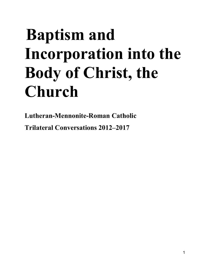# **Baptism and Incorporation into the Body of Christ, the Church**

**Lutheran-Mennonite-Roman Catholic Trilateral Conversations 2012–2017**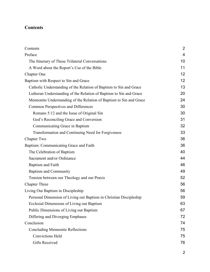# <span id="page-1-0"></span>**Contents**

| Contents                                                            | $\overline{2}$ |
|---------------------------------------------------------------------|----------------|
| Preface                                                             | $\overline{4}$ |
| The Itinerary of These Trilateral Conversations                     | 10             |
| A Word about the Report's Use of the Bible                          | 11             |
| <b>Chapter One</b>                                                  | 12             |
| Baptism with Respect to Sin and Grace                               | 12             |
| Catholic Understanding of the Relation of Baptism to Sin and Grace  | 13             |
| Lutheran Understanding of the Relation of Baptism to Sin and Grace  | 20             |
| Mennonite Understanding of the Relation of Baptism to Sin and Grace | 24             |
| Common Perspectives and Differences                                 | 30             |
| Romans 5:12 and the Issue of Original Sin                           | 30             |
| God's Reconciling Grace and Conversion                              | 31             |
| Communicating Grace in Baptism                                      | 32             |
| Transformation and Continuing Need for Forgiveness                  | 33             |
| Chapter Two                                                         | 36             |
| Baptism: Communicating Grace and Faith                              | 36             |
| The Celebration of Baptism                                          | 40             |
| Sacrament and/or Ordinance                                          | 44             |
| Baptism and Faith                                                   | 46             |
| Baptism and Community                                               | 49             |
| Tension between our Theology and our Praxis                         | 52             |
| <b>Chapter Three</b>                                                | 56             |
| Living Out Baptism in Discipleship                                  | 56             |
| Personal Dimension of Living out Baptism in Christian Discipleship  | 59             |
| Ecclesial Dimensions of Living out Baptism                          | 63             |
| Public Dimensions of Living out Baptism                             | 67             |
| Differing and Diverging Emphases                                    | 72             |
| Conclusion                                                          | 74             |
| <b>Concluding Mennonite Reflections</b>                             | 75             |
| <b>Convictions Held</b>                                             | 75             |
| <b>Gifts Received</b>                                               | 76             |
|                                                                     |                |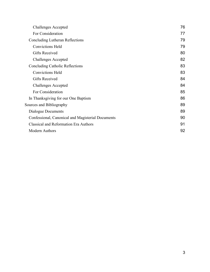| <b>Challenges Accepted</b>                        | 76 |
|---------------------------------------------------|----|
| For Consideration                                 | 77 |
| Concluding Lutheran Reflections                   | 79 |
| <b>Convictions Held</b>                           | 79 |
| Gifts Received                                    | 80 |
| <b>Challenges Accepted</b>                        | 82 |
| <b>Concluding Catholic Reflections</b>            | 83 |
| <b>Convictions Held</b>                           | 83 |
| Gifts Received                                    | 84 |
| <b>Challenges Accepted</b>                        | 84 |
| For Consideration                                 | 85 |
| In Thanksgiving for our One Baptism               | 86 |
| Sources and Bibliography                          | 89 |
| Dialogue Documents                                | 89 |
| Confessional, Canonical and Magisterial Documents | 90 |
| <b>Classical and Reformation Era Authors</b>      | 91 |
| <b>Modern Authors</b>                             | 92 |
|                                                   |    |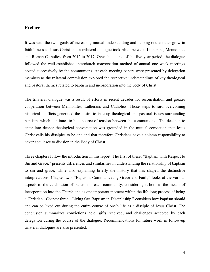# <span id="page-3-0"></span>**Preface**

It was with the twin goals of increasing mutual understanding and helping one another grow in faithfulness to Jesus Christ that a trilateral dialogue took place between Lutherans, Mennonites and Roman Catholics, from 2012 to 2017. Over the course of the five year period, the dialogue followed the well-established interchurch conversation method of annual one week meetings hosted successively by the communions. At each meeting papers were presented by delegation members as the trilateral commission explored the respective understandings of key theological and pastoral themes related to baptism and incorporation into the body of Christ.

The trilateral dialogue was a result of efforts in recent decades for reconciliation and greater cooperation between Mennonites, Lutherans and Catholics. Those steps toward overcoming historical conflicts generated the desire to take up theological and pastoral issues surrounding baptism, which continues to be a source of tension between the communions. The decision to enter into deeper theological conversation was grounded in the mutual conviction that Jesus Christ calls his disciples to be one and that therefore Christians have a solemn responsibility to never acquiesce to division in the Body of Christ.

Three chapters follow the introduction in this report. The first of these, "Baptism with Respect to Sin and Grace," presents differences and similarities in understanding the relationship of baptism to sin and grace, while also explaining briefly the history that has shaped the distinctive interpretations. Chapter two, "Baptism: Communicating Grace and Faith," looks at the various aspects of the celebration of baptism in each community, considering it both as the means of incorporation into the Church and as one important moment within the life-long process of being a Christian. Chapter three, "Living Out Baptism in Discipleship," considers how baptism should and can be lived out during the entire course of one's life as a disciple of Jesus Christ. The conclusion summarizes convictions held, gifts received, and challenges accepted by each delegation during the course of the dialogue. Recommendations for future work in follow-up trilateral dialogues are also presented.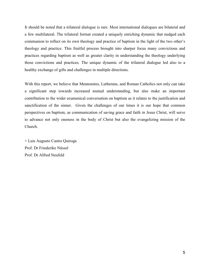It should be noted that a trilateral dialogue is rare. Most international dialogues are bilateral and a few multilateral. The trilateral format created a uniquely enriching dynamic that nudged each communion to reflect on its own theology and practice of baptism in the light of the two other's theology and practice. This fruitful process brought into sharper focus many convictions and practices regarding baptism as well as greater clarity in understanding the theology underlying those convictions and practices. The unique dynamic of the trilateral dialogue led also to a healthy exchange of gifts and challenges in multiple directions.

With this report, we believe that Mennonites, Lutherans, and Roman Catholics not only can take a significant step towards increased mutual understanding, but also make an important contribution to the wider ecumenical conversation on baptism as it relates to the justification and sanctification of the sinner. Given the challenges of our times it is our hope that common perspectives on baptism, as communication of saving grace and faith in Jesus Christ, will serve to advance not only oneness in the body of Christ but also the evangelizing mission of the Church.

+ Luis Augusto Castro Quiroga Prof. Dr Friederike Nüssel Prof. Dr Alfred Neufeld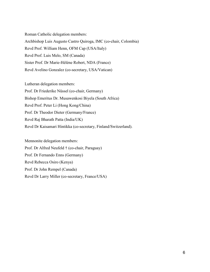Roman Catholic delegation members: Archbishop Luis Augusto Castro Quiroga, IMC (co-chair, Colombia) Revd Prof. William Henn, OFM Cap (USA/Italy) Revd Prof. Luis Melo, SM (Canada) Sister Prof. Dr Marie-Hélène Robert, NDA (France) Revd Avelino Gonzalez (co-secretary, USA/Vatican)

Lutheran delegation members: Prof. Dr Friederike Nüssel (co-chair, Germany) Bishop Emeritus Dr. Musawenkosi Biyela (South Africa) Revd Prof. Peter Li (Hong Kong/China) Prof. Dr Theodor Dieter (Germany/France) Revd Raj Bharath Patta (India/UK) Revd Dr Kaisamari Hintikka (co-secretary, Finland/Switzerland).

Mennonite delegation members: Prof. Dr Alfred Neufeld † (co-chair, Paraguay) Prof. Dr Fernando Enns (Germany) Revd Rebecca Osiro (Kenya) Prof. Dr John Rempel (Canada) Revd Dr Larry Miller (co-secretary, France/USA)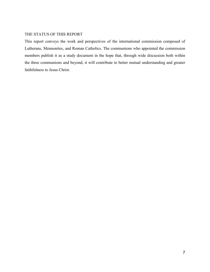# THE STATUS OF THIS REPORT

This report conveys the work and perspectives of the international commission composed of Lutherans, Mennonites, and Roman Catholics. The communions who appointed the commission members publish it as a study document in the hope that, through wide discussion both within the three communions and beyond, it will contribute to better mutual understanding and greater faithfulness to Jesus Christ.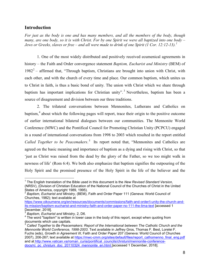# **Introduction**

*For just as the body is one and has many members, and all the members of the body, though many, are one body, so it is with Christ. For by one Spirit we were all baptized into one body – Jews or Greeks, slaves or free – and all were made to drink of one Spirit (1 Cor. 12:12-13).[1](#page-7-0)*

1. One of the most widely distributed and positively received ecumenical agreements in history – the Faith and Order convergence statement *Baptism, Eucharist and Ministry* (BEM) of  $1982<sup>2</sup>$  $1982<sup>2</sup>$  $1982<sup>2</sup>$  – affirmed that, "Through baptism, Christians are brought into union with Christ, with each other, and with the church of every time and place. Our common baptism, which unites us to Christ in faith, is thus a basic bond of unity. The union with Christ which we share through baptism has important implications for Christian unity".<sup>[3](#page-7-2)</sup> Nevertheless, baptism has been a source of disagreement and division between our three traditions.

2. The trilateral conversations between Mennonites, Lutherans and Catholics on baptism,<sup>[4](#page-7-3)</sup> about which the following pages will report, trace their origin to the positive outcome of earlier international bilateral dialogues between our communities. The Mennonite World Conference (MWC) and the Pontifical Council for Promoting Christian Unity (PCPCU) engaged in a round of international conversations from 1998 to 2003 which resulted in the report entitled *Called Together to be Peacemakers*. [5](#page-7-4) Its report noted that, "Mennonites and Catholics are agreed on the basic meaning and importance of baptism as a dying and rising with Christ, so that 'just as Christ was raised from the dead by the glory of the Father, so we too might walk in newness of life' (Rom 6:4). We both also emphasize that baptism signifies the outpouring of the Holy Spirit and the promised presence of the Holy Spirit in the life of the believer and the

[https://www.oikoumene.org/en/resources/documents/commissions/faith-and-order/i-unity-the-church-and](https://www.oikoumene.org/en/resources/documents/commissions/faith-and-order/i-unity-the-church-and-its-mission/baptism-eucharist-and-ministry-faith-and-order-paper-no-111-the-lima-text)[its-mission/baptism-eucharist-and-ministry-faith-and-order-paper-no-111-the-lima-text](https://www.oikoumene.org/en/resources/documents/commissions/faith-and-order/i-unity-the-church-and-its-mission/baptism-eucharist-and-ministry-faith-and-order-paper-no-111-the-lima-text) [accessed 1 December, 2018].

<span id="page-7-0"></span> <sup>1</sup> The English translation of the Bible used in this document is the *New Revised Standard Version*, (NRSV), (Division of Christian Education of the [National Council of the Churches of Christ in the United](http://www.ncccusa.org/newbtu/btuhome.html) 

<span id="page-7-1"></span><sup>&</sup>lt;sup>2</sup> Baptism, Eucharist and Ministry, (BEM), Faith and Order Paper 111 (Geneva: World Council of Churches, 1982); text available at

<span id="page-7-2"></span><sup>3</sup> *Baptism, Eucharist and Ministry,* 2, D6.

<span id="page-7-3"></span> $4$  The word "baptism" is written in lower case in the body of this report, except when quoting from documents which use capitals.

<span id="page-7-4"></span> $^5$  Called Together to Be Peacemakers: Report of the International between The Catholic Church and the *Mennonite World Conference, 1998-2003*. Text available in Jeffrey Gros, Thomas F. Best, Lorelei F. Fuchs (eds), *Growth in Agreement III*, Faith and Order Paper 207 (Geneva: World Council of Churches 2007), 206-267; text available at [https://mwc-cmm.org/sites/default/files/report\\_cathomenno\\_final\\_eng.pdf](https://mwc-cmm.org/sites/default/files/report_cathomenno_final_eng.pdf) and at http://www.vatican.va/roman\_curia/pontifical\_councils/chrstuni/mennonite-conferencedocs/rc\_pc\_chrstuni\_doc\_20110324\_mennonite\_en.html [accessed 1 December, 2018].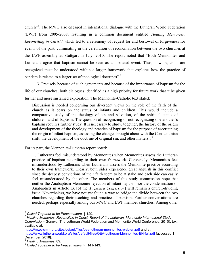church"<sup>[6](#page-8-0)</sup>. The MWC also engaged in international dialogue with the Lutheran World Federation (LWF) from 2005-2008, resulting in a common document entitled *Healing Memories: Reconciling in Christ*, [7](#page-8-1) which led to a ceremony of request for and bestowal of forgiveness for events of the past, culminating in the celebration of reconciliation between the two churches at the LWF assembly at Stuttgart in July, 2010. The report noted that "Both Mennonites and Lutherans agree that baptism cannot be seen as an isolated event. Thus, how baptisms are recognized must be understood within a larger framework that explores how the practice of baptism is related to a larger set of theological doctrines"*.* [8](#page-8-2)

3. Precisely because of such agreements and because of the importance of baptism for the life of our churches, both dialogues identified as a high priority for future work that it be given further and more sustained exploration. The Mennonite-Catholic text stated:

Discussion is needed concerning our divergent views on the role of the faith of the church as it bears on the status of infants and children. This would include a comparative study of the theology of sin and salvation, of the spiritual status of children, and of baptism. The question of recognizing or not recognizing one another's baptism requires further study. It is necessary to study, together, the history of the origin and development of the theology and practice of baptism for the purpose of ascertaining the origin of infant baptism, assessing the changes brought about with the Constantinian shift, the development of the doctrine of original sin, and other matters".<sup>[9](#page-8-3)</sup>

For its part, the Mennonite-Lutheran report noted:

… Lutherans feel misunderstood by Mennonites when Mennonites assess the Lutheran practice of baptism according to their own framework. Conversely, Mennonites feel misunderstood by Lutherans when Lutherans assess the Mennonite practice according to their own framework. Clearly, both sides experience great anguish in this conflict since the deepest convictions of their faith seem to be at stake and each side can easily feel misunderstood by the other. The members of this study commission hope that neither the Anabaptism-Mennonite rejection of infant baptism nor the condemnation of Anabaptists in Article IX [of the *Augsburg Confession*] will remain a church-dividing issue. Nevertheless, we have not yet found a way to bridge the divide between the two churches regarding their teaching and practice of baptism. Further conversations are needed, perhaps especially among our MWC and LWF member churches. Among other

<span id="page-8-0"></span> <sup>6</sup> *Called Together to be Peacemakers*, § 129.

<span id="page-8-1"></span><sup>7</sup> *Healing Memories: Reconciling in Christ. Report of the Lutheran–Mennonite International Study Commission* (Geneva: The Lutheran World Federation and Mennonite World Conference, 2010); text available at:

<https://mwc-cmm.org/sites/default/files/oea-lutheran-mennonites-web-en.pdf> and at: <https://www.lutheranworld.org/sites/default/files/OEA-Lutheran-Mennonites-EN-full.pdf> [accessed 1 December, 2018].

<span id="page-8-2"></span><sup>8</sup> *Healing Memories*, 89.

<span id="page-8-3"></span><sup>9</sup> *Called Together to be Peacemakers* §§ 141-143.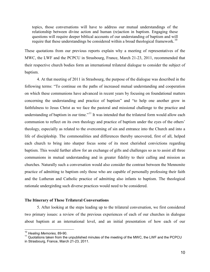topics, those conversations will have to address our mutual understandings of the relationship between divine action and human (re)action in baptism. Engaging these questions will require deeper biblical accounts of our understanding of baptism and will require that these understandings be considered within a broad theological framework.<sup>[10](#page-9-1)</sup>

These quotations from our previous reports explain why a meeting of representatives of the MWC, the LWF and the PCPCU in Strasbourg, France, March 21-23, 2011, recommended that their respective church bodies form an international trilateral dialogue to consider the subject of baptism.

4. At that meeting of 2011 in Strasbourg, the purpose of the dialogue was described in the following terms: "To continue on the paths of increased mutual understanding and cooperation on which these communions have advanced in recent years by focusing on foundational matters concerning the understanding and practice of baptism" and "to help one another grow in faithfulness to Jesus Christ as we face the pastoral and missional challenge to the practice and understanding of baptism in our time."<sup>[11](#page-9-2)</sup> It was intended that the trilateral form would allow each communion to reflect on its own theology and practice of baptism under the eyes of the others' theology, especially as related to the overcoming of sin and entrance into the Church and into a life of discipleship. The commonalities and differences thereby uncovered, first of all, helped each church to bring into sharper focus some of its most cherished convictions regarding baptism. This would further allow for an exchange of gifts and challenges so as to assist all three communions in mutual understanding and in greater fidelity to their calling and mission as churches. Naturally such a conversation would also consider the contrast between the Mennonite practice of admitting to baptism only those who are capable of personally professing their faith and the Lutheran and Catholic practice of admitting also infants to baptism. The theological rationale undergirding such diverse practices would need to be considered.

#### <span id="page-9-0"></span>**The Itinerary of These Trilateral Conversations**

5. After looking at the steps leading up to the trilateral conversation, we first considered two primary issues: a review of the previous experiences of each of our churches in dialogue about baptism at an international level, and an initial presentation of how each of our

<span id="page-9-1"></span><sup>&</sup>lt;sup>10</sup> *Healing Memories,* 89-90.<br><sup>11</sup> Quotations taken from the unpublished minutes of the meeting of the MWC, the LWF and the PCPCU

<span id="page-9-2"></span>in Strasbourg, France, March 21-23, 2011.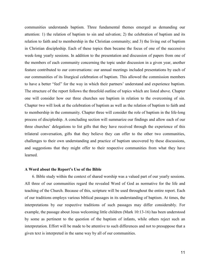communities understands baptism. Three fundamental themes emerged as demanding our attention: 1) the relation of baptism to sin and salvation; 2) the celebration of baptism and its relation to faith and to membership in the Christian community; and 3) the living out of baptism in Christian discipleship. Each of these topics then became the focus of one of the successive week-long yearly sessions. In addition to the presentation and discussion of papers from one of the members of each community concerning the topic under discussion in a given year, another feature contributed to our conversations: our annual meetings included presentations by each of our communities of its liturgical celebration of baptism. This allowed the commission members to have a better "feel" for the way in which their partners' understand and experience baptism. The structure of the report follows the threefold outline of topics which are listed above. Chapter one will consider how our three churches see baptism in relation to the overcoming of sin. Chapter two will look at the celebration of baptism as well as the relation of baptism to faith and to membership in the community. Chapter three will consider the role of baptism in the life-long process of discipleship. A concluding section will summarize our findings and allow each of our three churches' delegations to list gifts that they have received through the experience of this trilateral conversation, gifts that they believe they can offer to the other two communities, challenges to their own understanding and practice of baptism uncovered by these discussions, and suggestions that they might offer to their respective communities from what they have learned.

#### <span id="page-10-0"></span>**A Word about the Report's Use of the Bible**

6. Bible study within the context of shared worship was a valued part of our yearly sessions. All three of our communities regard the revealed Word of God as normative for the life and teaching of the Church. Because of this, scripture will be used throughout the entire report. Each of our traditions employs various biblical passages in its understanding of baptism. At times, the interpretations by our respective traditions of such passages may differ considerably. For example, the passage about Jesus welcoming little children (Mark 10:13-16) has been understood by some as pertinent to the question of the baptism of infants, while others reject such an interpretation. Effort will be made to be attentive to such differences and not to presuppose that a given text is interpreted in the same way by all of our communities.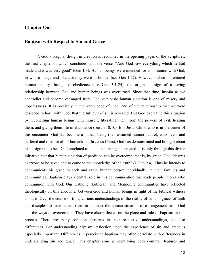# <span id="page-11-0"></span>**Chapter One**

# <span id="page-11-1"></span>**Baptism with Respect to Sin and Grace**

7. God's original design in creation is recounted in the opening pages of the Scriptures, the first chapter of which concludes with the verse: "And God saw everything which he had made and it was very good" (Gen 1:3). Human beings were intended for communion with God, in whose image and likeness they were fashioned (see Gen 1:27). However, when sin entered human history through disobedience (see Gen 3:1-24), the original design of a loving relationship between God and human beings was overturned. Since that time, insofar as we contradict and become estranged from God, our basic human situation is one of misery and hopelessness. It is precisely in the knowledge of God, and of the relationship that we were designed to have with God, that the full evil of sin is revealed. But God overcame this situation by reconciling human beings with himself, liberating them from the powers of evil, healing them, and giving them life in abundance (see Jn 10:10). It is Jesus Christ who is in the center of this encounter: God has become a human being (i.e., assumed human nature), who lived, and suffered and died for all of humankind. In Jesus Christ, God has demonstrated and brought about his design not to be a God unrelated to the human beings he created. It is only through this divine initiative that that human situation of perdition can be overcome, that is, by grace. God "desires everyone to be saved and to come to the knowledge of the truth" (1 Tim 2.4). Thus he intends to communicate his grace to each and every human person individually, in their families and communities. Baptism plays a central role in this communication that leads people into salvific communion with God. Our Catholic, Lutheran, and Mennonite communities have reflected theologically on this encounter between God and human beings in light of the biblical witness about it. Over the course of time, various understandings of the reality of sin and grace, of faith and discipleship have helped them to consider the human situation of estrangement from God and the ways to overcome it. They have also reflected on the place and role of baptism in this process. There are many common elements in their respective understandings, but also differences. For understanding baptism, reflection upon the experience of sin and grace is especially important. Differences in perceiving baptism may often correlate with differences in understanding sin and grace. This chapter aims at identifying both common features and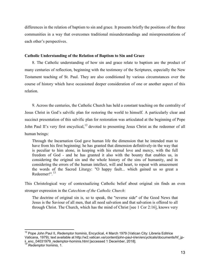differences in the relation of baptism to sin and grace. It presents briefly the positions of the three communities in a way that overcomes traditional misunderstandings and misrepresentations of each other's perspectives.

### <span id="page-12-0"></span>**Catholic Understanding of the Relation of Baptism to Sin and Grace**

8. The Catholic understanding of how sin and grace relate to baptism are the product of many centuries of reflection, beginning with the testimony of the Scriptures, especially the New Testament teaching of St. Paul. They are also conditioned by various circumstances over the course of history which have occasioned deeper consideration of one or another aspect of this relation.

9. Across the centuries, the Catholic Church has held a constant teaching on the centrality of Jesus Christ in God's salvific plan for restoring the world to himself. A particularly clear and succinct presentation of this salvific plan for restoration was articulated at the beginning of Pope John Paul II's very first encyclical,  $12$  devoted to presenting Jesus Christ as the redeemer of all human beings:

Through the Incarnation God gave human life the dimension that he intended man to have from his first beginning; he has granted that dimension definitively-in the way that is peculiar to him alone, in keeping with his eternal love and mercy, with the full freedom of God - and he has granted it also with the bounty that enables us, in considering the original sin and the whole history of the sins of humanity, and in considering the errors of the human intellect, will and heart, to repeat with amazement the words of the Sacred Liturgy: "O happy fault... which gained us so great a Redeemer!"*.* [13](#page-12-2)

This Christological way of contextualizing Catholic belief about original sin finds an even stronger expression in the *Catechism of the Catholic Church*:

The doctrine of original sin is, so to speak, the "reverse side" of the Good News that Jesus is the Saviour of all men, that all need salvation and that salvation is offered to all through Christ. The Church, which has the mind of Christ [see 1 Cor 2:16], knows very

<span id="page-12-1"></span> <sup>12</sup> Pope John Paul II, *Redemptor hominis*, Encyclical, 4 March 1979 (Vatican City: Libreria Editrice Vaticana, 1979); text available at http://w2.vatican.va/content/john-paul-ii/en/encyclicals/documents/hf\_jpii\_enc\_04031979\_redemptor-hominis.html [accessed 1 December, 2018]. <sup>13</sup> *Redemptor hominis,* 1.

<span id="page-12-2"></span>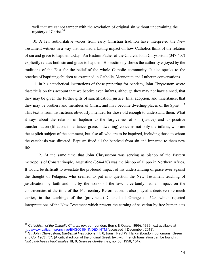well that we cannot tamper with the revelation of original sin without undermining the mystery of Christ.<sup>[14](#page-13-0)</sup>

10. A few authoritative voices from early Christian tradition have interpreted the New Testament witness in a way that has had a lasting impact on how Catholics think of the relation of sin and grace to baptism today. An Eastern Father of the Church, John Chrysostom (347-407) explicitly relates both sin and grace to baptism. His testimony shows the authority enjoyed by the traditions of the East for the belief of the whole Catholic community. It also speaks to the practice of baptizing children as examined in Catholic, Mennonite and Lutheran conversations.

11. In his catechetical instructions of those preparing for baptism, John Chrysostom wrote that: "It is on this account that we baptize even infants, although they may not have sinned, that they may be given the further gifts of sanctification, justice, filial adoption, and inheritance, that they may be brothers and members of Christ, and may become dwelling-places of the Spirit."<sup>[15](#page-13-1)</sup> This text is from instructions obviously intended for those old enough to understand them. What it says about the relation of baptism to the forgiveness of sin (justice) and to positive transformation (filiation, inheritance, grace, indwelling) concerns not only the infants, who are the explicit subject of the comment, but also all who are to be baptized, including those to whom the catechesis was directed. Baptism freed all the baptized from sin and imparted to them new life.

12. At the same time that John Chrysostom was serving as bishop of the Eastern metropolis of Constantinople, Augustine (354-430) was the bishop of Hippo in Northern Africa. It would be difficult to overstate the profound impact of his understanding of grace over against the thought of Pelagius, who seemed to put into question the New Testament teaching of justification by faith and not by the works of the law. It certainly had an impact on the controversies at the time of the 16th century Reformation. It also played a decisive role much earlier, in the teachings of the (provincial) Council of Orange of 529, which rejected interpretations of the New Testament which present the earning of salvation by free human acts

<span id="page-13-0"></span><sup>&</sup>lt;sup>14</sup> Catechism of the Catholic Church, rev. ed. (London: Burns & Oates, 1999), §389: text available at http://www.vatican.va/archive/ENG0015/ INDEX.HTM [accessed 1 December, 2018].

<span id="page-13-1"></span><sup>&</sup>lt;sup>15</sup> St. John Chrysostom, *Baptismal Instructions*, III, 6, transl. Paul W. Harkin (London: Longmans, Green and Co, 1963), 57. (A critical edition of the original Greek text with French translation can be found in: *Huit catéchèses baptismales*, III, 6, *Sources chrétiennes*, no. 50, 1956, 154).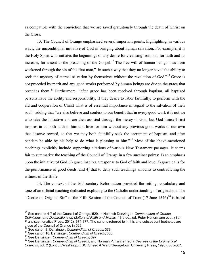as compatible with the conviction that we are saved gratuitously through the death of Christ on the Cross.

13. The Council of Orange emphasized several important points, highlighting, in various ways, the unconditional initiative of God in bringing about human salvation. For example, it is the Holy Spirit who initiates the beginnings of any desire for cleansing from sin, for faith and its increase, for assent to the preaching of the Gospel.<sup>[16](#page-14-0)</sup> The free will of human beings "has been weakened through the sin of the first man," in such a way that they no longer have "the ability to seek the mystery of eternal salvation by themselves without the revelation of God."<sup>[17](#page-14-1)</sup> Grace is not preceded by merit and any good works performed by human beings are due to the grace that precedes them. [18](#page-14-2) Furthermore, "after grace has been received through baptism, all baptized persons have the ability and responsibility, if they desire to labor faithfully, to perform with the aid and cooperation of Christ what is of essential importance in regard to the salvation of their soul," adding that "we also believe and confess to our benefit that in every good work it is not we who take the initiative and are then assisted through the mercy of God, but God himself first inspires in us both faith in him and love for him without any previous good works of our own that deserve reward, so that we may both faithfully seek the sacrament of baptism, and after baptism be able by his help to do what is pleasing to him." [19](#page-14-3) Most of the above-mentioned teachings explicitly include supporting citations of various New Testament passages. It seems fair to summarize the teaching of the Council of Orange in a few succinct points: 1) an emphasis upon the initiative of God, 2) grace inspires a response to God of faith and love, 3) grace calls for the performance of good deeds, and 4) that to deny such teachings amounts to contradicting the witness of the Bible.

14. The context of the 16th century Reformation provided the setting, vocabulary and tone of an official teaching dedicated explicitly to the Catholic understanding of original sin. The "Decree on Original Sin" of the Fifth Session of the Council of Trent  $(17 \text{ June } 1546)^{20}$  $(17 \text{ June } 1546)^{20}$  $(17 \text{ June } 1546)^{20}$  is based

<span id="page-14-0"></span> <sup>16</sup> See canons 4-7 of the Council of Orange, 529, in Heinrich Denzinger, *Compendium of Creeds, Definitions, and Declarations on Matters of Faith and Morals,* 43rd ed., ed. Peter Hünermann et al. (San Francisco: Ignatius Press, 2012), 374-377. The canons referred to in this and subsequent footnotes are those of the Council of Orange in 529.

<sup>17</sup> See canon 8; Denzinger, *Compendium of Creeds*, 378.

<span id="page-14-2"></span><span id="page-14-1"></span><sup>18</sup> See canon 18; Denzinger, *Compendium of Creeds*, 388.

<sup>19</sup> See Denzinger, *Compendium of Creeds*, 397.

<span id="page-14-4"></span><span id="page-14-3"></span><sup>20</sup> See Denzinger, *Compendium of Creeds*, and Norman P. Tanner (ed.), *Decrees of the Ecumenical Councils*, vol. 2 (London/Washington DC: Sheed & Ward/Georgetown University Press, 1990), 665-667.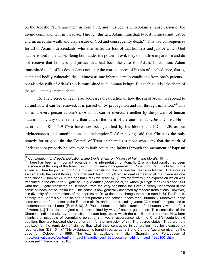on the Apostle Paul's argument in Rom 5:12, and thus begins with Adam's transgression of the divine commandment in paradise. Through this act, Adam immediately lost holiness and justice and incurred the wrath and displeasure of God and consequently death.<sup>[21](#page-15-0)</sup> This had consequences for all of Adam's descendants, who also suffer the loss of that holiness and justice which God had bestowed in paradise. Being born under the power of evil, they do not live in paradise and do not receive that holiness and justice that had been the case for Adam. In addition, Adam transmitted to all of his descendants not only the consequences of his sin of disobedience, that is, death and bodily vulnerabilities – almost as one inherits certain conditions from one's parents – but also the guilt of Adam's sin is transmitted to all human beings. But such guilt is "the death of the soul," that is, eternal death.

15. The Decree of Trent also addresses the question of how the sin of Adam has spread to all and how it can be removed. It is passed on by propagation and not through imitation.<sup>[22](#page-15-1)</sup> This sin is in every person as one's *own* sin. It can be overcome neither by the powers of human nature nor by any other remedy than that of the merit of the one mediator, Jesus Christ. He is described in Rom 5:9 ("we have now been justified by his blood) and 1 Cor 1:30 as our "righteousness and sanctification and redemption." After having said that Christ is the only remedy for original sin, the Council of Trent anathematizes those who deny that the merit of Christ cannot properly be conveyed to both adults and infants through the sacrament of baptism

<span id="page-15-0"></span> <sup>21</sup> *Compendium of Creeds, Definitions, and Declarations on Matters of Faith and Morals*, 1511.

<span id="page-15-1"></span> $22$  There has been an important advance in the interpretation of Rom. 5:12, which traditionally had been the source of thinking of the transmission of original sin by generation. Pope John Paul II alluded to this advance, when he pointed out: "In a modern translation, the Pauline text reads as follows: 'Therefore as sin came into the world through one man and death through sin, so death spread to all men because one man sinned' (Rom 5:12). In the original Greek we read: *ἐφ' ᾧ πάντες ἥμαρτον,* an expression which was translated in the old Latin Vulgate as: *In quo omnes peccaverunt*, 'in whom (a single man) all sinned.' But what the Vulgate translates as 'in whom' from the very beginning the Greeks clearly understood in the sense of 'because' or 'inasmuch'. This sense is now generally accepted by modern translations. However, this diversity of interpretations of the expression *ἐφ' ᾧ* does not change the basic truth in St. Paul's text, namely, that Adam's sin (the sin of our first parents) had consequences for all humanity. Moreover, in the same chapter of the Letter to the Romans (5:19), and in the preceding verse: 'One man's trespass led to condemnation for all men' (Rom 5:18), St Paul connects the sinful situation of all humanity with the fault of Adam. [...] Therefore, original sin is transmitted by way of natural generation. This conviction of the Church is indicated also by the practice of infant baptism, to which the conciliar decree refers. New born infants are incapable of committing personal sin, yet in accordance with the Church's centuries-old tradition, they are baptized shortly after birth for the remission of sin. The decree states: 'They are truly baptized for the remission of sin, so that what they contracted in generation may be cleansed by regeneration' (DS 1514)." This explanation is found in paragraphs 3 and 5 of the Audience given by the pope on October 1, 1986. The text is available in Italian, Spanish, and Portuguese at [https://w2.vatican.va/content/john-paul-ii/it/audiences/1986/documents/hf\\_jp-ii\\_aud\\_19861001.html](https://w2.vatican.va/content/john-paul-ii/it/audiences/1986/documents/hf_jp-ii_aud_19861001.html) [accessed 1 December, 2018].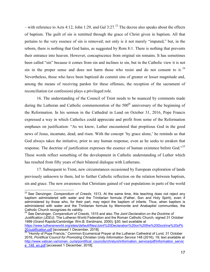– with reference to Acts 4:12, John 1:29, and Gal 3:27.<sup>[23](#page-16-0)</sup> The decree also speaks about the effects of baptism. The guilt of sin is remitted through the grace of Christ given in baptism. All that pertains to the very essence of sin is removed; not only is it not merely "imputed," but, in the reborn, there is nothing that God hates, as suggested by Rom 8:1. There is nothing that prevents their entrance into heaven. However, concupiscence from original sin remains. It has sometimes been called "sin" because it comes from sin and inclines to sin, but in the Catholic view it is not sin in the proper sense and does not harm those who resist and do not consent to it.<sup>[24](#page-16-1)</sup> Nevertheless, those who have been baptized do commit sins of greater or lesser magnitude and, among the means of receiving pardon for these offenses, the reception of the sacrament of reconciliation (or confession) plays a privileged role.

16. The understanding of the Council of Trent needs to be nuanced by comments made during the Lutheran and Catholic commemoration of the  $500<sup>th</sup>$  anniversary of the beginning of the Reformation. In his sermon in the Cathedral in Lund on October 31, 2016, Pope Francis expressed a way in which Catholics could appreciate and profit from some of the Reformation emphases on justification: "As we know, Luther encountered that propitious God in the good news of Jesus, incarnate, dead, and risen. With the concept 'by grace alone,' he reminds us that God always takes the initiative, prior to any human response, even as he seeks to awaken that response. The doctrine of justification expresses the essence of human existence before God."<sup>[25](#page-16-2)</sup> These words reflect something of the development in Catholic understanding of Luther which has resulted from fifty years of their bilateral dialogue with Lutherans.

17. Subsequent to Trent, new circumstances occasioned by European exploration of lands previously unknown to them, led to further Catholic reflection on the relation between baptism, sin and grace. The new awareness that Christians gained of vast populations in parts of the world

<span id="page-16-1"></span><sup>24</sup> See Denzinger, *Compendium of Creeds*, 1515 and also *The Joint Declaration on the Doctrine of Justification (JDDJ),* The Lutheran World Federation and the Roman Catholic Church, signed 31 October 1999 (Grand Rapids/Cambridge: Wm.B. Eerdmans, 2000), §30; text available at [https://www.lutheranworld.org/sites/default/files/Joint%20Declaration%20on%20the%20Doctrine%20of%](https://www.lutheranworld.org/sites/default/files/Joint%20Declaration%20on%20the%20Doctrine%20of%20Justification.pdf)<br>20Justification.pdf [accessed 1 December, 2018].

<span id="page-16-0"></span> <sup>23</sup> See Denzinger, *Compendium of Creeds*, 1513. At the same time, this teaching does not reject any baptism administered with water and the Trinitarian formula (Father, Son and Holy Spirit), even if administered by those who, for their part, may reject the baptism of infants. Thus, when baptism is administered with water and the Trinitarian formula by Mennonite and Anabaptist communities, the Catholic Church recognizes its validity.

<span id="page-16-2"></span><sup>2003.</sup> Economication.pdf [accessed 1 December, 2018]. 2016, *Pontifical Council for Promoting Christian Unity Information Service* 148 (2016), 19; text available at [http://www.vatican.va/roman\\_curia/pontifical\\_councils/chrstuni/information\\_service/pdf/information\\_servic](http://www.vatican.va/roman_curia/pontifical_councils/chrstuni/information_service/pdf/information_service_148_en.pdf) [e\\_148\\_en.pdf](http://www.vatican.va/roman_curia/pontifical_councils/chrstuni/information_service/pdf/information_service_148_en.pdf) [accessed 1 December, 2018].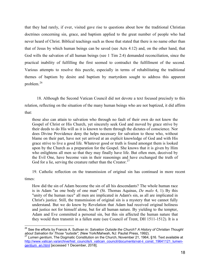that they had rarely, if ever, visited gave rise to questions about how the traditional Christian doctrines concerning sin, grace, and baptism applied to the great number of people who had never heard of Christ. Biblical teachings such as those that stated that there is no name other than that of Jesus by which human beings can be saved (see Acts 4:12) and, on the other hand, that God wills the salvation of all human beings (see 1 Tim 2:4) demanded reconciliation, since the practical inability of fulfilling the first seemed to contradict the fulfillment of the second. Various attempts to resolve this puzzle, especially in terms of rehabilitating the traditional themes of baptism by desire and baptism by martyrdom sought to address this apparent problem.[26](#page-17-0)

18. Although the Second Vatican Council did not devote a text focused precisely to this relation, reflecting on the situation of the many human beings who are not baptized, it did affirm that:

those also can attain to salvation who through no fault of their own do not know the Gospel of Christ or His Church, yet sincerely seek God and moved by grace strive by their deeds to do His will as it is known to them through the dictates of conscience. Nor does Divine Providence deny the helps necessary for salvation to those who, without blame on their part, have not yet arrived at an explicit knowledge of God and with His grace strive to live a good life. Whatever good or truth is found amongst them is looked upon by the Church as a preparation for the Gospel. She knows that it is given by Him who enlightens all men so that they may finally have life. But often men, deceived by the Evil One, have become vain in their reasonings and have exchanged the truth of God for a lie, serving the creature rather than the Creator. $27$ 

19. Catholic reflection on the transmission of original sin has continued in more recent times:

How did the sin of Adam become the sin of all his descendants? The whole human race is in Adam "as one body of one man" (St. Thomas Aquinas, *De malo* 4, 1). By this "unity of the human race" all men are implicated in Adam's sin, as all are implicated in Christ's justice. Still, the transmission of original sin is a mystery that we cannot fully understand. But we do know by Revelation that Adam had received original holiness and justice not for himself alone, but for all human nature. By yielding to the tempter, Adam and Eve committed a personal sin, but this sin affected the human nature that they would then transmit in a fallen state (see Council of Trent, DH 1511-1512). It is a

<span id="page-17-0"></span> <sup>26</sup> See the efforts by Francis A. Sullivan in: *Salvation Outside the Church? A History of Christian Thought*  about Salvation for Those "outside", (New York/Mahwah, NJ: Paulist Press, 1992).<br><sup>27</sup> Lumen gentium, The Dogmatic Constitution on the Church, November 21, 1964, §16. Text available at

<span id="page-17-1"></span>[http://www.vatican.va/archive/hist\\_councils/ii\\_vatican\\_council/documents/vat-ii\\_const\\_19641121\\_lumen](http://www.vatican.va/archive/hist_councils/ii_vatican_council/documents/vat-ii_const_19641121_lumen-gentium_en.html)[gentium\\_en.html](http://www.vatican.va/archive/hist_councils/ii_vatican_council/documents/vat-ii_const_19641121_lumen-gentium_en.html) [accessed 1 December, 2018].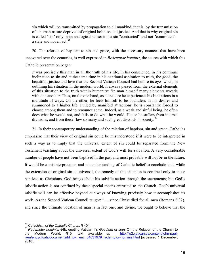sin which will be transmitted by propagation to all mankind, that is, by the transmission of a human nature deprived of original holiness and justice. And that is why original sin is called "sin" only in an analogical sense: it is a sin "contracted" and not "committed" a state and not an act. [28](#page-18-0)

20. The relation of baptism to sin and grace, with the necessary nuances that have been uncovered over the centuries, is well expressed in *Redemptor hominis*, the source with which this Catholic presentation began:

It was precisely this man in all the truth of his life, in his conscience, in his continual inclination to sin and at the same time in his continual aspiration to truth, the good, the beautiful, justice and love that the Second Vatican Council had before its eyes when, in outlining his situation in the modern world, it always passed from the external elements of this situation to the truth within humanity: "In man himself many elements wrestle with one another. Thus, on the one hand, as a creature he experiences his limitations in a multitude of ways. On the other, he feels himself to be boundless in his desires and summoned to a higher life. Pulled by manifold attractions, he is constantly forced to choose among them and to renounce some. Indeed, as a weak and sinful being, he often does what he would not, and fails to do what he would. Hence he suffers from internal divisions, and from these flow so many and such great discords in society.<sup>[29](#page-18-1)</sup>

21. In their contemporary understanding of the relation of baptism, sin and grace, Catholics emphasize that their view of original sin could be misunderstood if it were to be interpreted in such a way as to imply that the universal extent of sin could be separated from the New Testament teaching about the universal extent of God's will for salvation. A very considerable number of people have not been baptized in the past and most probably will not be in the future. It would be a misinterpretation and misunderstanding of Catholic belief to conclude that, while the extension of original sin is universal, the remedy of this situation is confined only to those baptized as Christians. God brings about his salvific action through the sacraments; but God's salvific action is not confined by these special means entrusted to the Church. God's universal salvific will can be effective beyond our ways of knowing precisely how it accomplishes its work. As the Second Vatican Council taught: "… since Christ died for all men (Romans 8:32), and since the ultimate vocation of man is in fact one, and divine, we ought to believe that the

<span id="page-18-1"></span><span id="page-18-0"></span><sup>&</sup>lt;sup>28</sup> Catechism of the Catholic Church, § 404.<br><sup>29</sup> Redemptor hominis, §4b, quoting Vatican II's *Gaudium et spes* On the Relation of the Church to the Modern World, §10; text available at [http://w2.vatican.va/content/john-paul](http://w2.vatican.va/content/john-paul-ii/en/encyclicals/documents/hf_jp-ii_enc_04031979_redemptor-hominis.html)[ii/en/encyclicals/documents/hf\\_jp-ii\\_enc\\_04031979\\_redemptor-hominis.html](http://w2.vatican.va/content/john-paul-ii/en/encyclicals/documents/hf_jp-ii_enc_04031979_redemptor-hominis.html) [accessed 1 December, 2018].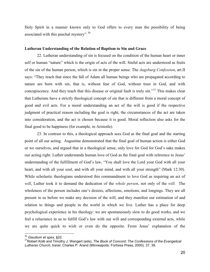Holy Spirit in a manner known only to God offers to every man the possibility of being associated with this paschal mystery".<sup>[30](#page-19-1)</sup>

#### <span id="page-19-0"></span>**Lutheran Understanding of the Relation of Baptism to Sin and Grace**

22. Lutheran understanding of sin is focused on the condition of the human heart or inner self or human "nature" which is the origin of acts of the will. Sinful acts are understood as fruits of the sin of the human person, which is sin in the proper sense. The *Augsburg Confession*, art.II says: "They teach that since the fall of Adam all human beings who are propagated according to nature are born with sin, that is, without fear of God, without trust in God, and with concupiscence. And they teach that this disease or original fault is truly sin."[31](#page-19-2) This makes clear that Lutherans have a strictly theological concept of sin that is different from a moral concept of good and evil acts. For a moral understanding an act of the will is good if the respective judgment of practical reason including the goal is right, the circumstances of the act are taken into consideration, and the act is chosen because it is good. Moral reflection also asks for the final good to be happiness (for example, in Aristotle).

23. In contrast to this, a theological approach sees God as the final goal and the starting point of all our acting. Augustine demonstrated that the final goal of human action is either God or we ourselves, and argued that in a theological sense, only love for God for God's sake makes our acting right. Luther understands human love of God as the final goal with reference to Jesus' understanding of the fulfillment of God's law, "You shall love the Lord your God with all your heart, and with all your soul, and with all your mind, and with all your strength" (Mark 12:30). While scholastic theologians understood this commandment to love God as requiring an act of *will*, Luther took it to demand the dedication of the *whole person*, not only of the *will*. The wholeness of the person includes one's desires, affections, emotions, and longings. They are all present in us before we make any decision of the will, and they manifest our estimation of and relation to things and people in the world in which we live. Luther has a place for deep psychological experience in his theology: we are spontaneously slow to do good works, and we feel a reluctance in us to fulfill God's law with our will and corresponding external acts, while we are quite quick to wish or even do the opposite. From Jesus' explanation of the

<span id="page-19-2"></span><span id="page-19-1"></span><sup>&</sup>lt;sup>30</sup> Gaudium et spes, §22.<br><sup>31</sup>Robert Kolb and Timothy J. Wengert (eds), *The Book of Concord: The Confessions of the Evangelical Lutheran Church*, transl. Charles P. Arand (Minneapolis: Fortress Press, 2000), 37, 39.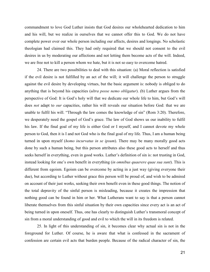commandment to love God Luther insists that God desires our wholehearted dedication to him and his will, but we realize in ourselves that we cannot offer this to God. We do not have complete power over our whole person including our affects, desires and longings. No scholastic theologian had claimed this. They had only required that we should not consent to the evil desires in us by moderating our affections and not letting them become acts of the will. Indeed, we are free not to kill a person whom we hate, but it is not so easy to overcome hatred.

24. There are two possibilities to deal with this situation: (a) Moral reflection is satisfied if the evil desire is not fulfilled by an act of the will; it will challenge the person to struggle against the evil desire by developing virtues, but the basic argument is: nobody is obliged to do anything that is beyond his capacities (*ultra posse nemo obligatur*). (b) Luther argues from the perspective of God: It is God's holy will that we dedicate our whole life to him, but God's will does *not* adapt to *our* capacities, rather his will reveals our situation before God: that we are unable to fulfil his will. "Through the law comes the knowledge of sin" (Rom 3:20). Therefore, we desperately need the gospel of God's grace. The law of God shows us our inability to fulfil his law. If the final goal of my life is either God or I myself, and I cannot devote my whole person to God, then it is I and not God who is the final goal of my life. Thus, I am a human being turned in upon myself (*homo incurvatus in se ipsum*). There may be many morally good acts done by such a human being, but this person attributes also these good acts to herself and thus seeks herself in everything, even in good works. Luther's definition of sin is: not trusting in God, instead looking for one's own benefit in everything (*in omnibus quaerere quae sua sunt*). This is different from egoism. Egoism can be overcome by acting in a just way (giving everyone their due), but according to Luther without grace this person will be proud of, and wish to be admired on account of their just works, seeking their own benefit even in these good things. The notion of the total depravity of the sinful person is misleading, because it creates the impression that nothing good can be found in him or her. What Lutherans want to say is that a person cannot liberate themselves from this sinful situation by their own capacities since every act is an act of being turned in upon oneself. Thus, one has clearly to distinguish Luther's transmoral concept of sin from a moral understanding of good and evil to which the will in its freedom is related.

25. In light of this understanding of sin, it becomes clear why actual sin is not in the foreground for Luther. Of course, he is aware that what is confessed in the sacrament of confession are certain evil acts that burden people. Because of the radical character of sin, the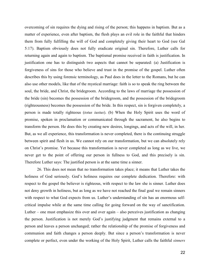overcoming of sin requires the dying and rising of the person; this happens in baptism. But as a matter of experience, even after baptism, the flesh plays an evil role in the faithful that hinders them from fully fulfilling the will of God and completely giving their heart to God (see Gal 5:17). Baptism obviously does not fully eradicate original sin. Therefore, Luther calls for returning again and again to baptism. The baptismal promise received in faith is justification. In justification one has to distinguish two aspects that cannot be separated: (a) Justification is forgiveness of sins for those who believe and trust in the promise of the gospel. Luther often describes this by using forensic terminology, as Paul does in the letter to the Romans, but he can also use other models, like that of the mystical marriage: faith is so to speak the ring between the soul, the bride, and Christ, the bridegroom. According to the laws of marriage the possession of the bride (sin) becomes the possession of the bridegroom, and the possession of the bridegroom (righteousness) becomes the possession of the bride. In this respect, sin is forgiven completely, a person is made totally righteous (*totus iustus*). (b) When the Holy Spirit uses the word of promise, spoken in proclamation or communicated through the sacrament, he also begins to transform the person. He does this by creating new desires, longings, and acts of the will, in her. But, as we all experience, this transformation is never completed, there is the continuing struggle between spirit and flesh in us. We cannot rely on our transformation, but we can absolutely rely on Christ's promise. Yet because this transformation is never completed as long as we live, we never get to the point of offering our person in fullness to God, and this precisely is sin. Therefore Luther says: The justified person is at the same time a sinner.

26. This does not mean that no transformation takes place; it means that Luther takes the holiness of God seriously. God's holiness requires our complete dedication. Therefore: with respect to the gospel the believer is righteous, with respect to the law she is sinner. Luther does not deny growth in holiness, but as long as we have not reached the final goal we remain sinners with respect to what God expects from us. Luther's understanding of sin has an enormous selfcritical impulse while at the same time calling for going forward on the way of sanctification. Luther – one must emphasize this over and over again – also perceives justification as changing the person. Justification is not merely God's justifying judgment that remains external to a person and leaves a person unchanged; rather the relationship of the promise of forgiveness and communion and faith changes a person deeply. But since a person's transformation is never complete or perfect, even under the working of the Holy Spirit, Luther calls the faithful *sinners*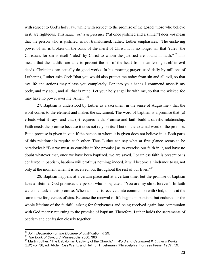with respect to God's holy law, while with respect to the promise of the gospel those who believe in it, are righteous. This *simul iustus et peccator* ("at once justified and a sinner") does *not* mean that the person who is justified, is not transformed, rather, Luther emphasizes: "The enslaving power of sin is broken on the basis of the merit of Christ. It is no longer sin that 'rules' the Christian, for sin is itself 'ruled' by Christ to whom the justified are bound in faith."[32](#page-22-0) This means that the faithful are able to prevent the sin of the heart from manifesting itself in evil deeds. Christians can actually do good works. In his morning prayer, used daily by millions of Lutherans, Luther asks God: "that you would also protect me today from sin and all evil, so that my life and actions may please you completely. For into your hands I commend myself: my body, and my soul, and all that is mine. Let your holy angel be with me, so that the wicked foe may have no power over me. Amen."<sup>[33](#page-22-1)</sup>

27. Baptism is understood by Luther as a sacrament in the sense of Augustine - that the word comes to the element and makes the sacrament. The word of baptism is a promise that (a) effects what it says, and that (b) requires faith. Promise and faith build a salvific relationship. Faith needs the promise because it does not rely on itself but on the external word of the promise. But a promise is given in vain if the person to whom it is given does not believe in it. Both parts of this relationship require each other. Thus Luther can say what at first glance seems to be paradoxical: "But we must so consider it [the promise] as to exercise our faith in it, and have no doubt whatever that, once we have been baptized, we are saved. For unless faith is present or is conferred in baptism, baptism will profit us nothing; indeed, it will become a hindrance to us, not only at the moment when it is received, but throughout the rest of our lives."<sup>[34](#page-22-2)</sup>

28. Baptism happens at a certain place and at a certain time, but the promise of baptism lasts a lifetime. God promises the person who is baptized: "You are my child forever". In faith we come back to this promise. When a sinner is received into communion with God, this is at the same time forgiveness of sins. Because the renewal of life begins in baptism, but endures for the whole lifetime of the faithful, asking for forgiveness and being received again into communion with God means: returning to the promise of baptism. Therefore, Luther holds the sacraments of baptism and confession closely together.

<span id="page-22-2"></span>

<span id="page-22-1"></span><span id="page-22-0"></span><sup>&</sup>lt;sup>32</sup> Joint Declaration on the Doctrine of Justification, § 29.<br><sup>33</sup> The Book of Concord, Minneapolis 2000, 363<br><sup>34</sup> Martin Luther, "The Babylonian Captivity of the Church," in Word and Sacrament II: Luther's Works (LW) vol. 36, ed. Abdel Ross Wentz and Helmut T. Lehmann (Philadelphia: Fortress Press, 1959), 59.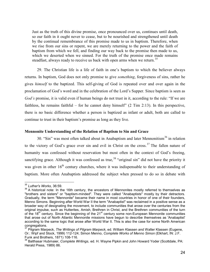Just as the truth of this divine promise, once pronounced over us, continues until death, so our faith in it ought never to cease, but to be nourished and strengthened until death by the continual remembrance of this promise made to us in baptism. Therefore, when we rise from our sins or repent, we are merely returning to the power and the faith of baptism from which we fell, and finding our way back to the promise then made to us, which we deserted when we sinned. For the truth of the promise once made remains steadfast, always ready to receive us back with open arms when we return.<sup>[35](#page-23-1)</sup>

29. The Christian life is a life of faith in one's baptism to which the believer always returns. In baptism, God does not only promise to give *something*, forgiveness of sins, rather he gives *himself* to the baptized. This self-giving of God is repeated over and over again in the proclamation of God's word and in the celebration of the Lord's Supper. Since baptism is seen as *God's* promise, it is valid even if human beings do not trust in it, according to the rule: "If we are faithless, he remains faithful – for he cannot deny himself" (2 Tim 2:13). In this perspective, there is no basic difference whether a person is baptized as infant or adult, both are called to continue to trust in their baptism's promise as long as they live.

#### <span id="page-23-0"></span>**Mennonite Understanding of the Relation of Baptism to Sin and Grace**

30. "Sin" was most often talked about in Anabaptism and later Mennonitism<sup>[36](#page-23-2)</sup> in relation to the victory of God's grace over sin and evil in Christ on the cross.<sup>[37](#page-23-3)</sup> The fallen nature of humanity was confessed without reservation but most often in the context of God's freeing, sanctifying grace. Although it was confessed as true,<sup>[38](#page-23-4)</sup> "original sin" did not have the priority it was given in other  $16<sup>th</sup>$  century churches, where it was indispensable to their understanding of baptism. More often Anabaptists addressed the subject when pressed to do so in debate with

<span id="page-23-1"></span> <sup>35</sup> *Luther's Works*, 36:59.

<span id="page-23-2"></span> $36$  A historical note: In the 16th century, the ancestors of Mennonites mostly referred to themselves as "brothers and sisters" or "baptism-minded". They were called "Anabaptists" mostly by their detractors. Gradually, the term "Mennonite" became their name in most countries in honor of one of their founders, Menno Simons. Beginning after World War II the term "Anabaptist" was reclaimed in a positive sense as a broader way of designating the movement, to include communities that arose over the centuries from the original impulse, such as Hutterites, Amish, Brethren in Christ, and the Brethren communities of the turn of the 18<sup>th</sup> century. Since the beginning of the 21<sup>st</sup> century some non-European Mennonite communities that arose out of North Atlantic Mennonite missions have begun to describe themselves as 'Anabaptist' according to the same logic that arose after World War II. This is also the case for some North American congregations.

<span id="page-23-3"></span><sup>37</sup> Pilgram Marpeck, *The Writings of Pilgram Marpeck*, ed. William Klassen and Walter Klassen (Eugene, Or.: Wipf and Stock, 1999) 112-124; Simon Menno, *Complete Works of Menno Simon* (Elkhart, IN: J.F.

<span id="page-23-4"></span><sup>&</sup>lt;sup>38</sup> Balthasar Hubmaier, *Complete Writings*, ed. H. Wayne Pipkin and John Howard Yoder (Scottdale, PA: Herald Press, 1989) 86.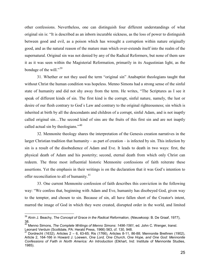other confessions. Nevertheless, one can distinguish four different understandings of what original sin is: "It is described as an inborn incurable sickness, as the loss of power to distinguish between good and evil, as a poison which has wrought a corruption within nature originally good, and as the natural reason of the mature man which over-extends itself into the realm of the supernatural. Original sin was not denied by any of the Radical Reformers, but none of them saw it as it was seen within the Magisterial Reformation, primarily in its Augustinian light, as the bondage of the will."<sup>[39](#page-24-0)</sup>

31. Whether or not they used the term "original sin" Anabaptist theologians taught that without Christ the human condition was hopeless. Menno Simons had a strong sense of the sinful state of humanity and did not shy away from the term. He writes, "The Scriptures as I see it speak of different kinds of sin. The first kind is the corrupt, sinful nature, namely, the lust or desire of our flesh contrary to God´s Law and contrary to the original righteousness; sin which is inherited at birth by all the descendants and children of a corrupt, sinful Adam, and is not inaptly called original sin…The second kind of sins are the fruits of this first sin and are not inaptly called actual sin by theologians."<sup>[40](#page-24-1)</sup>

32. Mennonite theology shares the interpretation of the Genesis creation narratives in the larger Christian tradition that humanity – as part of creation – is infected by sin. This infection by sin is a result of the disobedience of Adam and Eve. It leads to death in two ways: first, the physical death of Adam and his posterity; second, eternal death from which only Christ can redeem. The three most influential historic Mennonite confessions of faith reiterate these assertions. Yet the emphasis in their writings is on the declaration that it was God's intention to offer reconciliation to all of humanity.<sup>[41](#page-24-2)</sup>

33. One current Mennonite confession of faith describes this conviction in the following way: "We confess that, beginning with Adam and Eve, humanity has disobeyed God, given way to the tempter, and chosen to sin. Because of sin, all have fallen short of the Creator's intent, marred the image of God in which they were created, disrupted order in the world, and limited

<span id="page-24-0"></span> <sup>39</sup> Alvin J. Beachy, *The Concept of Grace in the Radical Reformation*, (Nieuwkoop: B. De Graaf, 1977), 38.

<span id="page-24-1"></span><sup>40</sup> Menno Simons, *The Complete Writings of Menno Simons*: *1496-1561*, ed. John C. Wenger, transl. Leonard Verduin (Scottdale, PA: Herald Press, 1966) 563, cf. 130, 948.<br><sup>41</sup> Dordrecht (1632), Articles 2 – 6, 63-65; Ris (1766), Articles 8-11, 86-88; Mennonite Brethren (1902),

<span id="page-24-2"></span>Article 2, 164-166 in Howard J. Loewen, *One Lord, One Church, One Hope, and One God: Mennonite Confessions of Faith in North America: An Introduction* (Elkhart, Ind: Institute of Mennonite Studies, 1985).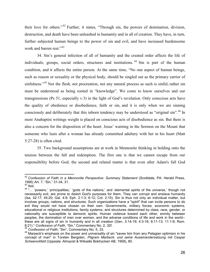their love for others." [42](#page-25-0) Further, it states, "Through sin, the powers of domination, division, destruction, and death have been unleashed in humanity and in all of creation. They have, in turn, further subjected human beings to the power of sin and evil, and have increased burdensome work and barren rest."<sup>[43](#page-25-1)</sup>

34. Sin's general infection of all of humanity and the created order affects the life of individuals, groups, social orders, structures and institutions.<sup>[44](#page-25-2)</sup> Sin is part of the human condition, and it affects the entire person. At the same time, "No one aspect of human beings, such as reason or sexuality or the physical body, should be singled out as the primary carrier of sinfulness."<sup>[45](#page-25-3)</sup> Not the flesh, not procreation, not any natural process as such is sinful; rather sin must be understood as being rooted in "knowledge". We come to know ourselves and our transgressions (Ps 51, especially v.3) in the light of God's revelation. Only conscious acts have the quality of obedience or disobedience, faith or sin, and it is only when we are sinning consciously and deliberately that this inborn tendency may be understood as "original sin".<sup>[46](#page-25-4)</sup> In most Anabaptist writings weight is placed on conscious acts of disobedience as sin. But there is also a concern for the disposition of the heart. Jesus' warning in the Sermon on the Mount that someone who lusts after a woman has already committed adultery with her in his heart (Matt 5:27-28) is often cited.

35. Two background assumptions are at work in Mennonite thinking in holding onto the tension between the fall and redemption. The first one is that we cannot escape from our responsibility before God; the second and related matter is that even after Adam's fall God

<span id="page-25-0"></span> <sup>42</sup> *Confession of Faith in a Mennonite Perspective: Summary Statement* (Scottdale, PA: Herald Press, 1995) Art. 7, "Sin," 31-34, 31.<br><sup>43</sup> Ibid.

<span id="page-25-1"></span>

<span id="page-25-2"></span><sup>44</sup> "… 'powers,' 'principalities,' 'gods of the nations,' and 'elemental spirits of the universe,' though not necessarily evil, are prone to distort God's purposes for them. They can corrupt and enslave humanity [\(Isa. 42:17;](http://bible.gospelcom.net/bible?language=english&version=NIV&showfn=yes&showxref=yes&passage=Isa+42:17) [45:20;](http://bible.gospelcom.net/bible?language=english&version=NIV&showfn=yes&showxref=yes&passage=Isa+42:17) [Gal. 4:9;](http://bible.gospelcom.net/bible?language=english&version=NIV&showfn=yes&showxref=yes&passage=Gal+4:9) [Eph. 2:1-3;](http://bible.gospelcom.net/bible?language=english&version=NIV&showfn=yes&showxref=yes&passage=Eph+2:1-3) [6:12;](http://bible.gospelcom.net/bible?language=english&version=NIV&showfn=yes&showxref=yes&passage=Eph+2:1-3) [Col. 2:15\)](http://bible.gospelcom.net/bible?language=english&version=NIV&showfn=yes&showxref=yes&passage=Col+2:15). Sin is thus not only an individual matter, but involves groups, nations, and structures. Such organizations have a "spirit" that can incite persons to do evil they would not have chosen on their own. Governments, military forces, economic systems, educational or religious institutions, family systems, and structures determined by class, race, gender, or nationality are susceptible to demonic spirits. Human violence toward each other, enmity between peoples, the domination of men over women, and the adverse conditions of life and work in the world-- these are all signs of sin in humanity and in all creation [\(Gen. 3:14-19;](http://bible.gospelcom.net/bible?language=english&version=NIV&showfn=yes&showxref=yes&passage=Gen+3:14-19) [4:3-16;](http://bible.gospelcom.net/bible?language=english&version=NIV&showfn=yes&showxref=yes&passage=Gen+3:14-19) [6:11-13;](http://bible.gospelcom.net/bible?language=english&version=NIV&showfn=yes&showxref=yes&passage=Gen+6:11-13) [11:1-9;](http://bible.gospelcom.net/bible?language=english&version=NIV&showfn=yes&showxref=yes&passage=Gen+6:11-13) [Rom.](http://bible.gospelcom.net/bible?language=english&version=NIV&showfn=yes&showxref=yes&passage=Rom+8:21) 8:21)." Confession of Faith, "Sin," Commentary No. 2, 32f.

<span id="page-25-4"></span>

<span id="page-25-3"></span> $45$  Confession of Faith, "Sin", Commentary No. 5, 33.<br> $46$  Marpeck's emphasis on the power and universality of sin "saves him from any Pelagian optimism in his concept of man" in Torsten Bergsten, *Pilgram Marbeck: und seine Auseinandersetzung mit Caspar Schwenckfeld* (Uppsala: Almqvist & Wiksells Boktryckeri AB, 1958), 80.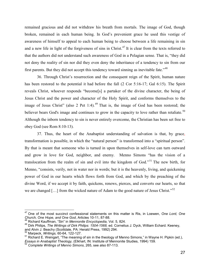remained gracious and did not withdraw his breath from mortals. The image of God, though broken, remained in each human being. In God's prevenient grace he used this vestige of awareness of himself to appeal to each human being to choose between a life remaining in sin and a new life in light of the forgiveness of sins in Christ.<sup>[47](#page-26-0)</sup> It is clear from the texts referred to that the authors did not understand such awareness of God in a Pelagian sense. That is, "they did not deny the reality of sin nor did they even deny the inheritance of a tendency to sin from our first parents. But they did not accept this tendency toward sinning as inevitable fate.<sup>7[48](#page-26-1)</sup>

36. Through Christ's resurrection and the consequent reign of the Spirit, human nature has been restored to the potential it had before the fall (2 Cor 5:16-17; Gal 6:15). The Spirit reveals Christ, whoever responds "become[s] a partaker of the divine character, the being of Jesus Christ and the power and character of the Holy Spirit, and conforms themselves to the image of Jesus Christ" (also 2 Pet 1:4).  $49$  That is, the image of God has been restored; the believer bears God's image and continues to grow in the capacity to love rather than retaliate.<sup>[50](#page-26-3)</sup> Although the inborn tendency to sin is never entirely overcome, the Christian has been set free to obey God (see Rom 8:10-13).

37. Thus, the heart of the Anabaptist understanding of salvation is that, by grace, transformation is possible, in which the "natural person" is transformed into a "spiritual person". By that is meant that someone who is turned in upon themselves in self-love can turn outward and grow in love for God, neighbor, and enemy. Menno Simons "has the vision of a translocation from the realm of sin and evil into the kingdom of God."<sup>[51](#page-26-4)</sup> The new birth, for Menno, "consists, verily, not in water nor in words; but it is the heavenly, living, and quickening power of God in our hearts which flows forth from God, and which by the preaching of the divine Word, if we accept it by faith, quickens, renews, pierces, and converts our hearts, so that we are changed [...] from the wicked nature of Adam to the good nature of Jesus Christ."<sup>[52](#page-26-5)</sup>

<span id="page-26-0"></span> <sup>47</sup> One of the most succinct confessional statements on this matter is Ris, in Loewen, *One Lord, One Church, One Hope, and One God*, Articles 10-11, 87-88.

<sup>48</sup> Richard Kauffman, "Sin" in *Mennonite Encyclopedia,* Vol. 5, 824.

<span id="page-26-2"></span><span id="page-26-1"></span><sup>49</sup> Dirk Philips, *The Writings of Dirk Philips: 1504-1568,* ed. Cornelius J. Dyck, William Echard. Keeney, and Alvin J. Beachy (Scottdale, PA: Herald Press, 1992) 294. <sup>50</sup> Marpeck, *Writings,* 60-64, 122-127.

<span id="page-26-3"></span>

<span id="page-26-4"></span><sup>&</sup>lt;sup>51</sup> Richard E. Weingart, "The meaning of sin in the theology of Menno Simons," in Wayne H. Pipkin (ed.), *Essays in Anabaptist Theology,* (Elkhart, IN: Institute of Mennonite Studies, 1994) 159. <sup>52</sup> *Complete Writings of Menno Simons*, 265, see also 87-113.

<span id="page-26-5"></span>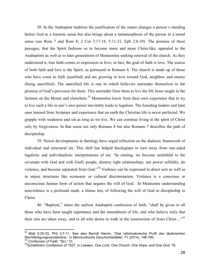38. In the Anabaptist tradition the justification of the sinner changes a person´s standing before God in a forensic sense but also brings about a metamorphosis of the person in a moral sense (see Rom 7 and Rom 8; 2 Cor 3:17-18, 5:11-21; Eph 2:8-10). The promise of these passages, that the Spirit fashions us to become more and more Christ-like, appealed to the Anabaptists as well as to later generations of Mennonites seeking renewal of the church. As they understood it, true faith comes to expression in love; in fact, the goal of faith is love. The source of both faith and love is the Spirit, as portrayed in Romans 8. The church is made up of those who have come to faith (justified) and are growing in love toward God, neighbor, and enemy (being sanctified). The sanctified life is one in which believers surrender themselves to the promise of God's provision for them. This surrender frees them to live the life Jesus taught in the Sermon on the Mount and elsewhere.<sup>[53](#page-27-0)</sup> Mennonites know from their own experience that to try to live such a life in one's own power inevitably leads to legalism. The founding leaders and later ones learned from Scripture and experience that on earth the Christian life is never perfected. We grapple with weakness and sin as long as we live. We can continue living in the spirit of Christ only by forgiveness. In that sense not only Romans 8 but also Romans 7 describes the path of discipleship.

39. Newer developments in theology have urged reflection on the dialectic framework of individual and structural sin. This shift has helped theologians to turn away from one-sided legalistic and individualistic interpretations of sin. "In sinning, we become unfaithful to the covenant with God and with God's people, destroy right relationships, use power selfishly, do violence, and become separated from God."[54](#page-27-1) Violence can be expressed in direct acts as well as in unjust structures like economic or cultural discrimination. Violence is a conscious or unconscious human form of action that negates the will of God. In Mennonite understanding nonviolence is a profound mark, a litmus test, of following the will of God in discipleship to Christ.

40. "Baptism," states the earliest Anabaptist confession of faith, "shall be given to all those who have been taught repentance and the amendment of life, and who believe truly that their sins are taken away, and to all who desire to walk in the resurrection of Jesus Christ…"[55](#page-27-2)

<span id="page-27-0"></span> <sup>53</sup> Matt 6:25-33, Phil 3:7-11. See also Berndt Hamm, "Das reformatorische Profil des täuferischen Rechtfertigungsverstàndnis," in *Mennonitische Geschichtsblätter,* 71 (2014), 148-160. <sup>54</sup> *Confession of Faith*, "Sin," 31.

<span id="page-27-2"></span><span id="page-27-1"></span><sup>55</sup>Schleitheim Confession of 1527, in Loewen, *One Lord, One Church, One Hope, and One God*, 79.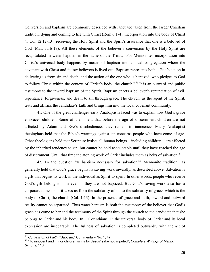Conversion and baptism are commonly described with language taken from the larger Christian tradition: dying and coming to life with Christ (Rom 6:1-4), incorporation into the body of Christ (1 Cor 12:12-13), receiving the Holy Spirit and the Spirit's assurance that one is a beloved of God (Matt 3:16-17). All these elements of the believer's conversion by the Holy Spirit are recapitulated in water baptism in the name of the Trinity. For Mennonites incorporation into Christ's universal body happens by means of baptism into a local congregation where the covenant with Christ and fellow believers is lived out. Baptism represents both, "God´s action in delivering us from sin and death, and the action of the one who is baptized, who pledges to God to follow Christ within the context of Christ's body, the church."<sup>[56](#page-28-0)</sup> It is an outward and public testimony to the inward baptism of the Spirit. Baptism enacts a believer's renunciation of evil, repentance, forgiveness, and death to sin through grace. The church, as the agent of the Spirit, tests and affirms the candidate's faith and brings him into the local covenant community.

41. One of the great challenges early Anabaptism faced was to explain how God's grace embraces children. Some of them held that before the age of discernment children are not affected by Adam and Eve´s disobedience; they remain in innocence. Many Anabaptist theologians held that the Bible's warnings against sin concerns people who have come of age. Other theologians held that Scripture insists all human beings – including children – are affected by the inherited tendency to sin, but cannot be held accountable until they have reached the age of discernment. Until that time the atoning work of Christ includes them as heirs of salvation.<sup>[57](#page-28-1)</sup>

42. To the question "Is baptism necessary for salvation?" Mennonite tradition has generally held that God's grace begins its saving work inwardly, as described above. Salvation is a gift that begins its work in the individual as Spirit-to-spirit. In other words, people who receive God's gift belong to him even if they are not baptized. But God's saving work also has a corporate dimension; it takes us from the solidarity of sin to the solidarity of grace, which is the body of Christ, the church (Col. 1:13). In the presence of grace and faith, inward and outward reality cannot be separated. Thus water baptism is both the testimony of the believer that God's grace has come to her and the testimony of the Spirit through the church to the candidate that she belongs to Christ and his body. In 1 Corinthians 12 the universal body of Christ and its local expression are inseparable. The fullness of salvation is completed outwardly with the act of

<span id="page-28-0"></span> <sup>56</sup> *Confession of Faith*, "Baptism," Commentary No. 1, 47.

<span id="page-28-1"></span><sup>57</sup> "To innocent and minor children sin is for Jesus' sake not imputed"; *Complete Writings of Menno Simons*, 116.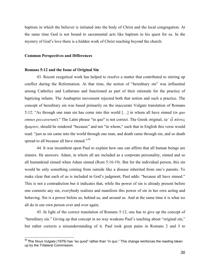baptism in which the believer is initiated into the body of Christ and the local congregation. At the same time God is not bound to sacramental acts like baptism in his quest for us. In the mystery of God's love there is a hidden work of Christ reaching beyond the church.

#### <span id="page-29-0"></span>**Common Perspectives and Differences**

#### <span id="page-29-1"></span>**Romans 5:12 and the Issue of Original Sin**

43. Recent exegetical work has helped to resolve a matter that contributed to stirring up conflict during the Reformation. At that time, the notion of "hereditary sin" was influential among Catholics and Lutherans and functioned as part of their rationale for the practice of baptizing infants. The Anabaptist movement rejected both that notion and such a practice. The concept of hereditary sin was based primarily on the inaccurate Vulgate translation of Romans 5:12: "As through one man sin has come into this world […] in whom all have sinned (*in quo omnes peccaverunt*)." The Latin phrase "in quo" is not correct. The Greek original, *ἐφ' ᾧ πάντες ἥμαρτον*, should be rendered "because" and not "in whom," such that in English this verse would read: "just as sin came into the world through one man, and death came through sin, and so death spread to all because all have sinned."<sup>[58](#page-29-2)</sup>

44. It was incumbent upon Paul to explain how one can affirm that all human beings are sinners. He answers: Adam, in whom all are included as a corporate personality, sinned and so all humankind sinned when Adam sinned (Rom 5:16-19*)*. But for the individual person, this sin would be only something coming from outside like a disease inherited from one's parents. To make clear that each of us is included in God's judgment, Paul adds: "because all have sinned." This is not a contradiction but it indicates that, while the power of sin is already present before one commits any sin, everybody realizes and manifests this power of sin in her own acting and behaving. Sin is a power before us, behind us, and around us. And at the same time it is what we all do in our own person over and over again.

45. In light of the correct translation of Romans 5:12, one has to give up the concept of "hereditary sin." Giving up that concept in no way weakens Paul's teaching about "original sin," but rather corrects a misunderstanding of it. Paul took great pains in Romans 2 and 3 to

<span id="page-29-2"></span> <sup>58</sup> **<sup>T</sup>**he *Nova Vulgata* (1979) has "eo quod" rather than "in quo." This change reinforces the reading taken up by the Trilateral Commission.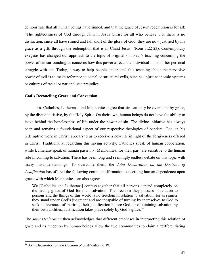demonstrate that all human beings have sinned, and that the grace of Jesus' redemption is for all: "The righteousness of God through faith in Jesus Christ for all who believe. For there is no distinction, since all have sinned and fall short of the glory of God; they are now justified by his grace as a gift, through the redemption that is in Christ Jesus" (Rom 3:22-23). Contemporary exegesis has changed our approach to the topic of original sin. Paul's teaching concerning the power of sin surrounding us concerns how this power affects the individual in his or her personal struggle with sin. Today, a way to help people understand this teaching about the pervasive power of evil is to make reference to social or structural evils, such as unjust economic systems or cultures of racial or nationalistic prejudice.

#### <span id="page-30-0"></span>**God's Reconciling Grace and Conversion**

46. Catholics, Lutherans, and Mennonites agree that sin can only be overcome by grace, by the divine initiative, by the Holy Spirit. On their own, human beings do not have the ability to leave behind the hopelessness of life under the power of sin. The divine initiative has always been and remains a foundational aspect of our respective theologies of baptism. God, in his redemptive work in Christ, appeals to us to receive a new life in light of the forgiveness offered in Christ. Traditionally, regarding this saving activity, Catholics speak of human cooperation, while Lutherans speak of human passivity. Mennonites, for their part, are sensitive to the human role in coming to salvation. There has been long and seemingly endless debate on this topic with many misunderstandings. To overcome them, the *Joint Declaration on the Doctrine of Justification* has offered the following common affirmation concerning human dependence upon grace, with which Mennonites can also agree:

We [Catholics and Lutherans] confess together that all persons depend completely on the saving grace of God for their salvation. The freedom they possess in relation to persons and the things of this world is no freedom in relation to salvation, for as sinners they stand under God's judgment and are incapable of turning by themselves to God to seek deliverance, of meriting their justification before God, or of attaining salvation by their own abilities. Justification takes place solely by God's grace.<sup>[59](#page-30-1)</sup>

The *Joint Declaration* then acknowledges that different emphases in interpreting this relation of grace and its reception by human beings allow the two communities to claim a "differentiating

<span id="page-30-1"></span> <sup>59</sup> *Joint Declaration on the Doctrine of Justification*, § 19.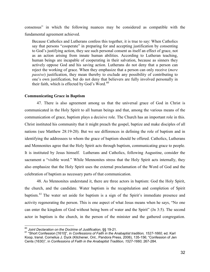consensus" in which the following nuances may be considered as compatible with the fundamental agreement achieved.

Because Catholics and Lutherans confess this together, it is true to say: When Catholics say that persons "cooperate" in preparing for and accepting justification by consenting to God's justifying action, they see such personal consent as itself an effect of grace, not as an action arising from innate human abilities. According to Lutheran teaching, human beings are incapable of cooperating in their salvation, because as sinners they actively oppose God and his saving action. Lutherans do not deny that a person can reject the working of grace. When they emphasize that a person can only receive (*mere passive*) justification, they mean thereby to exclude any possibility of contributing to one's own justification, but do not deny that believers are fully involved personally in their faith, which is effected by God's Word. $^{60}$  $^{60}$  $^{60}$ 

#### <span id="page-31-0"></span>**Communicating Grace in Baptism**

47. There is also agreement among us that the universal grace of God in Christ is communicated in the Holy Spirit to all human beings and that, among the various means of the communication of grace, baptism plays a decisive role. The Church has an important role in this. Christ instituted his community that it might preach the gospel, baptize and make disciples of all nations (see Matthew 28:19-20). But we see differences in defining the role of baptism and in identifying the addressees to whom the grace of baptism should be offered. Catholics, Lutherans and Mennonites agree that the Holy Spirit acts through baptism, communicating grace to people. It is instituted by Jesus himself. Lutherans and Catholics, following Augustine, consider the sacrament a "visible word." While Mennonites stress that the Holy Spirit acts internally, they also emphasize that the Holy Spirit uses the external proclamation of the Word of God and the celebration of baptism as necessary parts of that communication.

48. As Mennonites understand it, there are three actors in baptism: God the Holy Spirit, the church, and the candidate. Water baptism is the recapitulation and completion of Spirit baptism.<sup>[61](#page-31-2)</sup> The water set aside for baptism is a sign of the Spirit's immediate presence and activity regenerating the person. This is one aspect of what Jesus means when he says, "No one can enter the kingdom of God without being born of water and the Spirit" (Jn 3:5). The second actor in baptism is the church, in the person of the minister and the gathered congregation.

<span id="page-31-1"></span> <sup>60</sup> *Joint Declaration on the Doctrine of Justification*, §§ 19-21.

<span id="page-31-2"></span><sup>61</sup> "Short Confession [1610]", in *Confessions of Faith in the Anabaptist tradition, 1527-1660,* ed. Karl Koop, transl. Cornelius J. Dyck (Kitchener, Ont., Pandora Press, 2006), 135-156; "Confession of Jen Cents (1630)", in *Confessions of Faith in the Anabaptist Tradition, 1527-1660,* 267-284.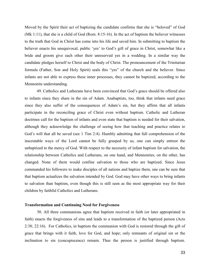Moved by the Spirit their act of baptizing the candidate confirms that she is "beloved" of God  $(Mk 1:11)$ , that she is a child of God (Rom. 8:15-16). In the act of baptism the believer witnesses to the truth that God in Christ has come into his life and saved him. In submitting to baptism the believer enacts his unequivocal, public 'yes' to God's gift of grace in Christ, somewhat like a bride and groom give each other their unreserved yes in a wedding. In a similar way the candidate pledges herself to Christ and the body of Christ. The pronouncement of the Trinitarian formula (Father, Son and Holy Spirit) seals this "yes" of the church and the believer. Since infants are not able to express these inner processes, they cannot be baptized, according to the Mennonite understanding.

49. Catholics and Lutherans have been convinced that God's grace should be offered also to infants since they share in the sin of Adam. Anabaptists, too, think that infants need grace since they also suffer of the consequences of Adam's sin, but they affirm that all infants participate in the reconciling grace of Christ even without baptism. Catholic and Lutheran doctrines call for the baptism of infants and even state that baptism is needed for their salvation, although they acknowledge the challenge of seeing how that teaching and practice relates to God's will that all be saved (see 1 Tim 2:4). Humbly admitting that full comprehension of the inscrutable ways of the Lord cannot be fully grasped by us, one can simply entrust the unbaptized to the mercy of God. With respect to the necessity of infant baptism for salvation, the relationship between Catholics and Lutherans, on one hand, and Mennonites, on the other, has changed. None of them would confine salvation to those who are baptized. Since Jesus commanded his followers to make disciples of all nations and baptize them, one can be sure that that baptism actualizes the salvation intended by God. God may have other ways to bring infants to salvation than baptism, even though this is still seen as the most appropriate way for their children by faithful Catholics and Lutherans.

#### <span id="page-32-0"></span>**Transformation and Continuing Need for Forgiveness**

50. All three communions agree that baptism received in faith (or later appropriated in faith) enacts the forgiveness of sins and leads to a transformation of the baptized person (Acts 2:38; 22:16). For Catholics, in baptism the communion with God is restored through the gift of grace that brings with it faith, love for God, and hope; only remnants of original sin or the inclination to sin (concupiscence) remain. Thus the person is justified through baptism.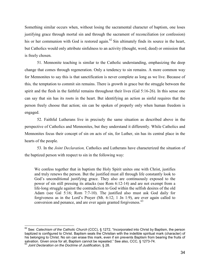Something similar occurs when, without losing the sacramental character of baptism, one loses justifying grace through mortal sin and through the sacrament of reconciliation (or confession) his or her communion with God is restored again.<sup>[62](#page-33-0)</sup> Sin ultimately finds its source in the heart, but Catholics would only attribute sinfulness to an activity (thought, word, deed) or omission that is freely chosen.

51. Mennonite teaching is similar to the Catholic understanding, emphasizing the deep change that comes through regeneration. Only a tendency to sin remains. A more common way for Mennonites to say this is that sanctification is never complete as long as we live. Because of this*,* the temptation to commit sin remains. There is growth in grace but the struggle between the spirit and the flesh in the faithful remains throughout their lives (Gal 5:16-26). In this sense one can say that sin has its roots in the heart. But identifying an action as sinful requires that the person freely choose that action; sin can be spoken of properly only when human freedom is engaged.

52. Faithful Lutherans live in precisely the same situation as described above in the perspective of Catholics and Mennonites, but they understand it differently. While Catholics and Mennonites focus their concept of sin on acts of sin, for Luther, sin has its central place in the hearts of the people.

53. In the *Joint Declaration,* Catholics and Lutherans have characterized the situation of the baptized person with respect to sin in the following way:

We confess together that in baptism the Holy Spirit unites one with Christ, justifies and truly renews the person. But the justified must all through life constantly look to God's unconditional justifying grace. They also are continuously exposed to the power of sin still pressing its attacks (see Rom 6:12-14) and are not exempt from a life-long struggle against the contradiction to God within the selfish desires of the old Adam (see Gal 5:16; Rom 7:7-10). The justified also must ask God daily for forgiveness as in the Lord's Prayer (Mt. 6:12; 1 Jn 1:9), are ever again called to conversion and penance, and are ever again granted forgiveness. [63](#page-33-1)

<span id="page-33-0"></span> <sup>62</sup> See: *Catechism of the Catholic Church* (CCC), § 1272, "Incorporated into Christ by Baptism, the person baptized is configured to Christ. Baptism seals the Christian with the indelible spiritual mark (character) of his belonging to Christ. No sin can erase this mark, even if sin prevents Baptism from bearing the fruits of salvation. Given once for all, Baptism cannot be repeated." See also, CCC, § 1273-74.

<span id="page-33-1"></span><sup>63</sup> *Joint Declaration on the Doctrine of Justification*, § 28.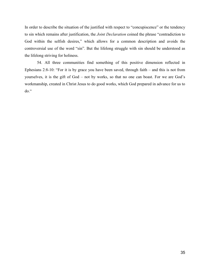In order to describe the situation of the justified with respect to "concupiscence" or the tendency to sin which remains after justification, the *Joint Declaration* coined the phrase "contradiction to God within the selfish desires," which allows for a common description and avoids the controversial use of the word "sin". But the lifelong struggle with sin should be understood as the lifelong striving for holiness.

54. All three communities find something of this positive dimension reflected in Ephesians 2:8-10: "For it is by grace you have been saved, through faith – and this is not from yourselves, it is the gift of God – not by works, so that no one can boast. For we are God's workmanship, created in Christ Jesus to do good works, which God prepared in advance for us to do."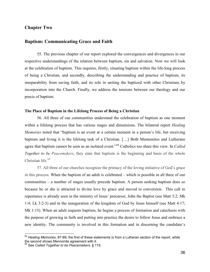# <span id="page-35-0"></span>**Chapter Two**

# <span id="page-35-1"></span>**Baptism: Communicating Grace and Faith**

55. The previous chapter of our report explored the convergences and divergences in our respective understandings of the relation between baptism, sin and salvation. Now we will look at the celebration of baptism. This requires, firstly, situating baptism within the life-long process of being a Christian, and secondly, describing the understanding and practice of baptism, its inseparability from saving faith, and its role in uniting the baptized with other Christians by incorporation into the Church. Finally, we address the tensions between our theology and our praxis of baptism.

#### **The Place of Baptism in the Lifelong Process of Being a Christian**

56. All three of our communities understand the celebration of baptism as one moment within a lifelong process that has various stages and dimensions. The bilateral report *Healing Memories* noted that "baptism is an event at a certain moment in a person's life, but receiving baptism and living it is the lifelong task of a Christian. […] Both Mennonites and Lutherans agree that baptism cannot be seen as an isolated event."[64](#page-35-2) Catholics too share this view. In *Called Together to be Peacemakers*, they state that baptism is the beginning and basis of the whole Christian life. $65$ 

57. All three of our churches recognize the primacy of the loving initiative of God's grace in this process. When the baptism of an adult is celebrated – which is possible in all three of our communities – a number of stages usually precede baptism. A person seeking baptism does so because he or she is attracted to divine love by grace and moved to conversion. This call to repentance is already seen in the ministry of Jesus' precursor, John the Baptist (see Matt 3:2; Mk 1:4; Lk 3:2-3) and in the inauguration of the kingdom of God by Jesus himself (see Matt 4:17; Mk 1:15). When an adult requests baptism, he begins a process of formation and catechesis with the purpose of growing in faith and putting into practice the desire to follow Jesus and embrace a new identity. The community is involved in this formation and in discerning the candidate's

<span id="page-35-2"></span><sup>&</sup>lt;sup>64</sup> Healing Memories, 87-89; the first of these statements is from a Lutheran section of the report, while the second shows Mennonite agreement with it.

<span id="page-35-3"></span><sup>65</sup> See *Called Together to be Peacemakers*, § 115.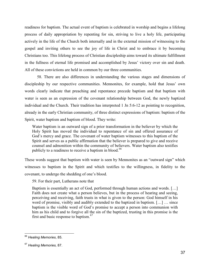readiness for baptism. The actual event of baptism is celebrated in worship and begins a lifelong process of daily appropriation by repenting for sin, striving to live a holy life, participating actively in the life of the Church both internally and in the external mission of witnessing to the gospel and inviting others to see the joy of life in Christ and to embrace it by becoming Christians too. This lifelong process of Christian discipleship aims toward its ultimate fulfillment in the fullness of eternal life promised and accomplished by Jesus' victory over sin and death. All of these convictions are held in common by our three communities.

58. There are also differences in understanding the various stages and dimensions of discipleship by our respective communities. Mennonites, for example, hold that Jesus' own words clearly indicate that preaching and repentance precede baptism and that baptism with water is seen as an expression of the covenant relationship between God, the newly baptized individual and the Church. Their tradition has interpreted 1 Jn 5:6-12 as pointing to recognition, already in the early Christian community, of three distinct expressions of baptism: baptism of the Spirit, water baptism and baptism of blood. They write:

Water baptism is an outward sign of a prior transformation in the believer by which the Holy Spirit has moved the individual to repentance of sin and offered assurance of God's mercy and grace. The covenant of water baptism witnesses to this baptism of the Spirit and serves as a public affirmation that the believer is prepared to give and receive counsel and admonition within the community of believers. Water baptism also testifies publicly to a readiness to receive a baptism in blood.<sup>[66](#page-36-0)</sup>

These words suggest that baptism with water is seen by Mennonites as an "outward sign" which witnesses to baptism in the Spirit and which testifies to the willingness, in fidelity to the covenant, to undergo the shedding of one's blood.

59. For their part, Lutherans note that

Baptism is essentially an act of God, performed through human actions and words. […] Faith does not create what a person believes, but in the process of hearing and seeing, perceiving and receiving, faith trusts in what is given to the person: God himself in his word of promise, visibly and audibly extended to the baptized in baptism. […] … since baptism is the visible word of God's promise to accept a person into communion with him as his child and to forgive all the sin of the baptized, trusting in this promise is the first and basic response to baptism. $67$ 

<span id="page-36-0"></span> <sup>66</sup> *Healing Memories*, 85.

<span id="page-36-1"></span><sup>67</sup> *Healing Memories,* 87.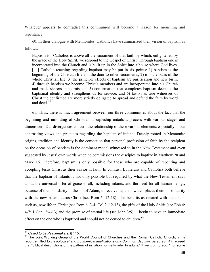Whatever appears to contradict this communion will become a reason for mourning and repentance.

60. In their dialogue with Mennonites, Catholics have summarized their vision of baptism as follows:

Baptism for Catholics is above all the sacrament of that faith by which, enlightened by the grace of the Holy Spirit, we respond to the Gospel of Christ. Through baptism one is incorporated into the Church and is built up in the Spirit into a house where God lives. [...] Catholic teaching regarding baptism may be put in six points: 1) baptism is the beginning of the Christian life and the door to other sacraments; 2) it is the basis of the whole Christian life; 3) the principle effects of baptism are purification and new birth; 4) through baptism we become Christ's members and are incorporated into his Church and made sharers in its mission; 5) confirmation that completes baptism deepens the baptismal identity and strengthens us for service; and 6) lastly, as true witnesses of Christ the confirmed are more strictly obligated to spread and defend the faith by word and deed.<sup>[68](#page-37-0)</sup>

61. Thus, there is much agreement between our three communities about the fact that the beginning and unfolding of Christian discipleship entails a process with various stages and dimensions. Our divergences concern the relationship of these various elements, especially in our contrasting views and practices regarding the baptism of infants. Deeply rooted in Mennonite origins, tradition and identity is the conviction that personal profession of faith by the recipient on the occasion of baptism is the dominant model witnessed to in the New Testament and even suggested by Jesus' own words when he commissions the disciples to baptize in Matthew 28 and Mark 16. Therefore, baptism is only possible for those who are capable of repenting and accepting Jesus Christ as their Savior in faith. In contrast, Lutherans and Catholics both believe that the baptism of infants is not only possible but required by what the New Testament says about the universal offer of grace to all, including infants, and the need for all human beings, because of their solidarity in the sin of Adam, to receive baptism, which places them in solidarity with the new Adam, Jesus Christ (see Rom 5: 12-18). The benefits associated with baptism – such as, new life in Christ (see Rom 6: 3-4; Col 2: 12-13), the gifts of the Holy Spirit (see Eph 4: 4-7; 1 Cor 12:4-13) and the promise of eternal life (see John 3:5) – begin to have an immediate effect on the one who is baptized and should not be denied to children.<sup>[69](#page-37-1)</sup>

<span id="page-37-1"></span><span id="page-37-0"></span><sup>&</sup>lt;sup>68</sup> Called to be Peacemakers, § 115.<br><sup>69</sup> The Joint Working Group of the World Council of Churches and the Roman Catholic Church, in its report entitled *Ecclesiological and Ecumenical Implications of a Common Baptism*, paragraph 47, agreed that "biblical descriptions of the pattern of initiation normally refer to adults." It went on to add: "For some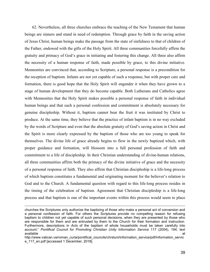62. Nevertheless, all three churches embrace the teaching of the New Testament that human beings are sinners and stand in need of redemption. Through grace by faith in the saving action of Jesus Christ, human beings make the passage from the state of sinfulness to that of children of the Father, endowed with the gifts of the Holy Spirit. All three communities forcefully affirm the gratuity and primacy of God's grace in initiating and fostering this change. All three also affirm the necessity of a human response of faith, made possible by grace, to this divine initiative. Mennonites are convinced that, according to Scripture, a personal response is a precondition for the reception of baptism. Infants are not yet capable of such a response, but with proper care and formation, there is good hope that the Holy Spirit will engender it when they have grown to a stage of human development that they do become capable. Both Lutherans and Catholics agree with Mennonites that the Holy Spirit makes possible a personal response of faith in individual human beings and that such a personal confession and commitment is absolutely necessary for genuine discipleship. Without it, baptism cannot bear the fruit it was instituted by Christ to produce. At the same time, they believe that the practice of infant baptism is in no way excluded by the words of Scripture and even that the absolute gratuity of God's saving action in Christ and the Spirit is more clearly expressed by the baptism of those who are too young to speak for themselves. The divine life of grace already begins to flow in the newly baptized which, with proper guidance and formation, will blossom into a full personal profession of faith and commitment to a life of discipleship. In their Christian understanding of divine-human relations, all three communities affirm both the primacy of the divine initiative of grace and the necessity of a personal response of faith. They also affirm that Christian discipleship is a life-long process of which baptism constitutes a fundamental and originating moment for the believer's relation to God and to the Church. A fundamental question with regard to this life-long process resides in the timing of the celebration of baptism. Agreement that Christian discipleship is a life-long process and that baptism is one of the important events within this process would seem to place

 $\overline{a}$ 

churches the Scriptures only authorize the baptizing of those who make a personal act of conversion and a personal confession of faith. For others the Scriptures provide no compelling reason for refusing baptism to children not yet capable of such personal decisions, when they are presented by those who are responsible for them and are entrusted by them to the Church for their formation and instruction. Furthermore, descriptions in *Acts* of the baptism of whole households must be taken carefully into account." *Pontifical Council for Promoting Christian Unity Information Service* 117 (2004), 194; text available at the control of the control of the control of the control of the control of the control of the control of the control of the control of the control of the control of the control of the control of the control of

http://www.vatican.va/roman\_curia/pontifical\_councils/chrstuni/information\_service/pdf/information\_servic e 117 en.pdf [accessed 1 December, 2018].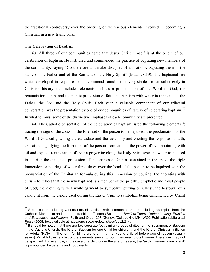the traditional controversy over the ordering of the various elements involved in becoming a Christian in a new framework.

### **The Celebration of Baptism**

63. All three of our communities agree that Jesus Christ himself is at the origin of our celebration of baptism. He instituted and commanded the practice of baptizing new members of the community, saying "Go therefore and make disciples of all nations, baptizing them in the name of the Father and of the Son and of the Holy Spirit" (Matt. 28:19). The baptismal rite which developed in response to this command found a relatively stable format rather early in Christian history and included elements such as a proclamation of the Word of God, the renunciation of sin, and the public profession of faith and baptism with water in the name of the Father, the Son and the Holy Spirit. Each year a valuable component of our trilateral conversation was the presentation by one of our communities of its way of celebrating baptism.<sup>[70](#page-39-0)</sup> In what follows, some of the distinctive emphases of each community are presented.

64. The Catholic presentation of the celebration of baptism listed the following elements<sup>71</sup>: tracing the sign of the cross on the forehead of the person to be baptized; the proclamation of the Word of God enlightening the candidate and the assembly and eliciting the response of faith; exorcisms signifying the liberation of the person from sin and the power of evil; anointing with oil and explicit renunciation of evil; a prayer invoking the Holy Spirit over the water to be used in the rite; the dialogical profession of the articles of faith as contained in the creed; the triple immersion or pouring of water three times over the head of the person to be baptized with the pronunciation of the Trinitarian formula during this immersion or pouring; the anointing with chrism to reflect that the newly baptized is a member of the priestly, prophetic and royal people of God; the clothing with a white garment to symbolize putting on Christ; the bestowal of a candle lit from the candle used during the Easter Vigil to symbolize being enlightened by Christ

<span id="page-39-0"></span> $70$  A publication including various rites of baptism with commentaries and including examples from the Catholic, Mennonite and Lutheran traditions: Thomas Best (ed.), *Baptism Today. Understanding, Practice*  and Ecumenical Implications, Faith and Order 207 (Geneva/Collegeville MN: WCC Publications/Liturgical<br>Press) 2008; text available at https://archive.org/details/wccfops2.214.

<span id="page-39-1"></span> $<sup>71</sup>$  It should be noted that there are two separate (but similar) groups of rites for the Sacrament of Baptism</sup> in the Catholic Church: the Rite of Baptism for one Child [or children], and the Rite of Christian Initiation for Adults (RCIA). The term "child" refers to an infant or young child of before age of reason (usually seven). What follows is a list of the elements similar to both rites even though some differences may not be specified. For example, in the case of a child under the age of reason, the "explicit renunciation of evil" is pronounced by parents and godparents.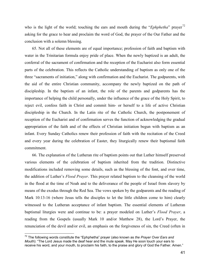who is the light of the world; touching the ears and mouth during the "*Ephphetha*" prayer<sup>[72](#page-40-0)</sup> asking for the grace to hear and proclaim the word of God, the prayer of the Our Father and the conclusion with a solemn blessing.

65. Not all of these elements are of equal importance; profession of faith and baptism with water in the Trinitarian formula enjoy pride of place. When the newly baptized is an adult, the conferral of the sacrament of confirmation and the reception of the Eucharist also form essential parts of the celebration. This reflects the Catholic understanding of baptism as only one of the three "sacraments of initiation," along with confirmation and the Eucharist. The godparents, with the aid of the entire Christian community, accompany the newly baptized on the path of discipleship. In the baptism of an infant, the role of the parents and godparents has the importance of helping the child personally, under the influence of the grace of the Holy Spirit, to reject evil, confess faith in Christ and commit him- or herself to a life of active Christian discipleship in the Church. In the Latin rite of the Catholic Church, the postponement of reception of the Eucharist and of confirmation serves the function of acknowledging the gradual appropriation of the faith and of the effects of Christian initiation begun with baptism as an infant. Every Sunday Catholics renew their profession of faith with the recitation of the Creed and every year during the celebration of Easter, they liturgically renew their baptismal faith commitment.

66. The explanation of the Lutheran rite of baptism points out that Luther himself preserved various elements of the celebration of baptism inherited from the tradition. Distinctive modifications included removing some details, such as the blessing of the font, and over time, the addition of Luther's *Flood Prayer*. This prayer related baptism to the cleansing of the world in the flood at the time of Noah and to the deliverance of the people of Israel from slavery by means of the exodus through the Red Sea. The vows spoken by the godparents and the reading of Mark 10:13-16 (where Jesus tells the disciples to let the little children come to him) clearly witnessed to the Lutheran acceptance of infant baptism. The essential elements of Lutheran baptismal liturgies were and continue to be: a prayer modeled on Luther's *Flood Prayer*, a reading from the Gospels (usually Mark 10 and/or Matthew 28), the Lord's Prayer, the renunciation of the devil and/or evil, an emphasis on the forgiveness of sin, the Creed (often in

<span id="page-40-0"></span> <sup>72</sup> The following words constitute the "Ephphetha" prayer (also known as *the Prayer Over Ears and Mouth*): "The Lord Jesus made the deaf hear and the mute speak. May He soon touch your ears to receive his word, and your mouth, to proclaim his faith, to the praise and glory of God the Father. Amen."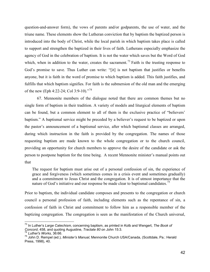question-and-answer form), the vows of parents and/or godparents, the use of water, and the triune name. These elements show the Lutheran conviction that by baptism the baptized person is introduced into the body of Christ, while the local parish in which baptism takes place is called to support and strengthen the baptized in their lives of faith. Lutherans especially emphasize the agency of God in the celebration of baptism. It is not the water which saves but the Word of God which, when in addition to the water, creates the sacrament.<sup>[73](#page-41-0)</sup> Faith is the trusting response to God's promise to save. Thus Luther can write: "[it] is not baptism that justifies or benefits anyone, but it is faith in the word of promise to which baptism is added. This faith justifies, and fulfills that which baptism signifies. For faith is the submersion of the old man and the emerging of the new (Eph 4:22-24; Col 3:9-10)."<sup>[74](#page-41-1)</sup>

67. Mennonite members of the dialogue noted that there are common themes but no single form of baptism in their tradition. A variety of models and liturgical elements of baptism can be found, but a common element to all of them is the exclusive practice of "believers' baptism." A baptismal service might be preceded by a believer's request to be baptized or upon the pastor's announcement of a baptismal service, after which baptismal classes are arranged, during which instruction in the faith is provided by the congregation. The names of those requesting baptism are made known to the whole congregation or to the church council, providing an opportunity for church members to approve the desire of the candidate or ask the person to postpone baptism for the time being. A recent Mennonite minister's manual points out that

The request for baptism must arise out of a personal confession of sin, the experience of grace and forgiveness (which sometimes comes in a crisis event and sometimes gradually) and a commitment to Jesus Christ and the congregation. It is of utmost importance that the nature of God's initiative and our response be made clear to baptismal candidates.<sup>[75](#page-41-2)</sup>

Prior to baptism, the individual candidate composes and presents to the congregation or church council a personal profession of faith, including elements such as the repentance of sin, a confession of faith in Christ and commitment to follow him as a responsible member of the baptizing congregation. The congregation is seen as the manifestation of the Church universal,

<span id="page-41-0"></span> <sup>73</sup> In Luther's *Large Catechism*, concerning baptism, as printed in Kolb and Wengert, *The Book of Concord*, 458, and quoting Augustine, *Tractate 80* on John 15:3.

<span id="page-41-1"></span><sup>74</sup> *Luther's Works,* 36:66.

<span id="page-41-2"></span><sup>75</sup> John D. Rempel (ed.), *Minister's Manual*, Mennonite Church USA/Canada, (Scottdale, Pa.: Herald Press, 1998), 40.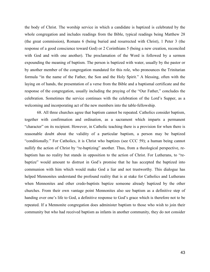the body of Christ. The worship service in which a candidate is baptized is celebrated by the whole congregation and includes readings from the Bible, typical readings being Matthew 28 (the great commission), Romans 6 (being buried and resurrected with Christ), 1 Peter 3 (the response of a good conscience toward God) or 2 Corinthians 5 (being a new creation, reconciled with God and with one another). The proclamation of the Word is followed by a sermon expounding the meaning of baptism. The person is baptized with water, usually by the pastor or by another member of the congregation mandated for this role, who pronounces the Trinitarian formula "in the name of the Father, the Son and the Holy Spirit." A blessing, often with the laying on of hands, the presentation of a verse from the Bible and a baptismal certificate and the response of the congregation, usually including the praying of the "Our Father," concludes the celebration. Sometimes the service continues with the celebration of the Lord's Supper, as a welcoming and incorporating act of the new members into the table-fellowship.

68. All three churches agree that baptism cannot be repeated. Catholics consider baptism, together with confirmation and ordination, as a sacrament which imparts a permanent "character" on its recipient. However, in Catholic teaching there is a provision for when there is reasonable doubt about the validity of a particular baptism, a person may be baptized "conditionally." For Catholics, it is Christ who baptizes (see CCC 59); a human being cannot nullify the action of Christ by "re-baptizing" another. Thus, from a theological perspective, rebaptism has no reality but stands in opposition to the action of Christ. For Lutherans, to "rebaptize" would amount to distrust in God's promise that he has accepted the baptized into communion with him which would make God a liar and not trustworthy*.* This dialogue has helped Mennonites understand the profound reality that is at stake for Catholics and Lutherans when Mennonites and other credo-baptists baptize someone already baptized by the other churches. From their own vantage point Mennonites also see baptism as a definitive step of handing over one's life to God, a definitive response to God's grace which is therefore not to be repeated. If a Mennonite congregation does administer baptism to those who wish to join their community but who had received baptism as infants in another community, they do not consider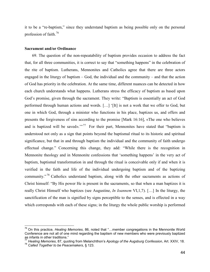it to be a "re-baptism," since they understand baptism as being possible only on the personal profession of faith. $76$ 

### **Sacrament and/or Ordinance**

69. The question of the non-repeatability of baptism provides occasion to address the fact that, for all three communities, it is correct to say that "something happens" in the celebration of the rite of baptism. Lutherans, Mennonites and Catholics agree that there are three actors engaged in the liturgy of baptism – God, the individual and the community – and that the action of God has priority in the celebration. At the same time, different nuances can be detected in how each church understands what happens. Lutherans stress the efficacy of baptism as based upon God's promise, given through the sacrament. They write: "Baptism is essentially an act of God performed through human actions and words. […] '[It] is not a work that we offer to God, but one in which God, through a minister who functions in his place, baptizes us, and offers and presents the forgiveness of sins according to the promise [Mark 16:16], «The one who believes and is baptized will be saved». $177$  $177$  For their part, Mennonites have stated that "baptism is understood not only as a sign that points beyond the baptismal ritual to its historic and spiritual significance, but that in and through baptism the individual and the community of faith undergo effectual change." Concerning this change, they add: "While there is the recognition in Mennonite theology and in Mennonite confessions that 'something happens' in the very act of baptism, baptismal transformation in and through the ritual is conceivable only if and when it is verified in the faith and life of the individual undergoing baptism and of the baptizing community." [78](#page-43-2) Catholics understand baptism, along with the other sacraments as actions of Christ himself: "By His power He is present in the sacraments, so that when a man baptizes it is really Christ Himself who baptizes (see Augustine, *In Ioannem* VI,1,7). […] In the liturgy, the sanctification of the man is signified by signs perceptible to the senses, and is effected in a way which corresponds with each of these signs; in the liturgy the whole public worship is performed

<span id="page-43-0"></span> <sup>76</sup> On this practice, *Healing Memories*, 86, noted that "…member congregations in the Mennonite World Conference are not all of one mind regarding the baptism of new members who were previously baptized as infants in other traditions."

<sup>77</sup> *Healing Memories*, 87, quoting from Melanchthon's *Apology of the Augsburg Confession*, Art. XXIV, 18.

<span id="page-43-2"></span><span id="page-43-1"></span><sup>78</sup> *Called Together to be Peacemakers*, § 123.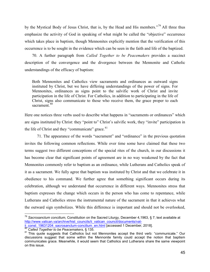by the Mystical Body of Jesus Christ, that is, by the Head and His members."<sup>[79](#page-44-0)</sup> All three thus emphasize the activity of God in speaking of what might be called the "objective" occurrence which takes place in baptism, though Mennonites explicitly mention that the verification of this occurrence is to be sought in the evidence which can be seen in the faith and life of the baptized.

70. A further paragraph from *Called Together to be Peacemakers* provides a succinct description of the convergence and the divergence between the Mennonite and Catholic understandings of the efficacy of baptism:

Both Mennonites and Catholics view sacraments and ordinances as outward signs instituted by Christ, but we have differing understandings of the power of signs. For Mennonites, ordinances as signs point to the salvific work of Christ and invite participation in the life of Christ. For Catholics, in addition to participating in the life of Christ, signs also communicate to those who receive them, the grace proper to each sacrament.<sup>[80](#page-44-1)</sup>

Here one notices three verbs used to describe what happens in "sacraments or ordinances" which are signs instituted by Christ: they "point to" Christ's salvific work, they "invite" participation in the life of Christ and they "communicate" grace. [81](#page-44-2)

71. The appearance of the words "sacrament" and "ordinance" in the previous quotation invites the following common reflections. While over time some have claimed that these two terms suggest two different conceptions of the special rites of the church, in our discussions it has become clear that significant points of agreement are in no way weakened by the fact that Mennonites commonly refer to baptism as an ordinance, while Lutherans and Catholics speak of it as a sacrament. We fully agree that baptism was instituted by Christ and that we celebrate it in obedience to his command. We further agree that something significant occurs during its celebration, although we understand that occurrence in different ways. Mennonites stress that baptism expresses the change which occurs in the person who has come to repentance, while Lutherans and Catholics stress the instrumental nature of the sacrament in that it achieves what the outward sign symbolizes. While this difference is important and should not be overlooked,

<span id="page-44-0"></span> <sup>79</sup> *Sacrosanctum concilium*, Constitution on the Sacred Liturgy, December 4,1963, § 7; text available at http://www.vatican.va/archive/hist\_councils/ii\_vatican\_council/documents/vat-<br>ii\_const\_19631204\_sacrosanctum-concilium\_en.html [accessed 1 December, 2018].

<span id="page-44-2"></span><span id="page-44-1"></span><sup>&</sup>lt;sup>80</sup> Called Together to be Peacemakers, § 135.<br><sup>81</sup> This quote suggests that Catholics but not Mennonites accept the third verb: "communicate." Our discussions suggest that some within the Mennonite family could accept the notion that baptism communicates grace. Meanwhile, it would seem that Catholics and Lutherans share the same viewpoint on this issue.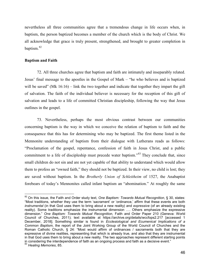nevertheless all three communities agree that a tremendous change in life occurs when, in baptism, the person baptized becomes a member of the church which is the body of Christ. We all acknowledge that grace is truly present, strengthened, and brought to greater completion in baptism.[82](#page-45-0)

# **Baptism and Faith**

72. All three churches agree that baptism and faith are intimately and inseparably related. Jesus' final message to the apostles in the Gospel of Mark – "he who believes and is baptized will be saved" (Mk 16:16) – link the two together and indicate that together they impart the gift of salvation. The faith of the individual believer is necessary for the reception of this gift of salvation and leads to a life of committed Christian discipleship, following the way that Jesus outlines in the gospel.

73. Nevertheless, perhaps the most obvious contrast between our communities concerning baptism is the way in which we conceive the relation of baptism to faith and the consequence that this has for determining who may be baptized. The first theme listed in the Mennonite understanding of baptism from their dialogue with Lutherans reads as follows: "Proclamation of the gospel, repentance, confession of faith in Jesus Christ, and a public commitment to a life of discipleship must precede water baptism."<sup>[83](#page-45-1)</sup> They conclude that, since small children do not sin and are not yet capable of that ability to understand which would allow them to profess an "owned faith," they should not be baptized. In their view, no child is lost; they are saved without baptism. In the *Brotherly Union of Schleitheim* of 1527, the Anabaptist forebears of today's Mennonites called infant baptism an "abomination." At roughly the same

<span id="page-45-1"></span><span id="page-45-0"></span> <sup>82</sup> On this issue, the Faith and Order study text, *One Baptism: Towards Mutual Recognition*, § 30, states: "Most traditions, whether they use the term 'sacrament' or 'ordinance,' affirm that these events are both *instrumental* (in that God uses them to bring about a new reality) and *expressive* (of an already existing reality). Some traditions emphasize the instrumental dimension …. Others emphasize the expressive dimension." *One Baptism: Towards Mutual Recognition,* Faith and Order Paper 210 (Geneva: World Council of Churches, 2011); text available at https://archive.org/details/wccfops2.217 [accessed 1 December, 2018]; Something similar is found in *Ecclesiological and Ecumenical Implications of a Common Baptism*, the report of the Joint Working Group of the World Council of Churches and the Roman Catholic Church, § 24: "Most would affirm of ordinances / sacraments both that they are expressive of divine realities, representing that which is already true, and also that they are instrumental in that God uses them to bring about a new reality. The two approaches represent different starting points in considering the interdependence of faith as an ongoing process and faith as a decisive event." <sup>83</sup> *Healing Memories*, 85.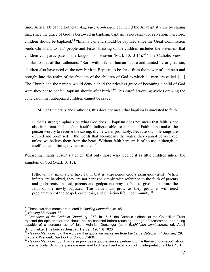time, Article IX of the Lutheran *Augsburg Confession* countered the Anabaptist view by stating that, since the grace of God is bestowed in baptism, baptism is necessary for salvation; therefore, children should be baptized.<sup>[84](#page-46-0)</sup> "Infants can and should be baptized since the Great Commission sends Christians to 'all' people and Jesus' blessing of the children includes the statement that children can participate in the kingdom of Heaven (Mark 10:13-16).<sup>[85](#page-46-1)</sup> The Catholic view is similar to that of the Lutherans: "Born with a fallen human nature and tainted by original sin, children also have need of the new birth in Baptism to be freed from the power of darkness and brought into the realm of the freedom of the children of God to which all men are called. […] The Church and the parents would deny a child the priceless grace of becoming a child of God were they not to confer Baptism shortly after birth."<sup>[86](#page-46-2)</sup> This careful wording avoids drawing the conclusion that unbaptized children cannot be saved.

74. For Lutherans and Catholics, this does not mean that baptism is unrelated to faith.

Luther's strong emphasis on what God does in baptism does not mean that faith is not also important. [...] … faith itself is indispensable for baptism. "Faith alone makes the person worthy to receive the saving, divine water profitably. Because such blessings are offered and promised in the words that accompany the water, they cannot be received unless we believe them from the heart. Without faith baptism is of no use, although in itself it is an infinite, divine treasure."<sup>[87](#page-46-3)</sup>

Regarding infants, Jesus' statement that only those who receive it as little children inherit the kingdom of God (Mark 10:15),

[S]hows that infants can have faith, that is, experience God's assurance (trust). When infants are baptized, they are not baptized simply with reference to the faith of parents and godparents. Instead, parents and godparents pray to God to give and nurture the faith of the newly baptized. This faith must grow as they grow; it will need proclamation of the gospel, cate chesis, and Christian life in community.<sup>[88](#page-46-4)</sup>

<span id="page-46-0"></span> <sup>84</sup> These two documents are quoted in *Healing Memories*, 84-85.

<span id="page-46-1"></span><sup>85</sup> *Healing Memories*, 88.

<span id="page-46-2"></span><sup>86</sup> *Catechism of the Catholic Church*, § 1250. In 1547, the Catholic bishops at the Council of Trent rejected the opinion that one should not be baptized before reaching the age of discernment and being capable of a personal act of faith; Heinrich Denzinger (ed.), *Enchiridion symbolorum*, ed. Adolf Schönmetzer (Freiburg in Breisgau: Herder, 1967) § 1626.

<span id="page-46-3"></span><sup>87</sup> *Healing Memories*, 87; the words within quotation marks are from the *Large Catechism*, "Baptism," 29, Kolb and Wengert, *The Book of Concord*, 460.

<span id="page-46-4"></span><sup>88</sup> *Healing Memories*, 88. This verse provides a good example, pertinent to the theme of our report, about how a particular Scriptural passage may lead to different and even conflicting interpretations. Mark 10:15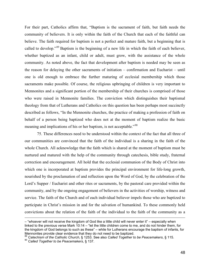For their part, Catholics affirm that, "Baptism is the sacrament of faith, but faith needs the community of believers. It is only within the faith of the Church that each of the faithful can believe. The faith required for baptism is not a perfect and mature faith, but a beginning that is called to develop."[89](#page-47-0) Baptism is the beginning of a new life in which the faith of each believer, whether baptized as an infant, child or adult, must grow, with the assistance of the whole community. As noted above, the fact that development after baptism is needed may be seen as the reason for delaying the other sacraments of initiation – confirmation and Eucharist – until one is old enough to embrace the further maturing of ecclesial membership which those sacraments make possible. Of course, the religious upbringing of children is very important to Mennonites and a significant portion of the membership of their churches is comprised of those who were raised in Mennonite families. The conviction which distinguishes their baptismal theology from that of Lutherans and Catholics on this question has been perhaps most succinctly described as follows, "In the Mennonite churches, the practice of making a profession of faith on behalf of a person being baptized who does not at the moment of baptism realize the basic meaning and implications of his or her baptism, is not acceptable.<sup>"[90](#page-47-1)</sup>

75. These differences need to be understood within the context of the fact that all three of our communities are convinced that the faith of the individual is a sharing in the faith of the whole Church. All acknowledge that the faith which is shared at the moment of baptism must be nurtured and matured with the help of the community through catechesis, bible study, fraternal correction and encouragement. All hold that the ecclesial communion of the Body of Christ into which one is incorporated at baptism provides the principal environment for life-long growth, nourished by the proclamation of and reflection upon the Word of God, by the celebration of the Lord's Supper / Eucharist and other rites or sacraments, by the pastoral care provided within the community, and by the ongoing engagement of believers in the activities of worship, witness and service. The faith of the Church and of each individual believer impels those who are baptized to participate in Christ's mission in and for the salvation of humankind. To these commonly held convictions about the relation of the faith of the individual to the faith of the community as a

 <sup>–</sup> "whoever will not receive the kingdom of God like a little child will never enter it" – especially when linked to the previous verse Mark 10:14 – "let the little children come to me, and do not hinder them, for the kingdom of God belongs to such as these" – while for Lutherans encourage the baptism of infants, for Mennonites provide clear evidence that they do not need to be baptized.

<span id="page-47-1"></span><span id="page-47-0"></span> $^{89}$  Catechism of the Catholic Church, § 1253. See also Called Together to be Peacemakers, § 115.  $^{80}$  Called Together to be Peacemakers, § 115.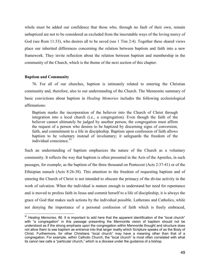whole must be added our confidence that those who, through no fault of their own, remain unbaptized are not to be considered as excluded from the inscrutable ways of the loving mercy of God (see Rom 11:33), who desires all to be saved (see 1 Tim 2:4). Together these shared views place our inherited differences concerning the relation between baptism and faith into a new framework. They invite reflection about the relation between baptism and membership in the community of the Church, which is the theme of the next section of this chapter.

# **Baptism and Community**

76. For all of our churches, baptism is intimately related to entering the Christian community and, therefore, also to our understanding of the Church. The Mennonite summary of basic convictions about baptism in *Healing Memories* includes the following ecclesiological affirmations:

Baptism marks the incorporation of the believer into the Church of Christ through integration into a local church (i.e., a congregation). Even though the faith of the believer cannot ultimately be judged by another person, the congregation must affirm the request of a person who desires to be baptized by discerning signs of conversion, faith, and commitment to a life in discipleship. Baptism upon confession of faith allows baptism to be voluntary instead of involuntary; it safeguards the freedom of the individual conscience  $91$ 

Such an understanding of baptism emphasizes the nature of the Church as a voluntary community. It reflects the way that baptism is often presented in the Acts of the Apostles, in such passages, for example, as the baptism of the three thousand on Pentecost (Acts 2:37-41) or of the Ethiopian eunuch (Acts 8:26-38). This attention to the freedom of requesting baptism and of entering the Church of Christ is not intended to obscure the primacy of the divine activity in the work of salvation. When the individual is mature enough to understand her need for repentance and is moved to profess faith in Jesus and commit herself to a life of discipleship, it is always the grace of God that makes such actions by the individual possible. Lutherans and Catholics, while not denying the importance of a personal confession of faith which is freely embraced,

<span id="page-48-0"></span> <sup>91</sup> *Healing Memories*, 86. It is important to add here that the apparent identification of the "local church" with "a congregation" in this passage presenting the Mennonite vision of baptism should not be understood as if the strong emphasis upon the congregation within Mennonite thought and structure does not allow them to see baptism as entrance into that larger reality which Scripture speaks of as the Body of Christ. Furthermore, for other Christians "local church" may have a meaning other than that of a congregation. For example, within Catholic Church, the "local church" is most often correlated with what its canon law calls a "particular church," which is a diocese under the guidance of a bishop.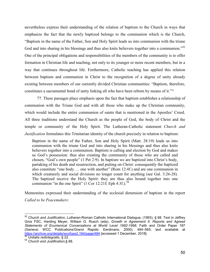nevertheless express their understanding of the relation of baptism to the Church in ways that emphasize the fact that the newly baptized belongs to the communion which is the Church, "Baptism in the name of the Father, Son and Holy Spirit leads us into communion with the triune God and into sharing in his blessings and thus also knits believers together into a communion."<sup>[92](#page-49-0)</sup> One of the principal obligations and responsibilities of the members of the community is to offer formation in Christian life and teaching, not only to its younger or more recent members, but in a way that continues throughout life. Furthermore, Catholic teaching has applied this relation between baptism and communion in Christ to the recognition of a degree of unity already existing between members of our currently divided Christian communities: "Baptism, therefore, constitutes a sacramental bond of unity linking all who have been reborn by means of it."[93](#page-49-1)

77. These passages place emphasis upon the fact that baptism establishes a relationship of communion with the Triune God and with all those who make up the Christian community, which would include the entire communion of saints that is mentioned in the Apostles' Creed. All three traditions understand the Church as the people of God, the body of Christ and the temple or community of the Holy Spirit. The Lutheran-Catholic statement *Church and Justification* formulates this Trinitarian identity of the church precisely in relation to baptism:

Baptism in the name of the Father, Son and Holy Spirit (Matt. 28:19) leads us into communion with the triune God and into sharing in his blessings and thus also knits believers together into a communion. Baptism is calling and election by God and makes us God's possession: thus also creating the community of those who are called and chosen, "God's own people" (1 Pet 2:9). In baptism we are baptized into Christ's body, partaking of his death and resurrection, and putting on Christ: consequently the baptized also constitute "one body … one with another" (Rom 12:4f.) and are one communion in which creaturely and social divisions no longer count for anything (see Gal. 3:26-28). The baptized receive the Holy Spirit: they are thus also bound together into one communion "in the one Spirit" (1 Cor 12:21f; Eph 4:3f.).<sup>94</sup>

Mennonites expressed their understanding of the ecclesial dimension of baptism in the report *Called to be Peacemakers*:

<span id="page-49-0"></span> <sup>92</sup> *Church and Justification*, Lutheran-Roman Catholic International Dialogue, (1993), § 68. Text in Jeffrey Gros FSC, Harding Meyer, William G. Rusch (eds), *Growth in Agreement II: Reports and Agreed Statements of Ecumenical Conversations at World Level 1982-1998*, Faith and Order Paper 187 (Geneva: WCC Publications/Grand Rapids: Eerdmans, 2000), 484–565; text available at <https://archive.org/details/wccfops2.194/page/484> [accessed 1 December, 2018].<br><sup>93</sup> *Unitatis redintegratio*, § 22.<br><sup>94</sup> *Church and Justification*,§ 68.

<span id="page-49-2"></span><span id="page-49-1"></span>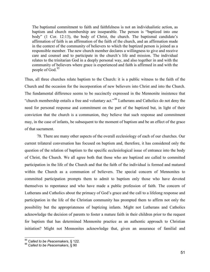The baptismal commitment to faith and faithfulness is not an individualistic action, as baptism and church membership are inseparable. The person is "baptized into one body" (1 Cor. 12:13), the body of Christ, the church. The baptismal candidate's affirmation of faith is an affirmation of the faith of the church, and an affirmation made in the context of the community of believers to which the baptized person is joined as a responsible member. The new church member declares a willingness to give and receive care and counsel and to participate in the church's life and mission. The individual relates to the trinitarian God in a deeply personal way, and also together in and with the community of believers where grace is experienced and faith is affirmed in and with the people of God.<sup>[95](#page-50-0)</sup>

Thus, all three churches relate baptism to the Church: it is a public witness to the faith of the Church and the occasion for the incorporation of new believers into Christ and into the Church. The fundamental difference seems to be succinctly expressed in the Mennonite insistence that "church membership entails a free and voluntary act."[96](#page-50-1) Lutherans and Catholics do not deny the need for personal response and commitment on the part of the baptized but, in light of their conviction that the church is a communion, they believe that such response and commitment may, in the case of infants, be subsequent to the moment of baptism and be an effect of the grace of that sacrament.

78. There are many other aspects of the overall ecclesiology of each of our churches. Our current trilateral conversation has focused on baptism and, therefore, it has considered only the question of the relation of baptism to the specific ecclesiological issue of entrance into the body of Christ, the Church. We all agree both that those who are baptized are called to committed participation in the life of the Church and that the faith of the individual is formed and matured within the Church as a communion of believers. The special concern of Mennonites to committed participation prompts them to admit to baptism only those who have devoted themselves to repentance and who have made a public profession of faith. The concern of Lutherans and Catholics about the primacy of God's grace and the call to a lifelong response and participation in the life of the Christian community has prompted them to affirm not only the possibility but the appropriateness of baptizing infants. Might not Lutherans and Catholics acknowledge the decision of parents to foster a mature faith in their children prior to the request for baptism that has determined Mennonite practice as an authentic approach to Christian initiation? Might not Mennonites acknowledge that, given an assurance of familial and

 <sup>95</sup> *Called to be Peacemakers*, § 122.

<span id="page-50-1"></span><span id="page-50-0"></span><sup>96</sup> *Called to be Peacemakers*, § 90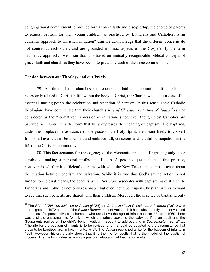congregational commitment to provide formation in faith and discipleship, the choice of parents to request baptism for their young children, as practiced by Lutherans and Catholics, is an authentic approach to Christian initiation? Can we acknowledge that the different concerns do not contradict each other, and are grounded in basic aspects of the Gospel? By the term "authentic approach," we mean that it is based on mutually recognizable biblical concepts of grace, faith and church as they have been interpreted by each of the three communions.

## **Tension between our Theology and our Praxis**

79. All three of our churches see repentance, faith and committed discipleship as necessarily related to Christian life within the body of Christ, the Church, which has as one of its essential starting points the celebration and reception of baptism. In this sense, some Catholic theologians have commented that their church's *Rite of Christian Initiation of Adults[97](#page-51-0)* can be considered as the "normative" expression of initiation, since, even though most Catholics are baptized as infants, it is the form that fully expresses the meaning of baptism. The baptized, under the irreplaceable assistance of the grace of the Holy Spirit, are meant freely to convert from sin, have faith in Jesus Christ and embrace full, conscious and faithful participation in the life of the Christian community.

80. This fact accounts for the cogency of the Mennonite practice of baptizing only those capable of making a personal profession of faith. A possible question about this practice, however, is whether it sufficiently coheres with what the New Testament seems to teach about the relation between baptism and salvation. While it is true that God's saving action is not limited to ecclesial means, the benefits which Scripture associates with baptism make it seem to Lutherans and Catholics not only reasonable but even incumbent upon Christian parents to want to see that such benefits are shared with their children. Moreover, the practice of baptizing only

<span id="page-51-0"></span> <sup>97</sup> The *Rite of Christian Initiation of Adults (RCIA*), or *Ordo Initiationis Christianae Adultorum (OICA)* was promulgated in 1972 as part of the *Rituale Romanum* post Vatican II. It has subsequently been developed as process for prospective catechumens who are above the age of infant baptism. Up until 1969, there was a single baptismal rite for all, in which the priest spoke to the baby as if to an adult and the Godparents replied on the child's behalf. Vatican II sought to address this in *Sacrosanctum concilium,* "The rite for the baptism of infants is to be revised, and it should be adapted to the circumstance that those to be baptized are, in fact, infants." § 67. The Vatican published a rite for the baptism of infants in 1969. However, history clearly shows that it is the rite for adults that is the model of the baptismal process. The rite for children is simply a pastoral adaptation of the rite for adults.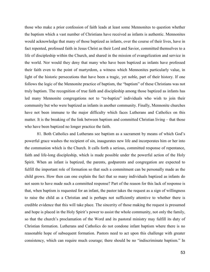those who make a prior confession of faith leads at least some Mennonites to question whether the baptism which a vast number of Christians have received as infants is authentic. Mennonites would acknowledge that many of those baptized as infants, over the course of their lives, have in fact repented, professed faith in Jesus Christ as their Lord and Savior, committed themselves to a life of discipleship within the Church, and shared in the mission of evangelization and service in the world. Nor would they deny that many who have been baptized as infants have professed their faith even to the point of martyrdom, a witness which Mennonites particularly value, in light of the historic persecutions that have been a tragic, yet noble, part of their history. If one follows the logic of the Mennonite practice of baptism, the "baptism" of these Christians was not truly baptism. The recognition of true faith and discipleship among those baptized as infants has led many Mennonite congregations not to "re-baptize" individuals who wish to join their community but who were baptized as infants in another community. Finally, Mennonite churches have not been immune to the major difficulty which faces Lutherans and Catholics on this matter. It is the breaking of the link between baptism and committed Christian living – that those who have been baptized no longer practice the faith.

81. Both Catholics and Lutherans see baptism as a sacrament by means of which God's powerful grace washes the recipient of sin, inaugurates new life and incorporates him or her into the communion which is the Church. It calls forth a serious, committed response of repentance, faith and life-long discipleship, which is made possible under the powerful action of the Holy Spirit. When an infant is baptized, the parents, godparents and congregation are expected to fulfill the important role of formation so that such a commitment can be personally made as the child grows. How then can one explain the fact that so many individuals baptized as infants do not seem to have made such a committed response? Part of the reason for this lack of response is that, when baptism is requested for an infant, the pastor takes the request as a sign of willingness to raise the child as a Christian and is perhaps not sufficiently attentive to whether there is credible evidence that this will take place. The sincerity of those making the request is presumed and hope is placed in the Holy Spirit's power to assist the whole community, not only the family, so that the church's proclamation of the Word and its pastoral ministry may fulfill its duty of Christian formation. Lutherans and Catholics do not condone infant baptism where there is no reasonable hope of subsequent formation. Pastors need to act upon this challenge with greater consistency, which can require much courage; there should be no "indiscriminate baptism." In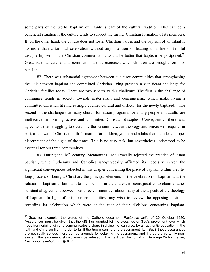some parts of the world, baptism of infants is part of the cultural tradition. This can be a beneficial situation if the culture tends to support the further Christian formation of its members. If, on the other hand, the culture does not foster Christian values and the baptism of an infant is no more than a familial celebration without any intention of leading to a life of faithful discipleship within the Christian community, it would be better that baptism be postponed.<sup>[98](#page-53-0)</sup> Great pastoral care and discernment must be exercised when children are brought forth for baptism.

82. There was substantial agreement between our three communities that strengthening the link between baptism and committed Christian living presents a significant challenge for Christian families today. There are two aspects to this challenge. The first is the challenge of continuing trends in society towards materialism and consumerism, which make living a committed Christian life increasingly counter-cultural and difficult for the newly baptized. The second is the challenge that many church formation programs for young people and adults, are ineffective in forming active and committed Christian disciples. Consequently, there was agreement that struggling to overcome the tension between theology and praxis will require, in part, a renewal of Christian faith formation for children, youth, and adults that includes a proper discernment of the signs of the times. This is no easy task, but nevertheless understood to be essential for our three communities.

83. During the  $16<sup>th</sup>$  century, Mennonites unequivocally rejected the practice of infant baptism, while Lutherans and Catholics unequivocally affirmed its necessity. Given the significant convergences reflected in this chapter concerning the place of baptism within the lifelong process of being a Christian, the principal elements in the celebration of baptism and the relation of baptism to faith and to membership in the church, it seems justified to claim a rather substantial agreement between our three communities about many of the aspects of the theology of baptism. In light of this, our communities may wish to review the opposing positions regarding its celebration which were at the root of their divisions concerning baptism.

<span id="page-53-0"></span> <sup>98</sup> See, for example, the words of the Catholic document *Pastoralis actio* of 20 October 1980: "Assurances must be given that the gift thus granted [of the blessings of God's prevenient love which frees from original sin and communicates a share in divine life] can grow by an authentic education in the faith and Christian life, in order to fulfill the true meaning of the sacrament. […] But if these assurances are not really serious there can be grounds for delaying the sacrament; and if they are certainly nonexistent the sacrament should even be refused." This text can be found in Denzinger/Schönmetzer, *Enchiridion symbolorum*, §4672.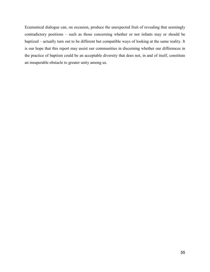Ecumenical dialogue can, on occasion, produce the unexpected fruit of revealing that seemingly contradictory positions – such as those concerning whether or not infants may or should be baptized – actually turn out to be different but compatible ways of looking at the same reality. It is our hope that this report may assist our communities in discerning whether our differences in the practice of baptism could be an acceptable diversity that does not, in and of itself, constitute an insuperable obstacle to greater unity among us.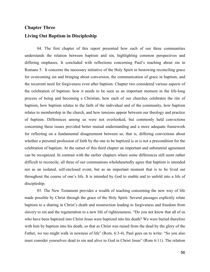# **Chapter Three Living Out Baptism in Discipleship**

84. The first chapter of this report presented how each of our three communities understands the relation between baptism and sin, highlighting common perspectives and differing emphases. It concluded with reflections concerning Paul's teaching about sin in Romans 5. It concerns the necessary initiative of the Holy Spirit in bestowing reconciling grace for overcoming sin and bringing about conversion, the communication of grace in baptism, and the recurrent need for forgiveness even after baptism. Chapter two considered various aspects of the celebration of baptism: how it needs to be seen as an important moment in the life-long process of being and becoming a Christian, how each of our churches celebrates the rite of baptism, how baptism relates to the faith of the individual and of the community, how baptism relates to membership in the church, and how tensions appear between our theology and practice of baptism. Differences among us were not overlooked, but commonly held convictions concerning these issues provided better mutual understanding and a more adequate framework for reflecting on a fundamental disagreement between us, that is, differing convictions about whether a personal profession of faith by the one to be baptized is or is not a precondition for the celebration of baptism. At the outset of this third chapter an important and substantial agreement can be recognized. In contrast with the earlier chapters where some differences still seem rather difficult to reconcile, all three of our communions wholeheartedly agree that baptism is intended not as an isolated, self-enclosed event, but as an important moment that is to be lived out throughout the course of one's life. It is intended by God to enable and to unfold into a life of discipleship.

85. The New Testament provides a wealth of teaching concerning the new way of life made possible by Christ through the grace of the Holy Spirit. Several passages explicitly relate baptism to a sharing in Christ's death and resurrection leading to forgiveness and freedom from slavery to sin and the regeneration to a new life of righteousness. "Do you not know that all of us who have been baptized into Christ Jesus were baptized into his death? We were buried therefore with him by baptism into his death, so that as Christ was raised from the dead by the glory of the Father, we too might walk in newness of life" (Rom. 6:3-4). Paul goes on to write: "So you also must consider yourselves dead to sin and alive to God in Christ Jesus" (Rom 6:11). The relation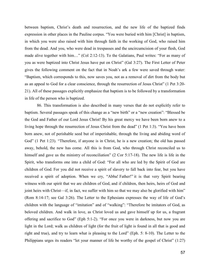between baptism, Christ's death and resurrection, and the new life of the baptized finds expression in other places in the Pauline corpus. "You were buried with him [Christ] in baptism, in which you were also raised with him through faith in the working of God, who raised him from the dead. And you, who were dead in trespasses and the uncircumcision of your flesh, God made alive together with him…" (Col 2:12-13). To the Galatians, Paul writes: "For as many of you as were baptized into Christ Jesus have put on Christ" (Gal 3:27). The First Letter of Peter gives the following comment on the fact that in Noah's ark a few were saved through water: "Baptism, which corresponds to this, now saves you, not as a removal of dirt from the body but as an appeal to God for a clear conscience, through the resurrection of Jesus Christ" (1 Pet 3:20- 21). All of these passages explicitly emphasize that baptism is to be followed by a transformation in life of the person who is baptized.

86. This transformation is also described in many verses that do not explicitly refer to baptism. Several passages speak of this change as a "new birth" or a "new creation": "Blessed be the God and Father of our Lord Jesus Christ! By his great mercy we have been born anew to a living hope through the resurrection of Jesus Christ from the dead" (1 Pet 1:3). "You have been born anew, not of perishable seed but of imperishable, through the living and abiding word of God" (1 Pet 1:23). "Therefore, if anyone is in Christ, he is a new creation; the old has passed away, behold, the new has come. All this is from God, who through Christ reconciled us to himself and gave us the ministry of reconciliation" (2 Cor 5:17-18). The new life is life in the Spirit, who transforms one into a child of God: "For all who are led by the Spirit of God are children of God. For you did not receive a spirit of slavery to fall back into fear, but you have received a spirit of adoption. When we cry, "Abba! Father!" it is that very Spirit bearing witness with our spirit that we are children of God, and if children, then heirs, heirs of God and joint heirs with Christ—if, in fact, we suffer with him so that we may also be glorified with him" (Rom 8:14-17; see Gal 3:26). The Letter to the Ephesians expresses the way of life of God's children with the language of "imitation" and of "walking": "Therefore be imitators of God, as beloved children. And walk in love, as Christ loved us and gave himself up for us, a fragrant offering and sacrifice to God" (Eph 5:1-2). "For once you were in darkness, but now you are light in the Lord; walk as children of light (for the fruit of light is found in all that is good and right and true), and try to learn what is pleasing to the Lord" (Eph. 5: 8-10). The Letter to the Philippians urges its readers "let your manner of life be worthy of the gospel of Christ" (1:27)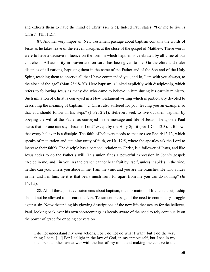and exhorts them to have the mind of Christ (see 2:5). Indeed Paul states: "For me to live is Christ" (Phil 1:21).

87. Another very important New Testament passage about baptism contains the words of Jesus as he takes leave of the eleven disciples at the close of the gospel of Matthew. These words were to have a decisive influence on the form in which baptism is celebrated by all three of our churches: "All authority in heaven and on earth has been given to me. Go therefore and make disciples of all nations, baptizing them in the name of the Father and of the Son and of the Holy Spirit, teaching them to observe all that I have commanded you; and lo, I am with you always, to the close of the age" (Matt 28:18-20). Here baptism is linked explicitly with discipleship, which refers to following Jesus as many did who came to believe in him during his earthly ministry. Such imitation of Christ is conveyed in a New Testament writing which is particularly devoted to describing the meaning of baptism: "… Christ also suffered for you, leaving you an example, so that you should follow in his steps" (1 Pet 2:21). Believers seek to live out their baptism by obeying the will of the Father as conveyed in the message and life of Jesus. The apostle Paul states that no one can say "Jesus is Lord" except by the Holy Spirit (see 1 Cor 12:3); it follows that every believer is a disciple. The faith of believers needs to mature (see Eph 4:12-13, which speaks of maturation and attaining unity of faith, or Lk. 17:5, where the apostles ask the Lord to increase their faith). The disciple has a personal relation to Christ, is a follower of Jesus, and like Jesus seeks to do the Father's will. This union finds a powerful expression in John's gospel: "Abide in me, and I in you. As the branch cannot bear fruit by itself, unless it abides in the vine, neither can you, unless you abide in me. I am the vine, and you are the branches. He who abides in me, and I in him, he it is that bears much fruit, for apart from me you can do nothing" (Jn 15:4-5).

88. All of these positive statements about baptism, transformation of life, and discipleship should not be allowed to obscure the New Testament message of the need to continually struggle against sin. Notwithstanding his glowing descriptions of the new life that occurs for the believer, Paul, looking back over his own shortcomings, is keenly aware of the need to rely continually on the power of grace for ongoing conversion.

I do not understand my own actions. For I do not do what I want, but I do the very thing I hate. […] For I delight in the law of God, in my inmost self, but I see in my members another law at war with the law of my mind and making me captive to the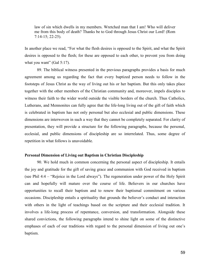law of sin which dwells in my members. Wretched man that I am! Who will deliver me from this body of death? Thanks be to God through Jesus Christ our Lord! (Rom 7:14-15; 22-25).

In another place we read, "For what the flesh desires is opposed to the Spirit, and what the Spirit desires is opposed to the flesh; for these are opposed to each other, to prevent you from doing what you want" (Gal  $5:17$ ).

89. The biblical witness presented in the previous paragraphs provides a basis for much agreement among us regarding the fact that every baptized person needs to follow in the footsteps of Jesus Christ as the way of living out his or her baptism. But this only takes place together with the other members of the Christian community and, moreover, impels disciples to witness their faith to the wider world outside the visible borders of the church. Thus Catholics, Lutherans, and Mennonites can fully agree that the life-long living out of the gift of faith which is celebrated in baptism has not only personal but also ecclesial and public dimensions. These dimensions are interwoven in such a way that they cannot be completely separated. For clarity of presentation, they will provide a structure for the following paragraphs, because the personal, ecclesial, and public dimensions of discipleship are so interrelated. Thus, some degree of repetition in what follows is unavoidable.

# **Personal Dimension of Living out Baptism in Christian Discipleship**

90. We hold much in common concerning the personal aspect of discipleship. It entails the joy and gratitude for the gift of saving grace and communion with God received in baptism (see Phil 4:4 – "Rejoice in the Lord always"). The regeneration under power of the Holy Spirit can and hopefully will mature over the course of life. Believers in our churches have opportunities to recall their baptism and to renew their baptismal commitment on various occasions. Discipleship entails a spirituality that grounds the believer's conduct and interaction with others in the light of teachings based on the scripture and their ecclesial tradition. It involves a life-long process of repentance, conversion, and transformation. Alongside these shared convictions, the following paragraphs intend to shine light on some of the distinctive emphases of each of our traditions with regard to the personal dimension of living out one's baptism.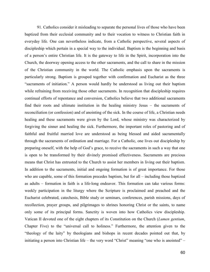91. Catholics consider it misleading to separate the personal lives of those who have been baptized from their ecclesial community and to their vocation to witness to Christian faith in everyday life. One can nevertheless indicate, from a Catholic perspective, several aspects of discipleship which pertain in a special way to the individual. Baptism is the beginning and basis of a person's entire Christian life. It is the gateway to life in the Spirit, incorporation into the Church, the doorway opening access to the other sacraments, and the call to share in the mission of the Christian community in the world. The Catholic emphasis upon the sacraments is particularly strong. Baptism is grouped together with confirmation and Eucharist as the three "sacraments of initiation." A person would hardly be understood as living out their baptism while refraining from receiving those other sacraments. In recognition that discipleship requires continual efforts of repentance and conversion, Catholics believe that two additional sacraments find their roots and ultimate institution in the healing ministry Jesus – the sacraments of reconciliation (or confession) and of anointing of the sick. In the course of life, a Christian needs healing and these sacraments were given by the Lord, whose ministry was characterized by forgiving the sinner and healing the sick. Furthermore, the important roles of pastoring and of faithful and fruitful married love are understood as being blessed and aided sacramentally through the sacraments of ordination and marriage. For a Catholic, one lives out discipleship by preparing oneself, with the help of God's grace, to receive the sacraments in such a way that one is open to be transformed by their divinely promised effectiveness. Sacraments are precious means that Christ has entrusted to the Church to assist her members in living out their baptism. In addition to the sacraments, initial and ongoing formation is of great importance. For those who are capable, some of this formation precedes baptism, but for all – including those baptized as adults – formation in faith is a life-long endeavor. This formation can take various forms: weekly participation in the liturgy where the Scripture is proclaimed and preached and the Eucharist celebrated, catechesis, Bible study or seminars, conferences, parish missions, days of recollection, prayer groups, and pilgrimages to shrines honoring Christ or the saints, to name only some of its principal forms. Sanctity is woven into how Catholics view discipleship. Vatican II devoted one of the eight chapters of its Constitution on the Church (*Lumen gentium*, Chapter Five) to the "universal call to holiness." Furthermore, the attention given to the "theology of the laity" by theologians and bishops in recent decades pointed out that, by initiating a person into Christian life – the very word "Christ" meaning "one who is anointed" –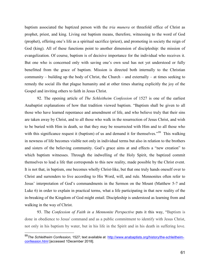baptism associated the baptized person with the *tria munera* or threefold office of Christ as prophet, priest, and king. Living out baptism means, therefore, witnessing to the word of God (prophet), offering one's life as a spiritual sacrifice (priest), and promoting in society the reign of God (king). All of these functions point to another dimension of discipleship: the mission of evangelization. Of course, baptism is of decisive importance for the individual who receives it. But one who is concerned only with saving one's own soul has not yet understood or fully benefitted from the grace of baptism. Mission is directed both internally to the Christian community – building up the body of Christ, the Church – and externally – at times seeking to remedy the social ills that plague humanity and at other times sharing explicitly the joy of the Gospel and inviting others to faith in Jesus Christ.

92. The opening article of *The Schleitheim Confession* of 1527 is one of the earliest Anabaptist explanations of how that tradition viewed baptism. "Baptism shall be given to all those who have learned repentance and amendment of life, and who believe truly that their sins are taken away by Christ, and to all those who walk in the resurrection of Jesus Christ, and wish to be buried with Him in death, so that they may be resurrected with Him and to all those who with this significance request it (baptism) of us and demand it for themselves."<sup>[99](#page-60-0)</sup> This walking in newness of life becomes visible not only in individual terms but also in relation to the brothers and sisters of the believing community. God's grace aims at and effects a "new creation" to which baptism witnesses. Through the indwelling of the Holy Spirit, the baptized commit themselves to lead a life that corresponds to this new reality, made possible by the Christ event. It is not that, in baptism, one becomes wholly Christ-like, but that one truly hands oneself over to Christ and surrenders to live according to His Word, will, and rule. Mennonites often refer to Jesus' interpretation of God's commandments in the Sermon on the Mount (Matthew 5-7 and Luke 6) in order to explain in practical terms, what a life participating in that new reality of the in-breaking of the Kingdom of God might entail. Discipleship is understood as learning from and walking in the way of Christ.

93. The *Confession of Faith in a Mennonite Perspective* puts it this way, "Baptism is done in obedience to Jesus' command and as a public commitment to identify with Jesus Christ, not only in his baptism by water, but in his life in the Spirit and in his death in suffering love.

<span id="page-60-0"></span><sup>99&</sup>lt;sub>7</sub> The Schleitheim Confession, 1527; text available at [http://www.anabaptists.org/history/the-schleitheim](http://www.anabaptists.org/history/the-schleitheim-confession.html)[confession.html](http://www.anabaptists.org/history/the-schleitheim-confession.html) [accessed 1December 2018].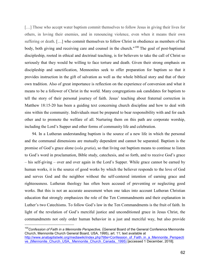[...] Those who accept water baptism commit themselves to follow Jesus in giving their lives for others, in loving their enemies, and in renouncing violence, even when it means their own suffering or death. […] who commit themselves to follow Christ in obedience as members of his body, both giving and receiving care and counsel in the church."<sup>[100](#page-61-0)</sup> The goal of post-baptismal discipleship, rooted in ethical and doctrinal teaching, is for believers to take the call of Christ so seriously that they would be willing to face torture and death. Given their strong emphasis on discipleship and sanctification, Mennonites seek to offer preparation for baptism so that it provides instruction in the gift of salvation as well as the whole biblical story and that of their own tradition. Also of great importance is reflection on the experience of conversion and what it means to be a follower of Christ in the world. Many congregations ask candidates for baptism to tell the story of their personal journey of faith. Jesus' teaching about fraternal correction in Matthew 18:15-20 has been a guiding text concerning church discipline and how to deal with sins within the community. Individuals must be prepared to bear responsibility with and for each other and to promote the welfare of all. Nurturing them on this path are corporate worship, including the Lord's Supper and other forms of community life and celebration.

94. In a Lutheran understanding baptism is the source of a new life in which the personal and the communal dimensions are mutually dependent and cannot be separated. Baptism is the promise of God's grace alone (*sola gratia*), so that living out baptism means to continue to listen to God's word in proclamation, Bible study, catechesis, and so forth, and to receive God's grace – his self-giving – over and over again in the Lord's Supper. While grace cannot be earned by human works, it is the source of good works by which the believer responds to the love of God and serves God and the neighbor without the self-centered intention of earning grace and righteousness. Lutheran theology has often been accused of preventing or neglecting good works. But this is not an accurate assessment when one takes into account Lutheran Christian education that strongly emphasizes the role of the Ten Commandments and their explanation in Luther's two Catechisms. To follow God's law in the Ten Commandments is the fruit of faith. In light of the revelation of God's merciful justice and unconditioned grace in Jesus Christ, the commandments not only order human behavior in a just and merciful way, but also provide

<span id="page-61-0"></span> <sup>100</sup>*Confession of Faith in a Mennonite Perspective,* [\(General Board of the General Conference Mennonite](http://store.mennomedia.org/cw_contributorinfo.aspx?ContribID=35053&Name=+General+Board+Of+The+General+Conference+Mennonite+Church)  [Church,](http://store.mennomedia.org/cw_contributorinfo.aspx?ContribID=35053&Name=+General+Board+Of+The+General+Conference+Mennonite+Church) Mennonite Church General Board*,* USA, 1995), art. 11; text available at [http://www.anabaptistwiki.org/mediawiki/index.php?title=Confession\\_of\\_Faith\\_in\\_a\\_Mennonite\\_Perspecti](http://www.anabaptistwiki.org/mediawiki/index.php?title=Confession_of_Faith_in_a_Mennonite_Perspective_(Mennonite_Church_USA,_Mennonite_Church_Canada,_1995)) ve<sup>'</sup> (Mennonite\_Church\_USA, Mennonite\_Church\_Canada, 1995) [accessed 1 December, 2018].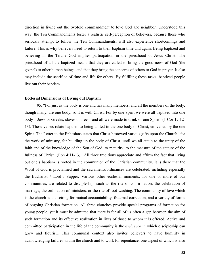direction in living out the twofold commandment to love God and neighbor. Understood this way, the Ten Commandments foster a realistic self-perception of believers, because those who seriously attempt to follow the Ten Commandments, will also experience shortcomings and failure. This is why believers need to return to their baptism time and again. Being baptized and believing in the Triune God implies participation in the priesthood of Jesus Christ. The priesthood of all the baptized means that they are called to bring the good news of God (the gospel) to other human beings, and that they bring the concerns of others to God in prayer. It also may include the sacrifice of time and life for others. By fulfilling these tasks, baptized people live out their baptism.

### **Ecclesial Dimensions of Living out Baptism**

95. "For just as the body is one and has many members, and all the members of the body, though many, are one body, so it is with Christ. For by one Spirit we were all baptized into one body – Jews or Greeks, slaves or free – and all were made to drink of one Spirit" (1 Cor 12:12- 13). These verses relate baptism to being united in the one body of Christ, enlivened by the one Spirit. The Letter to the Ephesians states that Christ bestowed various gifts upon the Church "for the work of ministry, for building up the body of Christ, until we all attain to the unity of the faith and of the knowledge of the Son of God, to maturity, to the measure of the stature of the fullness of Christ" (Eph 4:11-13). All three traditions appreciate and affirm the fact that living out one's baptism is rooted in the communion of the Christian community. It is there that the Word of God is proclaimed and the sacraments/ordinances are celebrated, including especially the Eucharist / Lord's Supper. Various other ecclesial moments, for one or more of our communities, are related to discipleship, such as the rite of confirmation, the celebration of marriage, the ordination of ministers, or the rite of foot-washing. The community of love which is the church is the setting for mutual accountability, fraternal correction, and a variety of forms of ongoing Christian formation. All three churches provide special programs of formation for young people, yet it must be admitted that there is for all of us often a gap between the aim of such formation and its effective realization in lives of those to whom it is offered. Active and committed participation in the life of the community is the *ambience* in which discipleship can grow and flourish. This communal context also invites believers to have humility in acknowledging failures within the church and to work for repentance, one aspect of which is also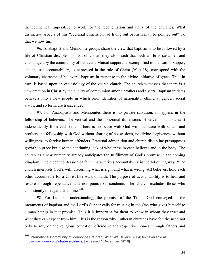the ecumenical imperative to work for the reconciliation and unity of the churches. What distinctive aspects of this "ecclesial dimension" of living out baptism may be pointed out? To that we now turn.

96. Anabaptist and Mennonite groups share the view that baptism is to be followed by a life of Christian discipleship. Not only that, they also teach that such a life is sustained and encouraged by the community of believers. Mutual support, as exemplified in the Lord's Supper, and mutual accountability, as expressed in the rule of Christ (Matt 18), correspond with the voluntary character of believers' baptism in response to the divine initiative of grace. This, in turn, is based upon an ecclesiology of the visible church. The church witnesses that there is a new creation in Christ by the quality of communion among brothers and sisters. Baptism initiates believers into a new people in which prior identities of nationality, ethnicity, gender, social status, and so forth, are transcended.

97. For Anabaptists and Mennonites there is no private salvation; it happens in the fellowship of believers. The vertical and the horizontal dimensions of salvation do not exist independently from each other. There is no peace with God without peace with sisters and brothers, no fellowship with God without sharing of possessions, no divine forgiveness without willingness to forgive human offenders. Fraternal admonition and church discipline presupposes growth in grace but also the continuing lack of wholeness in each believer and in the body. The church as a new humanity already anticipates the fulfillment of God's promise in the coming kingdom. One recent confession of faith characterizes accountability in the following way: "The church interprets God's will, discerning what is right and what is wrong. All believers hold each other accountable for a Christ-like walk of faith. The purpose of accountability is to heal and restore through repentance and not punish or condemn. The church excludes those who consistently disregard discipline."<sup>[101](#page-63-0)</sup>

98. For Lutheran understanding, the promise of the Triune God conveyed in the sacraments of baptism and the Lord's Supper calls for trusting in the One who gives himself to human beings in that promise. Thus it is important for them to know in whom they trust and what they can expect from him. This is the reason why Lutheran churches have felt the need not only to rely on the religious education offered in the respective homes through fathers and

<span id="page-63-0"></span> <sup>101</sup> International Community of Mennonite Brethren, *What We Believe,* 2004; text available at <http://www.icomb.org/what-we-believe/> [accessed 1 December, 2018].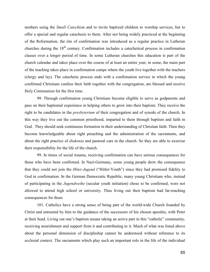mothers using the *Small Catechism* and to invite baptized children to worship services, but to offer a special and regular catechesis to them. After not being widely practiced at the beginning of the Reformation, the rite of confirmation was introduced as a regular practice in Lutheran churches during the  $18<sup>th</sup>$  century. Confirmation includes a catechetical process in confirmation classes over a longer period of time. In some Lutheran churches this education is part of the church calendar and takes place over the course of at least an entire year; in some, the main part of the teaching takes place in confirmation camps where the youth live together with the teachers (clergy and lay). The catechetic process ends with a confirmation service in which the young confirmed Christians confess their faith together with the congregation, are blessed and receive Holy Communion for the first time.

99. Through confirmation young Christians become eligible to serve as godparents and pass on their baptismal experience in helping others to grow into their baptism. They receive the right to be candidates in the *presbyterium* of their congregation and of synods of the church. In this way they live out the common priesthood, imparted to them through baptism and faith in God. They should seek continuous formation in their understanding of Christian faith. Then they become knowledgeable about right preaching and the administration of the sacraments, and about the right practice of *diakonia* and pastoral care in the church. So they are able to exercise their responsibility for the life of the church.

99. In times of social trauma, receiving confirmation can have serious consequences for those who have been confirmed. In Nazi-Germany, some young people drew the consequence that they could not join the *Hiter-Jugend* ("Hitler-Youth") since they had promised fidelity to God in confirmation. In the German Democratic Republic, many young Christians who, instead of participating in the *Jugendweihe* (secular youth initiation) chose to be confirmed, were not allowed to attend high school or university. Thus living out their baptism had far-reaching consequences for them.

101. Catholics have a strong sense of being part of the world-wide Church founded by Christ and entrusted by him to the guidance of the successors of his chosen apostles, with Peter at their head. Living out one's baptism means taking an active part in this "catholic" community, receiving nourishment and support from it and contributing to it. Much of what was listed above about the personal dimension of discipleship cannot be understood without reference to its ecclesial context. The sacraments which play such an important role in the life of the individual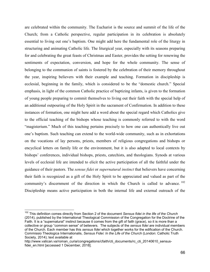are celebrated within the community. The Eucharist is the source and summit of the life of the Church; from a Catholic perspective, regular participation in its celebration is absolutely essential to living out one's baptism. One might add here the fundamental role of the liturgy in structuring and animating Catholic life. The liturgical year, especially with its seasons preparing for and celebrating the great feasts of Christmas and Easter, provides the setting for renewing the sentiments of expectation, conversion, and hope for the whole community. The sense of belonging to the communion of saints is fostered by the celebration of their memory throughout the year, inspiring believers with their example and teaching. Formation in discipleship is ecclesial, beginning in the family, which is considered to be the "domestic church." Special emphasis, in light of the common Catholic practice of baptizing infants, is given to the formation of young people preparing to commit themselves to living out their faith with the special help of an additional outpouring of the Holy Spirit in the sacrament of Confirmation. In addition to these instances of formation, one might here add a word about the special regard which Catholics give to the official teaching of the bishops whose teaching is commonly referred to with the word "magisterium." Much of this teaching pertains precisely to how one can authentically live out one's baptism. Such teaching can extend to the world-wide community, such as in exhortations on the vocations of lay persons, priests, members of religious congregations and bishops or encyclical letters on family life or the environment, but it is also adapted to local contexts by bishops' conferences, individual bishops, priests, catechists, and theologians. Synods at various levels of ecclesial life are intended to elicit the active participation of all the faithful under the guidance of their pastors. The *sensus fidei* or *supernatural instinct* that believers have concerning their faith is recognized as a gift of the Holy Spirit to be appreciated and valued as part of the community's discernment of the direction in which the Church is called to advance.  $102$ Discipleship means active participation in both the internal life and external outreach of the

<span id="page-65-0"></span> <sup>102</sup> This definition comes directly from Section 2 of the document *Sensus fidei in the life of the Church* (2014), published by the International Theological Commission of the Congregation for the Doctrine of the Faith. It is a "supernatural" instinct because it comes from the gift of faith (grace), so it is more than a collective or group "common sense" of believers. The subjects of the *sensus fidei* are individual members of the Church. Each member has this *sensus fidei* which together works for the edification of the Church. Commissio Theologica Internationalis, *Sensus Fidei: In the Life of the Church* (London: Catholic Truth Society, 2014); text available at

http://www.vatican.va/roman\_curia/congregations/cfaith/cti\_documents/rc\_cti\_20140610\_sensusfidei\_en.html [accessed 1 December, 2018].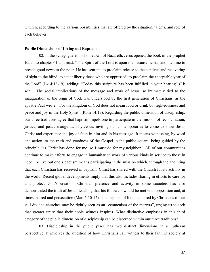Church, according to the various possibilities that are offered by the situation, talents, and role of each believer.

### **Public Dimensions of Living out Baptism**

102. In the synagogue at his hometown of Nazareth, Jesus opened the book of the prophet Isaiah to chapter 61 and read: "The Spirit of the Lord is upon me because he has anointed me to preach good news to the poor. He has sent me to proclaim release to the captives and recovering of sight to the blind, to set at liberty those who are oppressed, to proclaim the acceptable year of the Lord" (Lk 4:18-19), adding: "Today this scripture has been fulfilled in your hearing" (Lk 4:21). The social implications of the message and work of Jesus, so intimately tied to the inauguration of the reign of God, was understood by the first generation of Christians, as the apostle Paul wrote: "For the kingdom of God does not mean food or drink but righteousness and peace and joy in the Holy Spirit" (Rom 14:17). Regarding the public dimension of discipleship, our three traditions agree that baptism impels one to participate in the mission of reconciliation, justice, and peace inaugurated by Jesus, inviting our contemporaries to come to know Jesus Christ and experience the joy of faith in him and in his message. It means witnessing, by word and action, to the truth and goodness of the Gospel in the public square, being guided by the principle "as Christ has done for me, so I must do for my neighbor." All of our communities continue to make efforts to engage in humanitarian work of various kinds in service to those in need. To live out one's baptism means participating in the mission which, through the anointing that each Christian has received in baptism, Christ has shared with the Church for its activity in the world. Recent global developments imply that this also includes sharing in efforts to care for and protect God's creation. Christian presence and activity in some societies has also demonstrated the truth of Jesus' teaching that his followers would be met with opposition and, at times, hatred and persecution (Matt 5:10-12). The baptism of blood endured by Christians of our still divided churches may be rightly seen as an "ecumenism of the martyrs", urging us to seek that greater unity that their noble witness inspires. What distinctive emphases in this third category of the public dimension of discipleship can be discerned within our three traditions?

103. Discipleship in the public place has two distinct dimensions in a Lutheran perspective. It involves the question of how Christians can witness to their faith in society at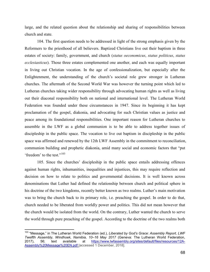large, and the related question about the relationship and sharing of responsibilities between church and state.

104. The first question needs to be addressed in light of the strong emphasis given by the Reformers to the priesthood of all believers. Baptized Christians live out their baptism in three estates of society: family, government, and church (*status oeconomicus*, *status politicus*, *status ecclesiasticus*). Those three estates complemented one another, and each was equally important in living out Christian vocation. In the age of confessionalization, but especially after the Enlightenment, the understanding of the church's societal role grew stronger in Lutheran churches. The aftermath of the Second World War was however the turning point which led to Lutheran churches taking wider responsibility through advocating human rights as well as living out their diaconal responsibility both on national and international level. The Lutheran World Federation was founded under these circumstances in 1947. Since its beginning it has kept proclamation of the gospel, diakonia, and advocating for such Christian values as justice and peace among its foundational responsibilities. One important reason for Lutheran churches to assemble in the LWF as a global communion is to be able to address together issues of discipleship in the public space. The vocation to live out baptism in discipleship in the public space was affirmed and renewed by the 12th LWF Assembly in the commitment to reconciliation, communion building and prophetic diakonia, amid many social and economic factors that "put 'freedom' to the test."<sup>[103](#page-67-0)</sup>

105. Since the churches' discipleship in the public space entails addressing offences against human rights, inhumanities, inequalities and injustices, this may require reflection and decision on how to relate to politics and governmental decisions. It is well known across denominations that Luther had defined the relationship between church and political sphere in his doctrine of the two kingdoms, recently better known as two realms. Luther's main motivation was to bring the church back to its primary role, i.e. preaching the gospel. In order to do that, church needed to be liberated from worldly power and politics. This did not mean however that the church would be isolated from the world. On the contrary, Luther wanted the church to serve the world through pure preaching of the gospel. According to the doctrine of the two realms both

<span id="page-67-0"></span> <sup>103</sup> "Message," in The Lutheran World Federation (ed.), *Liberated by God's Grace: Assembly Report, LWF Twelfth Assembly, Windhoek, Namibia, 10–16 May 2017* (Geneva: The Lutheran World Federation, 2017), 56; text available at https://www.lwfassembly.org/sites/default/files/resources/12A-Assembly%20Message%20EN.pdf [accessed 1 December, 2018].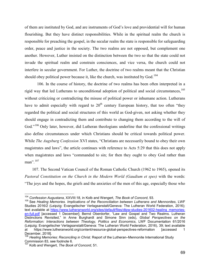of them are instituted by God, and are instruments of God's love and providential will for human flourishing. But they have distinct responsibilities. While in the spiritual realm the church is responsible for preaching the gospel, in the secular realm the state is responsible for safeguarding order, peace and justice in the society. The two realms are not opposed, but complement one another. However, Luther insisted on the distinction between the two so that the state could not invade the spiritual realm and constrain consciences, and vice versa, the church could not interfere in secular government. For Luther, the doctrine of two realms meant that the Christian should obey political power because it, like the church, was instituted by God.<sup>[104](#page-68-0)</sup>

106. In the course of history, the doctrine of two realms has been often interpreted in a rigid way that led Lutherans to unconditional adoption of political and social circumstances,  $^{105}$  $^{105}$  $^{105}$ without criticizing or contradicting the misuse of political power or inhumane action. Lutherans have to admit especially with regard to  $20<sup>th</sup>$  century European history, that too often "they regarded the political and social structures of this world as God-given, not asking whether they should engage in contradicting them and contribute to changing them according to the will of God."<sup>[106](#page-68-2)</sup> Only later, however, did Lutheran theologians underline that the confessional writings also define circumstances under which Christians should be critical towards political power. While *The Augsburg Confession* XVI states, "Christians are necessarily bound to obey their own magistrates and laws", the article continues with reference to Acts 5:29 that this does not apply when magistrates and laws "commanded to sin; for then they ought to obey God rather than man".<sup>[107](#page-68-3)</sup>

107. The Second Vatican Council of the Roman Catholic Church (1962 to 1965), opened its *Pastoral Constitution on the Church in the Modern World (Gaudium et spes)* with the words: "The joys and the hopes, the griefs and the anxieties of the men of this age, especially those who

<span id="page-68-0"></span> <sup>104</sup> *Confession Augustana*, XXVIII:18, in Kolb and Wengert, *The Book of Concord*, 93.

<span id="page-68-1"></span><sup>105</sup> See *Healing Memories. Implications of the Reconciliation between Lutherans and Mennonites*, LWF Studies 2016/2 (Leipzig: Evangelischer Verlagsanstalt/Geneva: The Lutheran World Federation, 2016); text available at [https://www.lutheranworld.org/sites/default/files/dtpw-studies-201602-healing\\_memories](https://www.lutheranworld.org/sites/default/files/dtpw-studies-201602-healing_memories-en-full.pdf)[en-full.pdf](https://www.lutheranworld.org/sites/default/files/dtpw-studies-201602-healing_memories-en-full.pdf) [accessed 1 December]; Bernd Oberdorfer, "Law and Gospel and Two Realms. Lutheran Distinctions Revisited," in Anne Burghardt and Simone Sinn (eds), *Global Perspectives on the Reformation: Interactions between Theology, Politics and Economics*, LWF Documentation 61/2016 (Leipzig: Evangelischer Verlagsanstalt/Geneva: The Lutheran World Federation, 2016), 39; text available at https://www.lutheranworld.org/content/resource-global-perspectives-reformation [accessed 1 December, 2018].

<span id="page-68-2"></span><sup>106</sup> *Healing Memories: Reconciling in Christ.* Report of the Lutheran–Mennonite International Study Commission 83, see footnote 6.

<span id="page-68-3"></span><sup>107</sup> Kolb and Wengert, *The Book of Concord*, 51.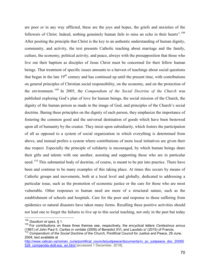are poor or in any way afflicted, these are the joys and hopes, the griefs and anxieties of the followers of Christ. Indeed, nothing genuinely human fails to raise an echo in their hearts".<sup>[108](#page-69-0)</sup> After positing the principle that Christ is the key to an authentic understanding of human dignity, community, and activity, the text presents Catholic teaching about marriage and the family, culture, the economy, political activity, and peace, always with the presupposition that those who live out their baptism as disciples of Jesus Christ must be concerned for their fellow human beings. That treatment of specific issues amounts to a harvest of teachings about social questions that began in the late  $19<sup>th</sup>$  century and has continued up until the present time, with contributions on general principles of Christian social responsibility, on the economy, and on the protection of the environment. [109](#page-69-1) In 2005, the *Compendium of the Social Doctrine of the Church* was published exploring God's plan of love for human beings, the social mission of the Church, the dignity of the human person as made in the image of God, and principles of the Church's social doctrine. Basing these principles on the dignity of each person, they emphasize the importance of fostering the common good and the universal destination of goods which have been bestowed upon all of humanity by the creator. They insist upon subsidiarity, which fosters the participation of all as opposed to a system of social organization in which everything is determined from above, and instead prefers a system where contributions of more local initiatives are given their due respect. Especially the principle of solidarity is encouraged, by which human beings share their gifts and talents with one another, assisting and supporting those who are in particular need.<sup>[110](#page-69-2)</sup> This substantial body of doctrine, of course, is meant to be put into practice. There have been and continue to be many examples of this taking place. At times this occurs by means of Catholic groups and movements, both at a local level and globally, dedicated to addressing a particular issue, such as the promotion of economic justice or the care for those who are most vulnerable. Other responses to human need are more of a structural nature, such as the establishment of schools and hospitals. Care for the poor and response to those suffering from epidemics or natural disasters have taken many forms. Recalling these positive activities should not lead one to forget the failures to live up to this social teaching, not only in the past but today

<span id="page-69-1"></span><span id="page-69-0"></span><sup>&</sup>lt;sup>108</sup> Gaudium et spes, § 1.<br><sup>109</sup> For contributions on these three themes see, respectively, the encyclical letters *Centesimus annus* our response in the curve to the curve in the control of 1991) of John Paul II, Caritas in verifate (2009) of Benedict XVI, and Laudato si' (2015) of Francis.<br><sup>110</sup> Compendium of the Social Doctrine of the Church, Pontific

<span id="page-69-2"></span><sup>2004;</sup> text available at

[http://www.vatican.va/roman\\_curia/pontifical\\_councils/justpeace/documents/rc\\_pc\\_justpeace\\_doc\\_20060](http://www.vatican.va/roman_curia/pontifical_councils/justpeace/documents/rc_pc_justpeace_doc_20060526_compendio-dott-soc_en.html) 526 compendio-dott-soc\_en.html [accessed 1 December, 2018].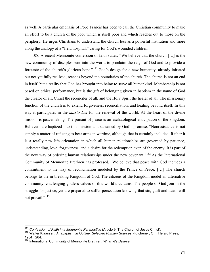as well. A particular emphasis of Pope Francis has been to call the Christian community to make an effort to be a church of the poor which is itself poor and which reaches out to those on the periphery. He urges Christians to understand the church less as a powerful institution and more along the analogy of a "field hospital," caring for God's wounded children.

108. A recent Mennonite confession of faith states: "We believe that the church […] is the new community of disciples sent into the world to proclaim the reign of God and to provide a foretaste of the church's glorious hope."[111](#page-70-0) God's design for a new humanity, already initiated but not yet fully realized, reaches beyond the boundaries of the church. The church is not an end in itself, but a reality that God has brought into being to serve all humankind. Membership is not based on ethical performance, but is the gift of belonging given in baptism in the name of God the creator of all, Christ the reconciler of all, and the Holy Spirit the healer of all. The missionary function of the church is to extend forgiveness, reconciliation, and healing beyond itself. In this way it participates in the *missio Dei* for the renewal of the world. At the heart of the divine mission is peacemaking. The pursuit of peace is an eschatological anticipation of the kingdom. Believers are baptized into this mission and sustained by God's promise. "Nonresistance is not simply a matter of refusing to bear arms in wartime, although that is certainly included. Rather it is a totally new life orientation in which all human relationships are governed by patience, understanding, love, forgiveness, and a desire for the redemption even of the enemy. It is part of the new way of ordering human relationships under the new covenant."[112](#page-70-1) As the International Community of Mennonite Brethren has professed, "We believe that peace with God includes a commitment to the way of reconciliation modeled by the Prince of Peace. […] The church belongs to the in-breaking Kingdom of God. The citizens of the Kingdom model an alternative community, challenging godless values of this world's cultures. The people of God join in the struggle for justice, yet are prepared to suffer persecution knowing that sin, guilt and death will not prevail."<sup>[113](#page-70-2)</sup>

<span id="page-70-1"></span><span id="page-70-0"></span><sup>&</sup>lt;sup>111</sup> Confession of Faith in a Mennonite Perspective (Article 9: The Church of Jesus Christ).<br><sup>112</sup> Walter Klaassen, *Anabaptism in Outline: Selected Primary Sources*. (Kitchener, Ont: Herald Press, 1984), 264.

<span id="page-70-2"></span><sup>113</sup> International Community of Mennonite Brethren, *What We Believe*.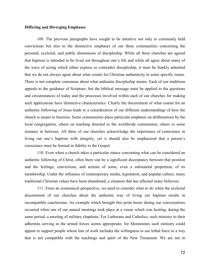# **Differing and Diverging Emphases**

109. The previous paragraphs have sought to be attentive not only to commonly held convictions but also to the distinctive emphases of our three communities concerning the personal, ecclesial, and public dimensions of discipleship. While all three churches are agreed that baptism is intended to be lived out throughout one's life and while all agree about many of the ways of acting which either express or contradict discipleship, it must be frankly admitted that we do not always agree about what counts for Christian authenticity in some specific issues. There is not complete consensus about what authentic discipleship means. Each of our traditions appeals to the guidance of Scripture, but the biblical message must be applied to the questions and circumstances of today and the processes involved within each of our churches for making such applications have distinctive characteristics. Clearly the discernment of what counts for an authentic following of Jesus leads to a consideration of our different understandings of how the church is meant to function. Some communities place particular emphasis on deliberations by the local congregation, others on teaching directed to the worldwide communion, others to some instance in between. All three of our churches acknowledge the importance of conscience in living out one's baptism with integrity, yet it should also be emphasized that a person's conscience must be formed in fidelity to the Gospel.

110. Even when a church takes a particular stance concerning what can be considered an authentic following of Christ, often there can be a significant discrepancy between that position and the feelings, convictions, and actions of some, even a substantial proportion, of its membership. Under the influence of contemporary media, legislation, and popular culture, many traditional Christian values have been abandoned, a situation that has affected many believers.

111. From an ecumenical perspective, we need to consider what to do when the ecclesial discernment of our churches about the authentic way of living out baptism results in incompatible conclusions. An example which brought this point home during our conversations occurred when one of our annual meetings took place at a venue which was hosting, during the same period, a meeting of military chaplains. For Lutherans and Catholics, such ministry to their adherents serving in the armed forces seems appropriate; for Mennonites such ministry could appear to support people whose line of work includes the willingness to use lethal force in a way that is not compatible with the teachings and spirit of the New Testament. We are not in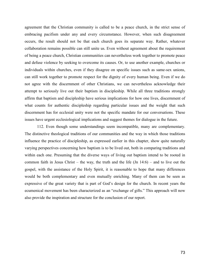agreement that the Christian community is called to be a peace church, in the strict sense of embracing pacifism under any and every circumstance. However, when such disagreement occurs, the result should not be that each church goes its separate way. Rather, whatever collaboration remains possible can still unite us. Even without agreement about the requirement of being a peace church, Christian communities can nevertheless work together to promote peace and defuse violence by seeking to overcome its causes. Or, to use another example, churches or individuals within churches, even if they disagree on specific issues such as same-sex unions, can still work together to promote respect for the dignity of every human being. Even if we do not agree with the discernment of other Christians, we can nevertheless acknowledge their attempt to seriously live out their baptism in discipleship. While all three traditions strongly affirm that baptism and discipleship have serious implications for how one lives, discernment of what counts for authentic discipleship regarding particular issues and the weight that such discernment has for ecclesial unity were not the specific mandate for our conversations. These issues have urgent ecclesiological implications and suggest themes for dialogue in the future.

112. Even though some understandings seem incompatible, many are complementary. The distinctive theological traditions of our communities and the way in which those traditions influence the practice of discipleship, as expressed earlier in this chapter, show quite naturally varying perspectives concerning how baptism is to be lived out, both in comparing traditions and within each one. Presuming that the diverse ways of living out baptism intend to be rooted in common faith in Jesus Christ – the way, the truth and the life  $(In 14:6)$  – and to live out the gospel, with the assistance of the Holy Spirit, it is reasonable to hope that many differences would be both complementary and even mutually enriching. Many of them can be seen as expressive of the great variety that is part of God's design for the church. In recent years the ecumenical movement has been characterized as an "exchange of gifts." This approach will now also provide the inspiration and structure for the conclusion of our report.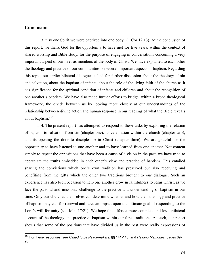## **Conclusion**

113. "By one Spirit we were baptized into one body" (1 Cor 12:13). At the conclusion of this report, we thank God for the opportunity to have met for five years, within the context of shared worship and Bible study, for the purpose of engaging in conversations concerning a very important aspect of our lives as members of the body of Christ. We have explained to each other the theology and practice of our communities on several important aspects of baptism. Regarding this topic, our earlier bilateral dialogues called for further discussion about the theology of sin and salvation, about the baptism of infants, about the role of the living faith of the church as it has significance for the spiritual condition of infants and children and about the recognition of one another's baptism. We have also made further efforts to bridge, within a broad theological framework, the divide between us by looking more closely at our understandings of the relationship between divine action and human response in our readings of what the Bible reveals about baptism.<sup>[114](#page-73-0)</sup>

114. The present report has attempted to respond to these tasks by exploring the relation of baptism to salvation from sin (chapter one), its celebration within the church (chapter two), and its opening the door to discipleship in Christ (chapter three). We are grateful for the opportunity to have listened to one another and to have learned from one another. Not content simply to repeat the oppositions that have been a cause of division in the past, we have tried to appreciate the truths embedded in each other's view and practice of baptism. This entailed sharing the convictions which one's own tradition has preserved but also receiving and benefiting from the gifts which the other two traditions brought to our dialogue. Such an experience has also been occasion to help one another grow in faithfulness to Jesus Christ, as we face the pastoral and missional challenge to the practice and understanding of baptism in our time. Only our churches themselves can determine whether and how their theology and practice of baptism may call for renewal and have an impact upon the ultimate goal of responding to the Lord's will for unity (see John 17:21). We hope this offers a more complete and less unilateral account of the theology and practice of baptism within our three traditions. As such, our report shows that some of the positions that have divided us in the past were really expressions of

<span id="page-73-0"></span> <sup>114</sup> For these responses, see *Called to be Peacemakers*, §§ 141-143, and *Healing Memories*, pages 89- 90.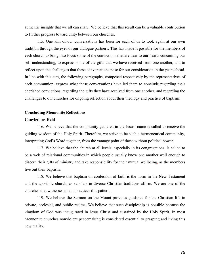authentic insights that we all can share. We believe that this result can be a valuable contribution to further progress toward unity between our churches.

115. One aim of our conversations has been for each of us to look again at our own tradition through the eyes of our dialogue partners. This has made it possible for the members of each church to bring into focus some of the convictions that are dear to our hearts concerning our self-understanding, to express some of the gifts that we have received from one another, and to reflect upon the challenges that these conversations pose for our consideration in the years ahead. In line with this aim, the following paragraphs, composed respectively by the representatives of each communion, express what these conversations have led them to conclude regarding their cherished convictions, regarding the gifts they have received from one another, and regarding the challenges to our churches for ongoing reflection about their theology and practice of baptism.

### **Concluding Mennonite Reflections**

### **Convictions Held**

116. We believe that the community gathered in the Jesus' name is called to receive the guiding wisdom of the Holy Spirit. Therefore, we strive to be such a hermeneutical community, interpreting God's Word together, from the vantage point of those without political power.

117. We believe that the church at all levels, especially in its congregations, is called to be a web of relational communities in which people usually know one another well enough to discern their gifts of ministry and take responsibility for their mutual wellbeing, as the members live out their baptism.

118. We believe that baptism on confession of faith is the norm in the New Testament and the apostolic church, as scholars in diverse Christian traditions affirm. We are one of the churches that witnesses to and practices this pattern.

119. We believe the Sermon on the Mount provides guidance for the Christian life in private, ecclesial, and public realms. We believe that such discipleship is possible because the kingdom of God was inaugurated in Jesus Christ and sustained by the Holy Spirit. In most Mennonite churches nonviolent peacemaking is considered essential to grasping and living this new reality.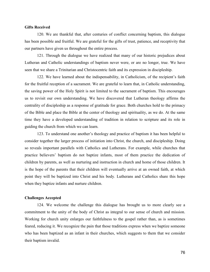### **Gifts Received**

120. We are thankful that, after centuries of conflict concerning baptism, this dialogue has been possible and fruitful. We are grateful for the gifts of trust, patience, and receptivity that our partners have given us throughout the entire process.

121. Through the dialogue we have realized that many of our historic prejudices about Lutheran and Catholic understandings of baptism never were, or are no longer, true. We have seen that we share a Trinitarian and Christocentric faith and its expression in discipleship.

122. We have learned about the indispensability, in Catholicism, of the recipient's faith for the fruitful reception of a sacrament. We are grateful to learn that, in Catholic understanding, the saving power of the Holy Spirit is not limited to the sacrament of baptism. This encourages us to revisit our own understanding. We have discovered that Lutheran theology affirms the centrality of discipleship as a response of gratitude for grace. Both churches hold to the primacy of the Bible and place the Bible at the center of theology and spirituality, as we do. At the same time they have a developed understanding of tradition in relation to scripture and its role in guiding the church from which we can learn.

123. To understand one another's theology and practice of baptism it has been helpful to consider together the larger process of initiation into Christ, the church, and discipleship. Doing so reveals important parallels with Catholics and Lutherans. For example, while churches that practice believers' baptism do not baptize infants, most of them practice the dedication of children by parents, as well as nurturing and instruction in church and home of those children. It is the hope of the parents that their children will eventually arrive at an owned faith, at which point they will be baptized into Christ and his body*.* Lutherans and Catholics share this hope when they baptize infants and nurture children.

### **Challenges Accepted**

124. We welcome the challenge this dialogue has brought us to more clearly see a commitment to the unity of the body of Christ as integral to our sense of church and mission. Working for church unity enlarges our faithfulness to the gospel rather than, as is sometimes feared, reducing it. We recognize the pain that those traditions express when we baptize someone who has been baptized as an infant in their churches, which suggests to them that we consider their baptism invalid.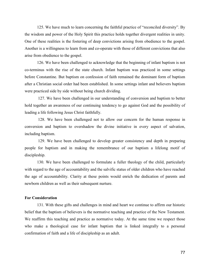125. We have much to learn concerning the faithful practice of "reconciled diversity". By the wisdom and power of the Holy Spirit this practice holds together divergent realities in unity. One of these realities is the fostering of deep convictions arising from obedience to the gospel. Another is a willingness to learn from and co-operate with those of different convictions that also arise from obedience to the gospel.

126. We have been challenged to acknowledge that the beginning of infant baptism is not co-terminus with the rise of the state church. Infant baptism was practiced in some settings before Constantine. But baptism on confession of faith remained the dominant form of baptism after a Christian social order had been established. In some settings infant and believers baptism were practiced side by side without being church dividing.

127. We have been challenged in our understanding of conversion and baptism to better hold together an awareness of our continuing tendency to go against God and the possibility of leading a life following Jesus Christ faithfully.

128. We have been challenged not to allow our concern for the human response in conversion and baptism to overshadow the divine initiative in every aspect of salvation, including baptism.

129. We have been challenged to develop greater consistency and depth in preparing people for baptism and in making the remembrance of our baptism a lifelong motif of discipleship.

130. We have been challenged to formulate a fuller theology of the child, particularly with regard to the age of accountability and the salvific status of older children who have reached the age of accountability. Clarity at these points would enrich the dedication of parents and newborn children as well as their subsequent nurture.

### **For Consideration**

131. With these gifts and challenges in mind and heart we continue to affirm our historic belief that the baptism of believers is the normative teaching and practice of the New Testament. We reaffirm this teaching and practice as normative today. At the same time we respect those who make a theological case for infant baptism that is linked integrally to a personal confirmation of faith and a life of discipleship as an adult.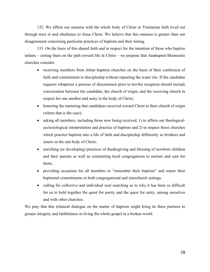132. We affirm our oneness with the whole body of Christ in Trinitarian faith lived out through trust in and obedience to Jesus Christ. We believe that this oneness is greater than our disagreement concerning particular practices of baptism and their timing.

133. On the basis of this shared faith and in respect for the intention of those who baptize infants – setting them on the path toward life in Christ – we propose that Anabaptist-Mennonite churches consider:

- receiving members from infant baptism churches on the basis of their confession of faith and commitment to discipleship without repeating the water rite. If the candidate requests rebaptism a process of discernment prior to her/his reception should include conversation between the candidate, the church of origin, and the receiving church in respect for one another and unity in the body of Christ;
- honoring the nurturing that candidates received toward Christ in their church of origin (where that is the case);
- asking all members, including those now being received, 1) to affirm our theologicalecclesiological interpretation and practice of baptism and 2) to respect those churches which practice baptism into a life of faith and discipleship differently as brothers and sisters in the one body of Christ;
- enriching (or developing) practices of thanksgiving and blessing of newborn children and their parents as well as committing local congregations to nurture and care for them;
- providing occasions for all members to "remember their baptism" and renew their baptismal commitments in both congregational and interchurch settings.
- calling for collective and individual soul searching as to why it has been so difficult for us to hold together the quest for purity and the quest for unity, among ourselves and with other churches.

We pray that this trilateral dialogue on the matter of baptism might bring its three partners to greater integrity and faithfulness in living the whole gospel in a broken world.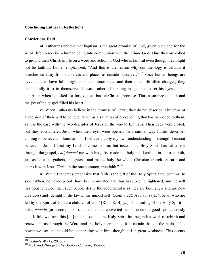### **Concluding Lutheran Reflections**

### **Convictions Held**

134. Lutherans believe that baptism is the great promise of God, given once and for the whole life, to receive a human being into communion with the Triune God. Thus they are called to ground their Christian life on a word and action of God who is faithful even though they might not be faithful. Luther emphasized, "And this is the reason why our theology is certain: it snatches us away from ourselves and places us outside ourselves."<sup>[115](#page-78-0)</sup> Since human beings are never able to have full insight into their inner state, and their inner life often changes, they cannot fully trust in themselves. It was Luther's liberating insight not to set his eyes on his contrition when he asked for forgiveness, but on Christ's promise. Thus assurance of faith and the joy of the gospel filled his heart.

135. When Lutherans believe in the promise of Christ, they do not describe it in terms of a decision of their will to believe, rather as a situation of eye-opening that has happened to them, as was the case with the two disciples of Jesus on the way to Emmaus. Their eyes were closed, but they encountered Jesus when their eyes were opened. In a similar way Luther describes coming to believe as illumination: "I believe that by my own understanding or strength I cannot believe in Jesus Christ my Lord or come to him, but instead the Holy Spirit has called me through the gospel, *enlightened* me with his gifts, made me holy and kept me in the true faith, just as he calls, gathers, enlightens, and makes holy the whole Christian church on earth and keeps it with Jesus Christ in the one common, true faith."<sup>[116](#page-78-1)</sup>

136. While Lutherans emphasize that faith is the gift of the Holy Spirit, they continue to say, "When, however, people have been converted and thus have been enlightened, and the will has been renewed, then such people desire the good (insofar as they are born anew and are new creatures) and 'delight in the law in the inmost self' (Rom 7:22). As Paul says, 'For all who are led by the Spirit of God are children of God' [Rom. 8:14] [...] This leading of the Holy Spirit is not a *coactio* (or a compulsion), but rather the converted person does the good spontaneously [...] It follows from this [...] that as soon as the Holy Spirit has begun his work of rebirth and renewal in us through the Word and the holy sacraments, it is certain that on the basis of his power we can and should be cooperating with him, though still in great weakness. This occurs

<span id="page-78-0"></span> <sup>115</sup> *Luther's Works*, 26: 387.

<span id="page-78-1"></span><sup>116</sup> Kolb and Wengert, *The Book of Concord*, 355-356.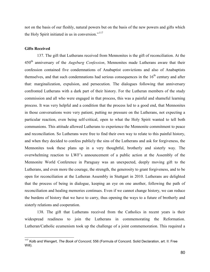not on the basis of our fleshly, natural powers but on the basis of the new powers and gifts which the Holy Spirit initiated in us in conversion."<sup>[117](#page-79-0)</sup>

### **Gifts Received**

137. The gift that Lutherans received from Mennonites is the gift of reconciliation. At the 450th anniversary of the *Augsburg Confession*, Mennonites made Lutherans aware that their confession contained five condemnations of Anabaptist convictions and also of Anabaptists themselves, and that such condemnations had serious consequences in the  $16<sup>th</sup>$  century and after that: marginalization, expulsion, and persecution. The dialogues following that anniversary confronted Lutherans with a dark part of their history. For the Lutheran members of the study commission and all who were engaged in that process, this was a painful and shameful learning process. It was very helpful and a condition that the process led to a good end, that Mennonites in those conversations were very patient, putting no pressure on the Lutherans, not expecting a particular reaction, even being self-critical, open to what the Holy Spirit wanted to tell both communions. This attitude allowed Lutherans to experience the Mennonite commitment to peace and reconciliation. So Lutherans were free to find their own way to relate to this painful history, and when they decided to confess publicly the sins of the Lutherans and ask for forgiveness, the Mennonites took these plans up in a very thoughtful, brotherly and sisterly way. The overwhelming reaction to LWF's announcement of a public action at the Assembly of the Mennonite World Conference in Paraguay was an unexpected, deeply moving gift to the Lutherans, and even more the courage, the strength, the generosity to grant forgiveness, and to be open for reconciliation at the Lutheran Assembly in Stuttgart in 2010. Lutherans are delighted that the process of being in dialogue, keeping an eye on one another, following the path of reconciliation and healing memories continues. Even if we cannot change history, we can reduce the burdens of history that we have to carry, thus opening the ways to a future of brotherly and sisterly relations and cooperation.

138. The gift that Lutherans received from the Catholics in recent years is their widespread readiness to join the Lutherans in commemorating the Reformation. Lutheran/Catholic ecumenism took up the challenge of a joint commemoration. This required a

<span id="page-79-0"></span> <sup>117</sup> Kolb and Wengert, *The Book of Concord*, 556 (Formula of Concord. Solid Declaration, art. II: Free Will).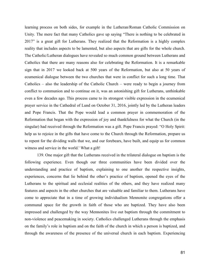learning process on both sides, for example in the Lutheran/Roman Catholic Commission on Unity. The mere fact that many Catholics gave up saying "There is nothing to be celebrated in 2017" is a great gift for Lutherans. They realized that the Reformation is a highly complex reality that includes aspects to be lamented, but also aspects that are gifts for the whole church. The Catholic/Lutheran dialogues have revealed so much common ground between Lutherans and Catholics that there are many reasons also for celebrating the Reformation. It is a remarkable sign that in 2017 we looked back at 500 years of the Reformation, but also at 50 years of ecumenical dialogue between the two churches that were in conflict for such a long time. That Catholics – also the leadership of the Catholic Church – were ready to begin a journey from conflict to communion and to continue on it, was an astonishing gift for Lutherans, unthinkable even a few decades ago. This process came to its strongest visible expression in the ecumenical prayer service in the Cathedral of Lund on October 31, 2016, jointly led by the Lutheran leaders and Pope Francis. That the Pope would lead a common prayer in commemoration of the Reformation that began with the expression of joy and thankfulness for what the Church (in the singular) had received through the Reformation was a gift. Pope Francis prayed: "O Holy Spirit: help us to rejoice in the gifts that have come to the Church through the Reformation, prepare us to repent for the dividing walls that we, and our forebears, have built, and equip us for common witness and service in the world.' What a gift!

139. One major gift that the Lutherans received in the trilateral dialogue on baptism is the following experience. Even though our three communities have been divided over the understanding and practice of baptism, explaining to one another the respective insights, experiences, concerns that lie behind the other's practice of baptism, opened the eyes of the Lutherans to the spiritual and ecclesial realities of the others, and they have realized many features and aspects in the other churches that are valuable and familiar to them. Lutherans have come to appreciate that in a time of growing individualism Mennonite congregations offer a communal space for the growth in faith of those who are baptized. They have also been impressed and challenged by the way Mennonites live out baptism through the commitment to non-violence and peacemaking in society. Catholics challenged Lutherans through the emphasis on the family's role in baptism and on the faith of the church in which a person is baptized, and through the awareness of the presence of the universal church in each baptism. Experiencing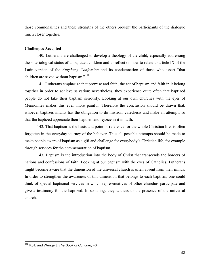those commonalities and these strengths of the others brought the participants of the dialogue much closer together.

### **Challenges Accepted**

140. Lutherans are challenged to develop a theology of the child, especially addressing the soteriological status of unbaptized children and to reflect on how to relate to article IX of the Latin version of the *Augsburg Confession* and its condemnation of those who assert "that children are saved without baptism."<sup>[118](#page-81-0)</sup>

141. Lutherans emphasize that promise and faith, the act of baptism and faith in it belong together in order to achieve salvation; nevertheless, they experience quite often that baptized people do not take their baptism seriously. Looking at our own churches with the eyes of Mennonites makes this even more painful. Therefore the conclusion should be drawn that, whoever baptizes infants has the obligation to do mission, catechesis and make all attempts so that the baptized appreciate their baptism and rejoice in it in faith.

142. That baptism is the basis and point of reference for the whole Christian life, is often forgotten in the everyday journey of the believer. Thus all possible attempts should be made to make people aware of baptism as a gift and challenge for everybody's Christian life, for example through services for the commemoration of baptism.

143. Baptism is the introduction into the body of Christ that transcends the borders of nations and confessions of faith. Looking at our baptism with the eyes of Catholics, Lutherans might become aware that the dimension of the universal church is often absent from their minds. In order to strengthen the awareness of this dimension that belongs to each baptism, one could think of special baptismal services in which representatives of other churches participate and give a testimony for the baptized. In so doing, they witness to the presence of the universal church.

<span id="page-81-0"></span> <sup>118</sup> Kolb and Wengert, *The Book of Concord*, 43.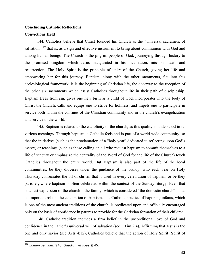# **Concluding Catholic Reflections Convictions Held**

144. Catholics believe that Christ founded his Church as the "universal sacrament of salvation"<sup>[119](#page-82-0)</sup> that is, as a sign and effective instrument to bring about communion with God and among human beings. The Church is the pilgrim people of God, journeying through history to the promised kingdom which Jesus inaugurated in his incarnation, mission, death and resurrection. The Holy Spirit is the principle of unity of the Church, giving her life and empowering her for this journey. Baptism, along with the other sacraments, fits into this ecclesiological framework. It is the beginning of Christian life, the doorway to the reception of the other six sacraments which assist Catholics throughout life in their path of discipleship. Baptism frees from sin, gives one new birth as a child of God, incorporates into the body of Christ the Church, calls and equips one to strive for holiness, and impels one to participate in service both within the confines of the Christian community and in the church's evangelization and service to the world.

145. Baptism is related to the catholicity of the church, as this quality is understood in its various meanings. Through baptism, a Catholic feels and is part of a world-wide community, so that the initiatives (such as the proclamation of a "holy year" dedicated to reflecting upon God's mercy) or teachings (such as those calling on all who request baptism to commit themselves to a life of sanctity or emphasize the centrality of the Word of God for the life of the Church) touch Catholics throughout the entire world. But Baptism is also part of the life of the local communities, be they dioceses under the guidance of the bishop, who each year on Holy Thursday consecrates the oil of chrism that is used in every celebration of baptism, or be they parishes, where baptism is often celebrated within the context of the Sunday liturgy. Even that smallest expression of the church – the family, which is considered "the domestic church" – has an important role in the celebration of baptism. The Catholic practice of baptizing infants, which is one of the most ancient traditions of the church, is predicated upon and officially encouraged only on the basis of confidence in parents to provide for the Christian formation of their children.

146. Catholic tradition includes a firm belief in the unconditional love of God and confidence in the Father's universal will of salvation (see 1 Tim 2:4). Affirming that Jesus is the one and only savior (see Acts 4:12), Catholics believe that the action of Holy Spirit (Spirit of

<span id="page-82-0"></span> <sup>119</sup> *Lumen gentium,* § 48; *Gaudium et spes*, § 45.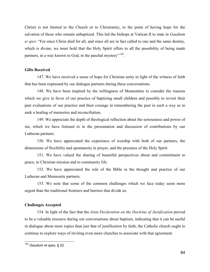Christ) is not limited to the Church or to Christianity, to the point of having hope for the salvation of those who remain unbaptized. This led the bishops at Vatican II to state in *Gaudium et spes*: "For since Christ died for all, and since all are in fact called to one and the same destiny, which is divine, we must hold that the Holy Spirit offers to all the possibility of being made partners, in a way known to God, in the paschal mystery"<sup>120</sup>.

### **Gifts Received**

147. We have received a sense of hope for Christian unity in light of the witness of faith that has been expressed by our dialogue partners during these conversations.

148. We have been inspired by the willingness of Mennonites to consider the reasons which we give in favor of our practice of baptizing small children and possibly to revisit their past evaluations of our practice and their courage in remembering the past in such a way as to seek a healing of memories and reconciliation.

149. We appreciate the depth of theological reflection about the seriousness and power of sin, which we have listened to in the presentation and discussion of contributions by our Lutheran partners.

150. We have appreciated the experience of worship with both of our partners, the dimensions of flexibility and spontaneity in prayer, and the presence of the Holy Spirit.

151. We have valued the sharing of beautiful perspectives about and commitment to peace, to Christian mission and to community life.

152. We have appreciated the role of the Bible in the thought and practice of our Lutheran and Mennonite partners.

153. We note that some of the common challenges which we face today seem more urgent than the traditional frontiers and barriers that divide us.

### **Challenges Accepted**

154. In light of the fact that the *Joint Declaration on the Doctrine of Justification* proved to be a valuable resource during our conversations about baptism, indicating that it can be useful in dialogue about more topics than just that of justification by faith, the Catholic church ought to continue to explore ways of inviting even more churches to associate with that agreement.

<span id="page-83-0"></span> <sup>120</sup> *Gaudium et spes*, § 22.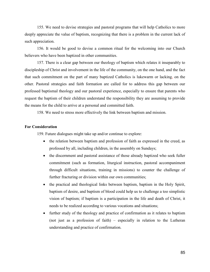155. We need to devise strategies and pastoral programs that will help Catholics to more deeply appreciate the value of baptism, recognizing that there is a problem in the current lack of such appreciation.

156. It would be good to devise a common ritual for the welcoming into our Church believers who have been baptized in other communities.

157. There is a clear gap between our theology of baptism which relates it inseparably to discipleship of Christ and involvement in the life of the community, on the one hand, and the fact that such commitment on the part of many baptized Catholics is lukewarm or lacking, on the other. Pastoral strategies and faith formation are called for to address this gap between our professed baptismal theology and our pastoral experience, especially to ensure that parents who request the baptism of their children understand the responsibility they are assuming to provide the means for the child to arrive at a personal and committed faith.

158. We need to stress more effectively the link between baptism and mission.

## **For Consideration**

159. Future dialogues might take up and/or continue to explore:

- the relation between baptism and profession of faith as expressed in the creed, as professed by all, including children, in the assembly on Sundays;
- the discernment and pastoral assistance of those already baptized who seek fuller commitment (such as formation, liturgical instruction, pastoral accompaniment through difficult situations, training in missions) to counter the challenge of further fracturing or division within our own communities;
- the practical and theological links between baptism, baptism in the Holy Spirit, baptism of desire, and baptism of blood could help us to challenge a too simplistic vision of baptism; if baptism is a participation in the life and death of Christ, it needs to be realized according to various vocations and situations;
- further study of the theology and practice of confirmation as it relates to baptism (not just as a profession of faith) – especially in relation to the Lutheran understanding and practice of confirmation.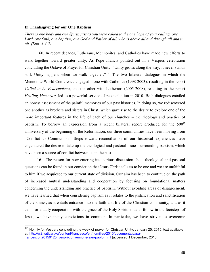### **In Thanksgiving for our One Baptism**

.

*There is one body and one Spirit, just as you were called to the one hope of your calling, one Lord, one faith, one baptism, one God and Father of all, who is above all and through all and in all. (Eph. 4:4-7)*

160. In recent decades, Lutherans, Mennonites, and Catholics have made new efforts to walk together toward greater unity. As Pope Francis pointed out in a Vespers celebration concluding the Octave of Prayer for Christian Unity, "Unity grows along the way; it never stands still. Unity happens when we walk together."<sup>[121](#page-85-0)</sup> The two bilateral dialogues in which the Mennonite World Conference engaged – one with Catholics (1998-2003), resulting in the report *Called to be Peacemakers*, and the other with Lutherans (2005-2008), resulting in the report *Healing Memories,* led to a powerful service of reconciliation in 2010. Both dialogues entailed an honest assessment of the painful memories of our past histories. In doing so, we rediscovered one another as brothers and sisters in Christ, which gave rise to the desire to explore one of the more important features in the life of each of our churches – the theology and practice of baptism. To borrow an expression from a recent bilateral report produced for the  $500<sup>th</sup>$ anniversary of the beginning of the Reformation, our three communities have been moving from "Conflict to Communion". Steps toward reconciliation of our historical experiences have engendered the desire to take up the theological and pastoral issues surrounding baptism, which have been a source of conflict between us in the past.

161. The reason for now entering into serious discussion about theological and pastoral questions can be found in our conviction that Jesus Christ calls us to be one and we are unfaithful to him if we acquiesce to our current state of division. Our aim has been to continue on the path of increased mutual understanding and cooperation by focusing on foundational matters concerning the understanding and practice of baptism. Without avoiding areas of disagreement, we have learned that when considering baptism as it relates to the justification and sanctification of the sinner, as it entails entrance into the faith and life of the Christian community, and as it calls for a daily cooperation with the grace of the Holy Spirit so as to follow in the footsteps of Jesus, we have many convictions in common. In particular, we have striven to overcome

<span id="page-85-0"></span> $121$  Homily for Vespers concluding the week of prayer for Christian Unity, January 25, 2015; text available at [http://w2.vatican.va/content/francesco/en/homilies/2015/documents/papa](http://w2.vatican.va/content/francesco/en/homilies/2015/documents/papa-francesco_20150125_vespri-conversione-san-paolo.html)[francesco\\_20150125\\_vespri-conversione-san-paolo.html](http://w2.vatican.va/content/francesco/en/homilies/2015/documents/papa-francesco_20150125_vespri-conversione-san-paolo.html) [accessed 1 December, 2018].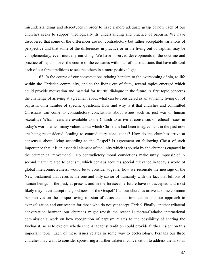misunderstandings and stereotypes in order to have a more adequate grasp of how each of our churches seeks to support theologically its understanding and practice of baptism. We have discovered that some of the differences are not contradictory but rather acceptable variations of perspective and that some of the differences in practice or in the living out of baptism may be complementary, even mutually enriching. We have observed developments in the doctrine and practice of baptism over the course of the centuries within all of our traditions that have allowed each of our three traditions to see the others in a more positive light.

162. In the course of our conversations relating baptism to the overcoming of sin, to life within the Christian community, and to the living out of faith, several topics emerged which could provide motivation and material for fruitful dialogue in the future. A first topic concerns the challenge of arriving at agreement about what can be considered as an authentic living out of baptism, on a number of specific questions. How and why is it that churches and committed Christians can come to contradictory conclusions about issues such as just war or human sexuality? What means are available to the Church to arrive at consensus on ethical issues in today's world, when many values about which Christians had been in agreement in the past now are being reconsidered, leading to contradictory conclusions? How do the churches arrive at consensus about living according to the Gospel? Is agreement on following Christ of such importance that it is an essential element of the unity which is sought by the churches engaged in the ecumenical movement? Do contradictory moral convictions make unity impossible? A second matter related to baptism, which perhaps acquires special relevance in today's world of global interconnectedness, would be to consider together how we reconcile the message of the New Testament that Jesus is the one and only savior of humanity with the fact that billions of human beings in the past, at present, and in the foreseeable future have not accepted and most likely may never accept the good news of the Gospel? Can our churches arrive at some common perspectives on the unique saving mission of Jesus and its implications for our approach to evangelization and our respect for those who do not yet accept Christ? Finally, another trilateral conversation between our churches might revisit the recent Lutheran-Catholic international commission's work on how recognition of baptism relates to the possibility of sharing the Eucharist, so as to explore whether the Anabaptist tradition could provide further insight on this important topic. Each of these issues relates in some way to ecclesiology. Perhaps our three churches may want to consider sponsoring a further trilateral conversation to address them, so as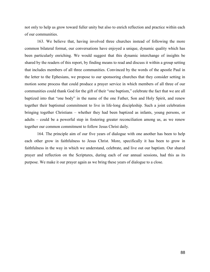not only to help us grow toward fuller unity but also to enrich reflection and practice within each of our communities.

163. We believe that, having involved three churches instead of following the more common bilateral format, our conversations have enjoyed a unique, dynamic quality which has been particularly enriching. We would suggest that this dynamic interchange of insights be shared by the readers of this report, by finding means to read and discuss it within a group setting that includes members of all three communities. Convinced by the words of the apostle Paul in the letter to the Ephesians, we propose to our sponsoring churches that they consider setting in motion some process that could produce a prayer service in which members of all three of our communities could thank God for the gift of their "one baptism," celebrate the fact that we are all baptized into that "one body" in the name of the one Father, Son and Holy Spirit, and renew together their baptismal commitment to live in life-long discipleship. Such a joint celebration bringing together Christians – whether they had been baptized as infants, young persons, or adults – could be a powerful step in fostering greater reconciliation among us, as we renew together our common commitment to follow Jesus Christ daily.

164. The principle aim of our five years of dialogue with one another has been to help each other grow in faithfulness to Jesus Christ. More, specifically it has been to grow in faithfulness in the way in which we understand, celebrate, and live out our baptism. Our shared prayer and reflection on the Scriptures, during each of our annual sessions, had this as its purpose. We make it our prayer again as we bring these years of dialogue to a close.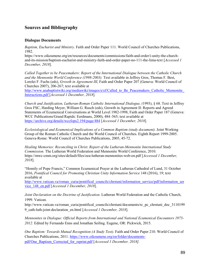# **Sources and Bibliography**

## **Dialogue Documents**

*Baptism, Eucharist and Ministry*. Faith and Order Paper 111. World Council of Churches Publications, 1982.

[https://www.oikoumene.org/en/resources/documents/commissions/faith-and-order/i-unity-the-church](https://www.oikoumene.org/en/resources/documents/commissions/faith-and-order/i-unity-the-church-and-its-mission/baptism-eucharist-and-ministry-faith-and-order-paper-no-111-the-lima-text)[and-its-mission/baptism-eucharist-and-ministry-faith-and-order-paper-no-111-the-lima-text](https://www.oikoumene.org/en/resources/documents/commissions/faith-and-order/i-unity-the-church-and-its-mission/baptism-eucharist-and-ministry-faith-and-order-paper-no-111-the-lima-text) [*Accessed 1 December, 2018*].

*Called Together to be Peacemakers: Report of the International Dialogue between the Catholic Church and the Mennonite World Conference (1998-2003).* Text available in Jeffrey Gros, Thomas F. Best, Lorelei F. Fuchs (eds), *Growth in Agreement III*, Faith and Order Paper 207 (Geneva: World Council of Churches 2007), 206-267; text available at

http://www.anabaptistwiki.org/mediawiki/images/e/ef/Called to Be Peacemakers Catholic Mennonite [Interactions.pdf](http://www.anabaptistwiki.org/mediawiki/images/e/ef/Called_to_Be_Peacemakers_Catholic_Mennonite_Interactions.pdf) [*Accessed 1 December, 2018*].

*Church and Justification, Lutheran-Roman Catholic International Dialogue, (*1993), § 68. Text in Jeffrey Gros FSC, Harding Meyer, William G. Rusch (eds), Growth in Agreement II: Reports and Agreed Statements of Ecumenical Conversations at World Level 1982-1998, Faith and Order Paper 187 (Geneva: WCC Publications/Grand Rapids: Eerdmans, 2000), 484–565; text available at <https://archive.org/details/wccfops2.194/page/484> [*Accessed 1 December, 2018*].

*Ecclesiological and Ecumenical Implications of a Common Baptism (study document).* Joint Working Group of the Roman Catholic Church and the World Council of Churches. Eighth Report 1999-2005. Geneva-Rome: World Council of Churches Publications, 2005, 45-72.

*Healing Memories: Reconciling in Christ*. *Report of the Lutheran-Mennonite International Study Commission.* The Lutheran World Federation and Mennonite World Conference, 2010. <https://mwc-cmm.org/sites/default/files/oea-lutheran-mennonites-web-en.pdf> [*Accessed 1 December, 2018*].

"Homily of Pope Francis," Common Ecumenical Prayer at the Lutheran Cathedral of Lund, 31 October 2016, *Pontifical Council for Promoting Christian Unity Information Service* 148 (2016), 19; text available at

[http://www.vatican.va/roman\\_curia/pontifical\\_councils/chrstuni/information\\_service/pdf/information\\_ser](http://www.vatican.va/roman_curia/pontifical_councils/chrstuni/information_service/pdf/information_service_148_en.pdf) [vice\\_148\\_en.pdf](http://www.vatican.va/roman_curia/pontifical_councils/chrstuni/information_service/pdf/information_service_148_en.pdf) [*Accessed 1 December, 2018*].

*Joint Declaration on the Doctrine of Justification*. Lutheran World Federation and the Catholic Church, 1999. Vatican.

http://www.vatican.va/roman\_curia/pontifical\_councils/chrstuni/documents/rc\_pc\_chrstuni\_doc\_3110199 9\_cath-luth-joint-declaration\_en.html [*Accessed 1 December, 2018*].

*Mennonites in Dialogue: Official Reports from International and National Ecumenical Encounters 1975- 2012.* Edited by Fernando Enns and Jonathan Seiling. Eugene, OR: Pickwick, 2015.

*One Baptism: Towards Mutual Recognition (A Study Text)*. Faith and Order Paper 210. World Council of Churches Publications, 2011. [https://www.oikoumene.org/en/folder/documents](https://www.oikoumene.org/en/folder/documents-pdf/One_Baptism_Corrected_for_reprint.pdf)[pdf/One\\_Baptism\\_Corrected\\_for\\_reprint.pdf](https://www.oikoumene.org/en/folder/documents-pdf/One_Baptism_Corrected_for_reprint.pdf) [*Accessed 1 December, 2018].*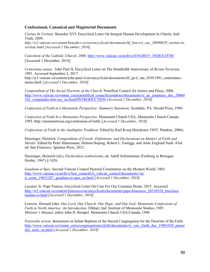## **Confessional, Canonical and Magisterial Documents**

*Caritas In Veritate.* Benedict XVI, Encyclical Letter On Integral Human Development In Charity And Truth, 2009.

*[http://w2.vatican.va/content/benedict-xvi/en/encyclicals/documents/hf\\_ben-xvi\\_enc\\_20090629\\_caritas-in](http://w2.vatican.va/content/benedict-xvi/en/encyclicals/documents/hf_ben-xvi_enc_20090629_caritas-in-veritate.html)[veritate.html](http://w2.vatican.va/content/benedict-xvi/en/encyclicals/documents/hf_ben-xvi_enc_20090629_caritas-in-veritate.html) [Accessed 1 December, 2018].*

*Catechism of the Catholic Church, 2000.* [http://www.vatican.va/archive/ENG0015/\\_INDEX.HTM](http://www.vatican.va/archive/ENG0015/_INDEX.HTM) [Accessed 1 December, 2018].

*Centesimus annus.* John Paul II, Encyclical Letter on The Hundredth Anniversary of *Rerum Novarum*, 1991. Accessed September 2, 2017.

[http://w2.vatican.va/content/john-paul-ii/en/encyclicals/documents/hf\\_jp-ii\\_enc\\_01051991\\_centesimus](http://w2.vatican.va/content/john-paul-ii/en/encyclicals/documents/hf_jp-ii_enc_01051991_centesimus-annus.html)[annus.html.](http://w2.vatican.va/content/john-paul-ii/en/encyclicals/documents/hf_jp-ii_enc_01051991_centesimus-annus.html) [*Accessed 1 December, 2018]*

*Compendium of The Social Doctrine of the Church.* Pontifical Council for Justice and Peace, 2006. [http://www.vatican.va/roman\\_curia/pontifical\\_councils/justpeace/documents/rc\\_pc\\_justpeace\\_doc\\_20060](http://www.vatican.va/roman_curia/pontifical_councils/justpeace/documents/rc_pc_justpeace_doc_20060526_compendio-dott-soc_en.html#INTRODUCTION) [526\\_compendio-dott-soc\\_en.html#INTRODUCTION](http://www.vatican.va/roman_curia/pontifical_councils/justpeace/documents/rc_pc_justpeace_doc_20060526_compendio-dott-soc_en.html#INTRODUCTION) [*Accessed 1 December, 2018].*

*Confession of Faith in a Mennonite Perspective: Summary Statement*. Scottdale, PA: Herald Press, 1996.

*Confession of Faith In a Mennonite Perspective*. Mennonite Church USA, Mennonite Church Canada, 1995. http://mennoniteusa.org/confession-of-faith/.[*Accessed 1 December, 2018].*

*Confessions of Faith in the Anabaptist Tradition.* Edited by Karl Koop (Kitchener, ONT: Pandora, 2006).

Denzinger, Heinrich*. Compendium of Creeds, Definitions, and Declarations on Matters of Faith and Morals.* Edited by Peter Hünermann, Helmut Hoping, Robert L. Fastiggi, and Anne Englund Nash. 43rd ed. San Francisco: Ignatius Press, 2012.

Denzinger, Heinrich (ed.), *Enchiridion symbolorum*, ed. Adolf Schönmetzer (Freiburg in Breisgau: Herder, 1967) § 1626.

*Gaudium et Spes*. Second Vatican Council Pastoral Constitution on the Modern World, 1965. [http://www.vatican.va/archive/hist\\_councils/ii\\_vatican\\_council/documents/vat](http://www.vatican.va/archive/hist_councils/ii_vatican_council/documents/vat-ii_const_19651207_gaudium-et-spes_en.html)[ii\\_const\\_19651207\\_gaudium-et-spes\\_en.html](http://www.vatican.va/archive/hist_councils/ii_vatican_council/documents/vat-ii_const_19651207_gaudium-et-spes_en.html) [*Accessed 1 December, 2018]* 

*Laudato Si*. Pope Francis, Encyclical Letter On Care For Our Common Home, 2015. Accessed [http://w2.vatican.va/content/francesco/en/encyclicals/documents/papa-francesco\\_20150524\\_enciclica](http://w2.vatican.va/content/francesco/en/encyclicals/documents/papa-francesco_20150524_enciclica-laudato-si.html)[laudato-si.html](http://w2.vatican.va/content/francesco/en/encyclicals/documents/papa-francesco_20150524_enciclica-laudato-si.html) [*Accessed 1 December, 2018].*

Loewen, Howard John. *One Lord, One Church, One Hope, and One God: Mennonite Confessions of Faith in North America: An Introduction*. Elkhart, Ind: Institute of Mennonite Studies, 1985. *Minister's Manual*, editor John D. Rempel. Mennonite Church USA/Canada, 1998.

*Pastoralis action*. Instruction on Infant Baptism of the Sacred Congregation for the Doctrine of the Faith. [http://www.vatican.va/roman\\_curia/congregations/cfaith/documents/rc\\_con\\_cfaith\\_doc\\_19801020\\_pastor](http://www.vatican.va/roman_curia/congregations/cfaith/documents/rc_con_cfaith_doc_19801020_pastoralis_actio_en.html) [alis\\_actio\\_en.html](http://www.vatican.va/roman_curia/congregations/cfaith/documents/rc_con_cfaith_doc_19801020_pastoralis_actio_en.html) [*Accessed 1 December, 2018]*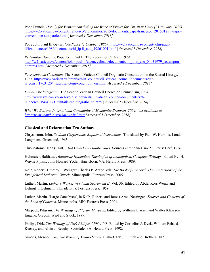Pope Francis, *Homily for Vespers concluding the Week of Prayer for Christian Unity (25 January 2015).* [https://w2.vatican.va/content/francesco/en/homilies/2015/documents/papa-francesco\\_20150125\\_vespri](https://w2.vatican.va/content/francesco/en/homilies/2015/documents/papa-francesco_20150125_vespri-conversione-san-paolo.html)[conversione-san-paolo.html](https://w2.vatican.va/content/francesco/en/homilies/2015/documents/papa-francesco_20150125_vespri-conversione-san-paolo.html) [*Accessed 1 December, 2018]*

Pope John Paul II, *General Audience (1 October 1986)*. [https://w2.vatican.va/content/john-paul](https://w2.vatican.va/content/john-paul-ii/it/audiences/1986/documents/hf_jp-ii_aud_19861001.html)[ii/it/audiences/1986/documents/hf\\_jp-ii\\_aud\\_19861001.html](https://w2.vatican.va/content/john-paul-ii/it/audiences/1986/documents/hf_jp-ii_aud_19861001.html) [*Accessed 1 December, 2018*]

*Redemptor Hominis,* Pope John Paul II, The Redeemer Of Man, 1979. [http://w2.vatican.va/content/john-paul-ii/en/encyclicals/documents/hf\\_jp-ii\\_enc\\_04031979\\_redemptor](http://w2.vatican.va/content/john-paul-ii/en/encyclicals/documents/hf_jp-ii_enc_04031979_redemptor-hominis.html)[hominis.html](http://w2.vatican.va/content/john-paul-ii/en/encyclicals/documents/hf_jp-ii_enc_04031979_redemptor-hominis.html) [*Accessed 1 December, 2018]*

*Sacrosanctum Concilium.* The Second Vatican Council Dogmatic Constitution on the Sacred Liturgy, 1963. [http://www.vatican.va/archive/hist\\_councils/ii\\_vatican\\_council/documents/vat](http://www.vatican.va/archive/hist_councils/ii_vatican_council/documents/vat-ii_const_19631204_sacrosanctum-concilium_en.html)ii const<sup>19631204</sup> sacrosanctum-concilium en.html [*Accessed 1 December, 2018]* 

*Unitatis Redintegratio.* The Second Vatican Council Decree on Ecumenism, 1964. [http://www.vatican.va/archive/hist\\_councils/ii\\_vatican\\_council/documents/vat](http://www.vatican.va/archive/hist_councils/ii_vatican_council/documents/vat-ii_decree_19641121_unitatis-redintegratio_en.html)[ii\\_decree\\_19641121\\_unitatis-redintegratio\\_en.html](http://www.vatican.va/archive/hist_councils/ii_vatican_council/documents/vat-ii_decree_19641121_unitatis-redintegratio_en.html) [*Accessed 1 December, 2018]*

*What We Believe. International Community of Mennonite Brethren, 2004; text available at <http://www.icomb.org/what-we-believe/> [accessed 1 December, 2018].*

## **Classical and Reformation Era Authors**

Chrysostom, John. *St. John Chrysostom: Baptismal Instructions*. Translated by Paul W. Harkins. London: Longmans, Green and, 1963.

Chrysostome, Jean (Saint). *Huit Catéchèses Baptismales*. Sources chrétiennes, no. 50. Paris: Cerf, 1956.

Hubmaier, Balthasar. *Balthasar Hubmaier: Theologian of Anabaptism, Complete Writings*. Edited By: H. Wayne Pipkin, John Howard Yoder. Harrisborn, VA: Herald Press, 1989.

Kolb, Robert, Timothy J. Wengert, Charles P. Arand, eds. *The Book of Concord: The Confessions of the Evangelical Lutheran Church*. Minneapolis: Fortress Press, 2005.

Luther, Martin. *Luther's Works, Word and Sacrament II*. Vol. 36. Edited by Abdel Ross Wentz and Helmut T. Lehmann. Philadelphia: Fortress Press, 1959.

Luther, Martin. 'Large Catechism', in Kolb, Robert, and James Arne. Nestingen, *Sources and Contexts of the Book of Concord*. Minneapolis, MN: Fortress Press, 2001.

Marpeck, Pilgram. *The Writings of Pilgram Marpeck*. Edited by William Klassen and Walter Klaassen. Eugene, Oregon: Wipf and Stock, 1999.

Philips, Dirk. *The Writings of Dirk Philips: 1504-1568*. Edited by Cornelius J. Dyck, William Echard. Keeney, and Alvin J. Beachy. Scottdale, PA: Herald Press, 1992.

Simons, Menno. *Complete Works of Menno Simon*. Elkhart, IN: J.F. Funk and Brothers, 1871.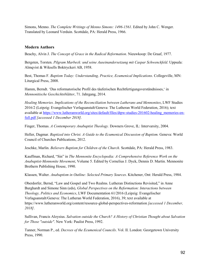Simons, Menno. *The Complete Writings of Menno Simons: 1496-1561*. Edited by John C. Wenger. Translated by Leonard Verduin. Scottdale, PA: Herald Press, 1966.

## **Modern Authors**

Beachy, Alvin J. *The Concept of Grace in the Radical Reformation*. Nieuwkoop: De Graaf, 1977.

Bergsten, Torsten. *Pilgram Marbeck: und seine Auseinandersetzung mit Caspar Schwenckfeld*. Uppsala: Almqvist & Wiksells Boktryckeri AB, 1958.

Best, Thomas F. *Baptism Today: Understanding, Practice, Ecumenical Implications*. Collegeville, MN: Liturgical Press, 2008.

Hamm, Berndt. 'Das reformatorische Profil des täuferischen Rechtfertigungsverständnisses,' in *Mennonitische Geschichtsblätter*, 71. Jahrgang, 2014.

*Healing Memories. Implications of the Reconciliation between Lutherans and Mennonites*, LWF Studies 2016/2 (Leipzig: Evangelischer Verlagsanstalt/Geneva: The Lutheran World Federation, 2016); text available at [https://www.lutheranworld.org/sites/default/files/dtpw-studies-201602-healing\\_memories-en](https://www.lutheranworld.org/sites/default/files/dtpw-studies-201602-healing_memories-en-full.pdf)[full.pdf](https://www.lutheranworld.org/sites/default/files/dtpw-studies-201602-healing_memories-en-full.pdf) *[accessed 1 December 2018].*

Finger, Thomas. *A Contemporary Anabaptist Theology.* Downers Grove, IL: Intervarsity, 2004.

Heller, Dagmar. *Baptized into Christ. A Guide to the Ecumenical Discussion of Baptism.* Geneva: World Council of Churches Publications, 2012.

Jeschke, Marlin. *Believers Baptism for Children of the Church.* Scottdale, PA: Herald Press, 1983.

Kauffman, Richard, "Sin" in *The Mennonite Encyclopedia: A Comprehensive Reference Work on the Anabaptist-Mennonite Movement*, Volume 5. Edited by Cornelius J. Dyck, Dennis D. Martin. Mennonite Brethern Publishing House, 1990.

Klassen, Walter. *Anabaptism in Outline: Selected Primary Sources*. Kitchener, Ont: Herald Press, 1984.

Oberdorfer, Bernd, "Law and Gospel and Two Realms. Lutheran Distinctions Revisited," in Anne Burghardt and Simone Sinn (eds), *Global Perspectives on the Reformation: Interactions between Theology, Politics and Economics*, LWF Documentation 61/2016 (Leipzig: Evangelischer Verlagsanstalt/Geneva: The Lutheran World Federation, 2016), 39; text available at https://www.lutheranworld.org/content/resource-global-perspectives-reformation *[accessed 1 December, 2018]*.

Sullivan, Francis Aloysius. *Salvation outside the Church? A History of Christian Thought about Salvation for Those "outside"*. New York: Paulist Press, 1992.

Tanner, Norman P., ed. *Decrees of the Ecumenical Councils*. Vol. II. London: Georgetown University Press, 1990.